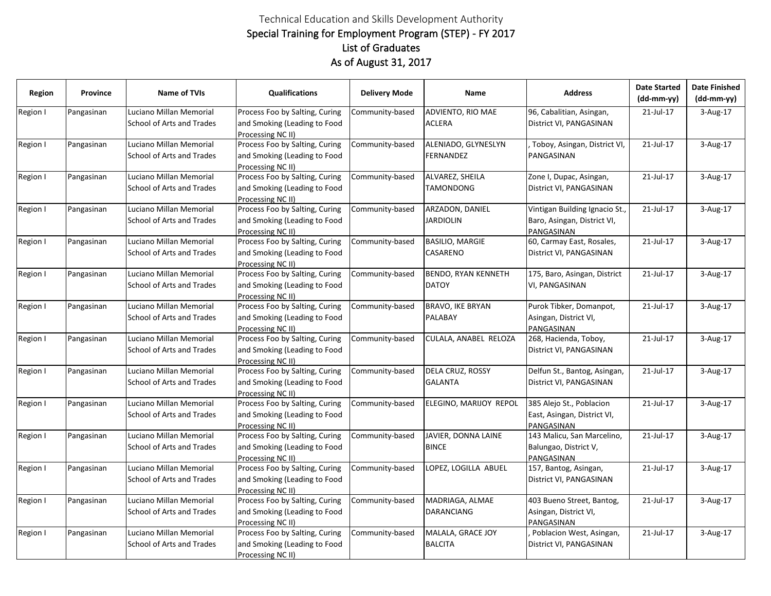## Technical Education and Skills Development Authority Special Training for Employment Program (STEP) - FY 2017 As of August 31, 2017 List of Graduates

| <b>Region</b> | Province   | <b>Name of TVIs</b>                                  | <b>Qualifications</b>                                                               | <b>Delivery Mode</b> | Name                                       | <b>Address</b>                                                              | <b>Date Started</b><br>$(dd-mm-yy)$ | <b>Date Finished</b><br>(dd-mm-yy) |
|---------------|------------|------------------------------------------------------|-------------------------------------------------------------------------------------|----------------------|--------------------------------------------|-----------------------------------------------------------------------------|-------------------------------------|------------------------------------|
| Region I      | Pangasinan | Luciano Millan Memorial<br>School of Arts and Trades | Process Foo by Salting, Curing<br>and Smoking (Leading to Food<br>Processing NC II) | Community-based      | ADVIENTO, RIO MAE<br><b>ACLERA</b>         | 96, Cabalitian, Asingan,<br>District VI, PANGASINAN                         | 21-Jul-17                           | 3-Aug-17                           |
| Region I      | Pangasinan | Luciano Millan Memorial<br>School of Arts and Trades | Process Foo by Salting, Curing<br>and Smoking (Leading to Food<br>Processing NC II) | Community-based      | ALENIADO, GLYNESLYN<br><b>FERNANDEZ</b>    | Toboy, Asingan, District VI,<br>PANGASINAN                                  | 21-Jul-17                           | 3-Aug-17                           |
| Region I      | Pangasinan | Luciano Millan Memorial<br>School of Arts and Trades | Process Foo by Salting, Curing<br>and Smoking (Leading to Food<br>Processing NC II) | Community-based      | ALVAREZ, SHEILA<br><b>TAMONDONG</b>        | Zone I, Dupac, Asingan,<br>District VI, PANGASINAN                          | 21-Jul-17                           | 3-Aug-17                           |
| Region I      | Pangasinan | Luciano Millan Memorial<br>School of Arts and Trades | Process Foo by Salting, Curing<br>and Smoking (Leading to Food<br>Processing NC II) | Community-based      | ARZADON, DANIEL<br><b>JARDIOLIN</b>        | Vintigan Building Ignacio St.,<br>Baro, Asingan, District VI,<br>PANGASINAN | 21-Jul-17                           | 3-Aug-17                           |
| Region I      | Pangasinan | Luciano Millan Memorial<br>School of Arts and Trades | Process Foo by Salting, Curing<br>and Smoking (Leading to Food<br>Processing NC II) | Community-based      | <b>BASILIO, MARGIE</b><br>CASARENO         | 60, Carmay East, Rosales,<br>District VI, PANGASINAN                        | 21-Jul-17                           | 3-Aug-17                           |
| Region I      | Pangasinan | Luciano Millan Memorial<br>School of Arts and Trades | Process Foo by Salting, Curing<br>and Smoking (Leading to Food<br>Processing NC II) | Community-based      | <b>BENDO, RYAN KENNETH</b><br><b>DATOY</b> | 175, Baro, Asingan, District<br>VI, PANGASINAN                              | 21-Jul-17                           | 3-Aug-17                           |
| Region I      | Pangasinan | Luciano Millan Memorial<br>School of Arts and Trades | Process Foo by Salting, Curing<br>and Smoking (Leading to Food<br>Processing NC II) | Community-based      | <b>BRAVO, IKE BRYAN</b><br><b>PALABAY</b>  | Purok Tibker, Domanpot,<br>Asingan, District VI,<br>PANGASINAN              | 21-Jul-17                           | 3-Aug-17                           |
| Region I      | Pangasinan | Luciano Millan Memorial<br>School of Arts and Trades | Process Foo by Salting, Curing<br>and Smoking (Leading to Food<br>Processing NC II) | Community-based      | CULALA, ANABEL RELOZA                      | 268, Hacienda, Toboy,<br>District VI, PANGASINAN                            | 21-Jul-17                           | 3-Aug-17                           |
| Region I      | Pangasinan | Luciano Millan Memorial<br>School of Arts and Trades | Process Foo by Salting, Curing<br>and Smoking (Leading to Food<br>Processing NC II) | Community-based      | DELA CRUZ, ROSSY<br><b>GALANTA</b>         | Delfun St., Bantog, Asingan,<br>District VI, PANGASINAN                     | 21-Jul-17                           | 3-Aug-17                           |
| Region I      | Pangasinan | Luciano Millan Memorial<br>School of Arts and Trades | Process Foo by Salting, Curing<br>and Smoking (Leading to Food<br>Processing NC II) | Community-based      | ELEGINO, MARIJOY REPOL                     | 385 Alejo St., Poblacion<br>East, Asingan, District VI,<br>PANGASINAN       | 21-Jul-17                           | 3-Aug-17                           |
| Region I      | Pangasinan | Luciano Millan Memorial<br>School of Arts and Trades | Process Foo by Salting, Curing<br>and Smoking (Leading to Food<br>Processing NC II) | Community-based      | JAVIER, DONNA LAINE<br><b>BINCE</b>        | 143 Malicu, San Marcelino,<br>Balungao, District V,<br>PANGASINAN           | 21-Jul-17                           | 3-Aug-17                           |
| Region I      | Pangasinan | Luciano Millan Memorial<br>School of Arts and Trades | Process Foo by Salting, Curing<br>and Smoking (Leading to Food<br>Processing NC II) | Community-based      | LOPEZ, LOGILLA ABUEL                       | 157, Bantog, Asingan,<br>District VI, PANGASINAN                            | 21-Jul-17                           | 3-Aug-17                           |
| Region I      | Pangasinan | Luciano Millan Memorial<br>School of Arts and Trades | Process Foo by Salting, Curing<br>and Smoking (Leading to Food<br>Processing NC II) | Community-based      | MADRIAGA, ALMAE<br><b>DARANCIANG</b>       | 403 Bueno Street, Bantog,<br>Asingan, District VI,<br>PANGASINAN            | 21-Jul-17                           | 3-Aug-17                           |
| Region I      | Pangasinan | Luciano Millan Memorial<br>School of Arts and Trades | Process Foo by Salting, Curing<br>and Smoking (Leading to Food<br>Processing NC II) | Community-based      | MALALA, GRACE JOY<br><b>BALCITA</b>        | Poblacion West, Asingan,<br>District VI, PANGASINAN                         | 21-Jul-17                           | 3-Aug-17                           |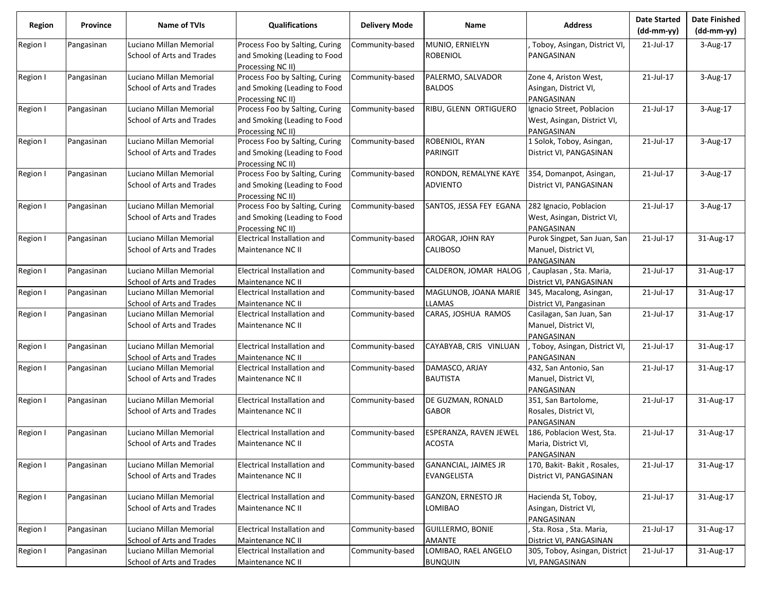| <b>Region</b> | Province   | Name of TVIs              | <b>Qualifications</b>          | <b>Delivery Mode</b> | Name                        | <b>Address</b>                     | <b>Date Started</b><br>(dd-mm-yy) | <b>Date Finished</b><br>$(dd-mm-yy)$ |
|---------------|------------|---------------------------|--------------------------------|----------------------|-----------------------------|------------------------------------|-----------------------------------|--------------------------------------|
| Region I      | Pangasinan | Luciano Millan Memorial   | Process Foo by Salting, Curing | Community-based      | MUNIO, ERNIELYN             | Toboy, Asingan, District VI,       | 21-Jul-17                         | 3-Aug-17                             |
|               |            | School of Arts and Trades | and Smoking (Leading to Food   |                      | <b>ROBENIOL</b>             | PANGASINAN                         |                                   |                                      |
|               |            |                           | Processing NC II)              |                      |                             |                                    |                                   |                                      |
| Region I      | Pangasinan | Luciano Millan Memorial   | Process Foo by Salting, Curing | Community-based      | PALERMO, SALVADOR           | Zone 4, Ariston West,              | 21-Jul-17                         | 3-Aug-17                             |
|               |            | School of Arts and Trades | and Smoking (Leading to Food   |                      | <b>BALDOS</b>               | Asingan, District VI,              |                                   |                                      |
|               |            |                           | Processing NC II)              |                      |                             | PANGASINAN                         |                                   |                                      |
| Region I      | Pangasinan | Luciano Millan Memorial   | Process Foo by Salting, Curing | Community-based      | RIBU, GLENN ORTIGUERO       | Ignacio Street, Poblacion          | 21-Jul-17                         | 3-Aug-17                             |
|               |            | School of Arts and Trades | and Smoking (Leading to Food   |                      |                             | West, Asingan, District VI,        |                                   |                                      |
|               |            |                           | Processing NC II)              |                      |                             | PANGASINAN                         |                                   |                                      |
| Region I      | Pangasinan | Luciano Millan Memorial   | Process Foo by Salting, Curing | Community-based      | ROBENIOL, RYAN              | 1 Solok, Toboy, Asingan,           | 21-Jul-17                         | 3-Aug-17                             |
|               |            | School of Arts and Trades | and Smoking (Leading to Food   |                      | PARINGIT                    | District VI, PANGASINAN            |                                   |                                      |
|               |            |                           | Processing NC II)              |                      |                             |                                    |                                   |                                      |
| Region I      | Pangasinan | Luciano Millan Memorial   | Process Foo by Salting, Curing | Community-based      | RONDON, REMALYNE KAYE       | 354, Domanpot, Asingan,            | 21-Jul-17                         | 3-Aug-17                             |
|               |            | School of Arts and Trades | and Smoking (Leading to Food   |                      | <b>ADVIENTO</b>             | District VI, PANGASINAN            |                                   |                                      |
|               |            |                           | Processing NC II)              |                      |                             |                                    |                                   |                                      |
| Region I      | Pangasinan | Luciano Millan Memorial   | Process Foo by Salting, Curing | Community-based      | SANTOS, JESSA FEY EGANA     | 282 Ignacio, Poblacion             | 21-Jul-17                         | 3-Aug-17                             |
|               |            | School of Arts and Trades | and Smoking (Leading to Food   |                      |                             | West, Asingan, District VI,        |                                   |                                      |
|               |            |                           | Processing NC II)              |                      |                             | PANGASINAN                         |                                   |                                      |
| Region I      | Pangasinan | Luciano Millan Memorial   | Electrical Installation and    | Community-based      | AROGAR, JOHN RAY            | Purok Singpet, San Juan, San       | 21-Jul-17                         | 31-Aug-17                            |
|               |            | School of Arts and Trades | Maintenance NC II              |                      | <b>CALIBOSO</b>             | Manuel, District VI,               |                                   |                                      |
|               |            |                           |                                |                      |                             | PANGASINAN                         |                                   |                                      |
| Region I      | Pangasinan | Luciano Millan Memorial   | Electrical Installation and    | Community-based      | CALDERON, JOMAR HALOG       | Cauplasan, Sta. Maria,             | 21-Jul-17                         | 31-Aug-17                            |
|               |            | School of Arts and Trades | Maintenance NC II              |                      |                             | District VI, PANGASINAN            |                                   |                                      |
| Region I      | Pangasinan | Luciano Millan Memorial   | Electrical Installation and    | Community-based      | MAGLUNOB, JOANA MARIE       | 345, Macalong, Asingan,            | 21-Jul-17                         | 31-Aug-17                            |
|               |            | School of Arts and Trades | Maintenance NC II              |                      | LLAMAS                      | District VI, Pangasinan            |                                   |                                      |
| Region I      | Pangasinan | Luciano Millan Memorial   | Electrical Installation and    | Community-based      | CARAS, JOSHUA RAMOS         | Casilagan, San Juan, San           | 21-Jul-17                         | 31-Aug-17                            |
|               |            | School of Arts and Trades | Maintenance NC II              |                      |                             | Manuel, District VI,<br>PANGASINAN |                                   |                                      |
| Region I      | Pangasinan | Luciano Millan Memorial   | Electrical Installation and    | Community-based      | CAYABYAB, CRIS VINLUAN      | , Toboy, Asingan, District VI,     | 21-Jul-17                         | 31-Aug-17                            |
|               |            | School of Arts and Trades | Maintenance NC II              |                      |                             | PANGASINAN                         |                                   |                                      |
| Region I      | Pangasinan | Luciano Millan Memorial   | Electrical Installation and    | Community-based      | DAMASCO, ARJAY              | 432, San Antonio, San              | 21-Jul-17                         | 31-Aug-17                            |
|               |            | School of Arts and Trades | Maintenance NC II              |                      | <b>BAUTISTA</b>             | Manuel, District VI,               |                                   |                                      |
|               |            |                           |                                |                      |                             | PANGASINAN                         |                                   |                                      |
| Region I      | Pangasinan | Luciano Millan Memorial   | Electrical Installation and    | Community-based      | DE GUZMAN, RONALD           | 351, San Bartolome,                | 21-Jul-17                         | 31-Aug-17                            |
|               |            | School of Arts and Trades | Maintenance NC II              |                      | <b>GABOR</b>                | Rosales, District VI,              |                                   |                                      |
|               |            |                           |                                |                      |                             | PANGASINAN                         |                                   |                                      |
| Region I      | Pangasinan | Luciano Millan Memorial   | Electrical Installation and    | Community-based      | ESPERANZA, RAVEN JEWEL      | 186, Poblacion West, Sta.          | 21-Jul-17                         | 31-Aug-17                            |
|               |            | School of Arts and Trades | Maintenance NC II              |                      | <b>ACOSTA</b>               | Maria, District VI,                |                                   |                                      |
|               |            |                           |                                |                      |                             | PANGASINAN                         |                                   |                                      |
| Region I      | Pangasinan | Luciano Millan Memorial   | Electrical Installation and    | Community-based      | <b>GANANCIAL, JAIMES JR</b> | 170, Bakit-Bakit, Rosales,         | 21-Jul-17                         | 31-Aug-17                            |
|               |            | School of Arts and Trades | Maintenance NC II              |                      | EVANGELISTA                 | District VI, PANGASINAN            |                                   |                                      |
|               |            |                           |                                |                      |                             |                                    |                                   |                                      |
| Region I      | Pangasinan | Luciano Millan Memorial   | Electrical Installation and    | Community-based      | GANZON, ERNESTO JR          | Hacienda St, Toboy,                | 21-Jul-17                         | 31-Aug-17                            |
|               |            | School of Arts and Trades | Maintenance NC II              |                      | LOMIBAO                     | Asingan, District VI,              |                                   |                                      |
|               |            |                           |                                |                      |                             | PANGASINAN                         |                                   |                                      |
| Region I      | Pangasinan | Luciano Millan Memorial   | Electrical Installation and    | Community-based      | GUILLERMO, BONIE            | Sta. Rosa, Sta. Maria,             | 21-Jul-17                         | 31-Aug-17                            |
|               |            | School of Arts and Trades | Maintenance NC II              |                      | <b>AMANTE</b>               | District VI, PANGASINAN            |                                   |                                      |
| Region I      | Pangasinan | Luciano Millan Memorial   | Electrical Installation and    | Community-based      | LOMIBAO, RAEL ANGELO        | 305, Toboy, Asingan, District      | 21-Jul-17                         | 31-Aug-17                            |
|               |            | School of Arts and Trades | Maintenance NC II              |                      | <b>BUNQUIN</b>              | VI, PANGASINAN                     |                                   |                                      |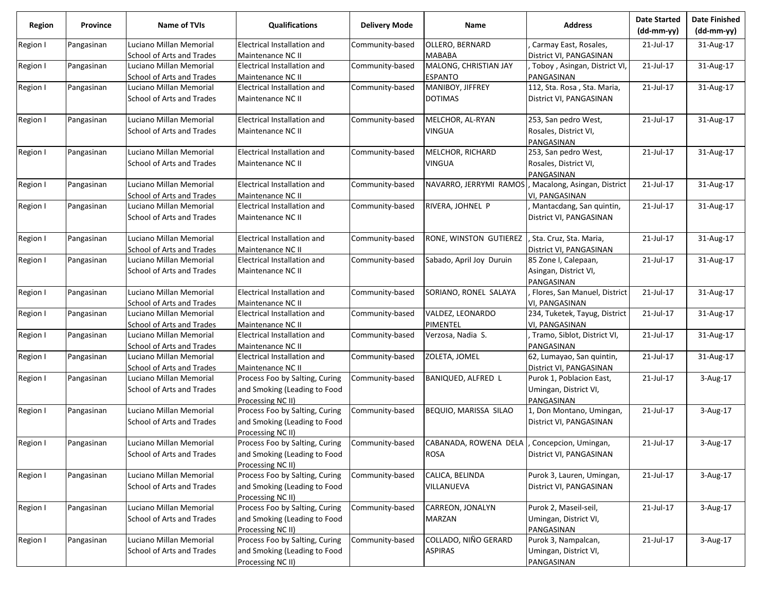| <b>Region</b> | Province   | <b>Name of TVIs</b>       | Qualifications                                    | <b>Delivery Mode</b> | Name                     | <b>Address</b>                      | <b>Date Started</b><br>$(dd-mm-yy)$ | <b>Date Finished</b><br>$(dd-mm-yy)$ |
|---------------|------------|---------------------------|---------------------------------------------------|----------------------|--------------------------|-------------------------------------|-------------------------------------|--------------------------------------|
| Region I      | Pangasinan | Luciano Millan Memorial   | Electrical Installation and                       | Community-based      | OLLERO, BERNARD          | Carmay East, Rosales,               | 21-Jul-17                           | 31-Aug-17                            |
|               |            | School of Arts and Trades | Maintenance NC II                                 |                      | <b>MABABA</b>            | District VI, PANGASINAN             |                                     |                                      |
| Region I      | Pangasinan | Luciano Millan Memorial   | Electrical Installation and                       | Community-based      | MALONG, CHRISTIAN JAY    | , Toboy, Asingan, District VI,      | 21-Jul-17                           | 31-Aug-17                            |
|               |            | School of Arts and Trades | Maintenance NC II                                 |                      | <b>ESPANTO</b>           | PANGASINAN                          |                                     |                                      |
| Region I      | Pangasinan | Luciano Millan Memorial   | Electrical Installation and                       | Community-based      | MANIBOY, JIFFREY         | 112, Sta. Rosa, Sta. Maria,         | 21-Jul-17                           | 31-Aug-17                            |
|               |            | School of Arts and Trades | Maintenance NC II                                 |                      | <b>DOTIMAS</b>           | District VI, PANGASINAN             |                                     |                                      |
| Region I      | Pangasinan | Luciano Millan Memorial   | Electrical Installation and                       | Community-based      | MELCHOR, AL-RYAN         | 253, San pedro West,                | 21-Jul-17                           | 31-Aug-17                            |
|               |            | School of Arts and Trades | Maintenance NC II                                 |                      | <b>VINGUA</b>            | Rosales, District VI,<br>PANGASINAN |                                     |                                      |
| Region I      | Pangasinan | Luciano Millan Memorial   | Electrical Installation and                       | Community-based      | MELCHOR, RICHARD         | 253, San pedro West,                | 21-Jul-17                           | 31-Aug-17                            |
|               |            | School of Arts and Trades | Maintenance NC II                                 |                      | <b>VINGUA</b>            | Rosales, District VI,<br>PANGASINAN |                                     |                                      |
| Region I      | Pangasinan | Luciano Millan Memorial   | Electrical Installation and                       | Community-based      | NAVARRO, JERRYMI RAMOS   | , Macalong, Asingan, District       | 21-Jul-17                           | 31-Aug-17                            |
|               |            | School of Arts and Trades | Maintenance NC II                                 |                      |                          | VI, PANGASINAN                      |                                     |                                      |
| Region I      | Pangasinan | Luciano Millan Memorial   | Electrical Installation and                       | Community-based      | RIVERA, JOHNEL P         | Mantacdang, San quintin,            | 21-Jul-17                           | 31-Aug-17                            |
|               |            | School of Arts and Trades | Maintenance NC II                                 |                      |                          | District VI, PANGASINAN             |                                     |                                      |
| Region I      | Pangasinan | Luciano Millan Memorial   | Electrical Installation and                       | Community-based      | RONE, WINSTON GUTIEREZ   | , Sta. Cruz, Sta. Maria,            | 21-Jul-17                           | 31-Aug-17                            |
|               |            | School of Arts and Trades | Maintenance NC II                                 |                      |                          | District VI, PANGASINAN             |                                     |                                      |
| Region I      | Pangasinan | Luciano Millan Memorial   | Electrical Installation and                       | Community-based      | Sabado, April Joy Duruin | 85 Zone I, Calepaan,                | 21-Jul-17                           | 31-Aug-17                            |
|               |            | School of Arts and Trades | Maintenance NC II                                 |                      |                          | Asingan, District VI,<br>PANGASINAN |                                     |                                      |
| Region I      | Pangasinan | Luciano Millan Memorial   | Electrical Installation and                       | Community-based      | SORIANO, RONEL SALAYA    | , Flores, San Manuel, District      | 21-Jul-17                           | 31-Aug-17                            |
|               |            | School of Arts and Trades | Maintenance NC II                                 |                      |                          | VI, PANGASINAN                      |                                     |                                      |
| Region I      | Pangasinan | Luciano Millan Memorial   | Electrical Installation and                       | Community-based      | VALDEZ, LEONARDO         | 234, Tuketek, Tayug, District       | 21-Jul-17                           | 31-Aug-17                            |
|               |            | School of Arts and Trades | Maintenance NC II                                 |                      | PIMENTEL                 | VI, PANGASINAN                      |                                     |                                      |
| Region I      | Pangasinan | Luciano Millan Memorial   | Electrical Installation and                       | Community-based      | Verzosa, Nadia S.        | Tramo, Siblot, District VI,         | 21-Jul-17                           | 31-Aug-17                            |
|               |            | School of Arts and Trades | Maintenance NC II                                 |                      |                          | PANGASINAN                          |                                     |                                      |
| Region I      | Pangasinan | Luciano Millan Memorial   | Electrical Installation and                       | Community-based      | ZOLETA, JOMEL            | 62, Lumayao, San quintin,           | 21-Jul-17                           | 31-Aug-17                            |
|               |            | School of Arts and Trades | Maintenance NC II                                 |                      |                          | District VI, PANGASINAN             |                                     |                                      |
| Region I      | Pangasinan | Luciano Millan Memorial   | Process Foo by Salting, Curing                    | Community-based      | BANIQUED, ALFRED L       | Purok 1, Poblacion East,            | 21-Jul-17                           | 3-Aug-17                             |
|               |            | School of Arts and Trades | and Smoking (Leading to Food<br>Processing NC II) |                      |                          | Umingan, District VI,<br>PANGASINAN |                                     |                                      |
| Region I      | Pangasinan | Luciano Millan Memorial   | Process Foo by Salting, Curing                    | Community-based      | BEQUIO, MARISSA SILAO    | 1, Don Montano, Umingan,            | 21-Jul-17                           | 3-Aug-17                             |
|               |            | School of Arts and Trades | and Smoking (Leading to Food<br>Processing NC II) |                      |                          | District VI, PANGASINAN             |                                     |                                      |
| Region I      | Pangasinan | Luciano Millan Memorial   | Process Foo by Salting, Curing                    | Community-based      | CABANADA, ROWENA DELA    | , Concepcion, Umingan,              | 21-Jul-17                           | 3-Aug-17                             |
|               |            | School of Arts and Trades | and Smoking (Leading to Food                      |                      | <b>ROSA</b>              | District VI, PANGASINAN             |                                     |                                      |
|               |            |                           | Processing NC II)                                 |                      |                          |                                     |                                     |                                      |
| Region I      | Pangasinan | Luciano Millan Memorial   | Process Foo by Salting, Curing                    | Community-based      | CALICA, BELINDA          | Purok 3, Lauren, Umingan,           | 21-Jul-17                           | 3-Aug-17                             |
|               |            | School of Arts and Trades | and Smoking (Leading to Food                      |                      | VILLANUEVA               | District VI, PANGASINAN             |                                     |                                      |
|               |            |                           | Processing NC II)                                 |                      |                          |                                     |                                     |                                      |
| Region I      | Pangasinan | Luciano Millan Memorial   | Process Foo by Salting, Curing                    | Community-based      | CARREON, JONALYN         | Purok 2, Maseil-seil,               | 21-Jul-17                           | 3-Aug-17                             |
|               |            | School of Arts and Trades | and Smoking (Leading to Food                      |                      | <b>MARZAN</b>            | Umingan, District VI,               |                                     |                                      |
|               |            |                           | Processing NC II)                                 |                      |                          | PANGASINAN                          |                                     |                                      |
| Region I      | Pangasinan | Luciano Millan Memorial   | Process Foo by Salting, Curing                    | Community-based      | COLLADO, NIÑO GERARD     | Purok 3, Nampalcan,                 | 21-Jul-17                           | 3-Aug-17                             |
|               |            | School of Arts and Trades | and Smoking (Leading to Food                      |                      | <b>ASPIRAS</b>           | Umingan, District VI,               |                                     |                                      |
|               |            |                           | Processing NC II)                                 |                      |                          | PANGASINAN                          |                                     |                                      |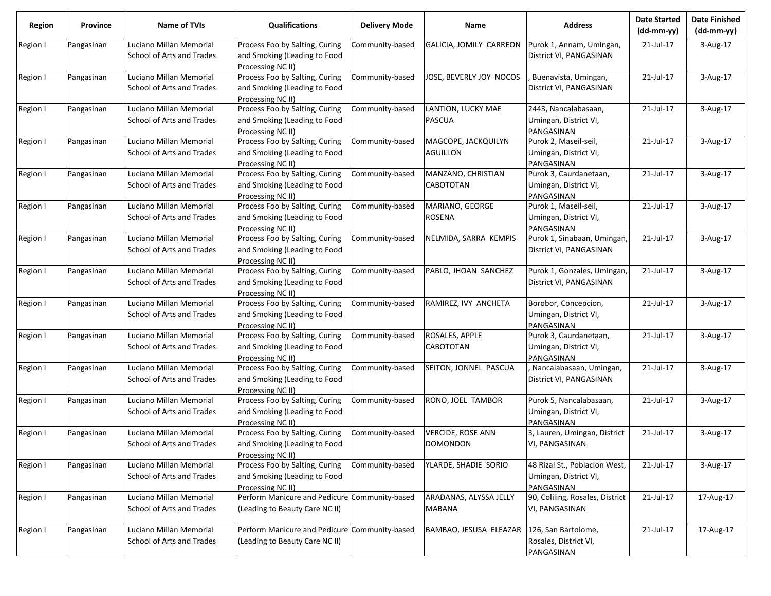| <b>Region</b> | Province   | <b>Name of TVIs</b>                                  | <b>Qualifications</b>                                                               | <b>Delivery Mode</b> | Name                                        | <b>Address</b>                                                       | <b>Date Started</b><br>$(dd-mm-yy)$ | <b>Date Finished</b><br>$(dd-mm-yy)$ |
|---------------|------------|------------------------------------------------------|-------------------------------------------------------------------------------------|----------------------|---------------------------------------------|----------------------------------------------------------------------|-------------------------------------|--------------------------------------|
| Region I      | Pangasinan | Luciano Millan Memorial<br>School of Arts and Trades | Process Foo by Salting, Curing<br>and Smoking (Leading to Food<br>Processing NC II) | Community-based      | GALICIA, JOMILY CARREON                     | Purok 1, Annam, Umingan,<br>District VI, PANGASINAN                  | 21-Jul-17                           | 3-Aug-17                             |
| Region I      | Pangasinan | Luciano Millan Memorial<br>School of Arts and Trades | Process Foo by Salting, Curing<br>and Smoking (Leading to Food<br>Processing NC II) | Community-based      | JOSE, BEVERLY JOY NOCOS                     | Buenavista, Umingan,<br>District VI, PANGASINAN                      | 21-Jul-17                           | 3-Aug-17                             |
| Region I      | Pangasinan | Luciano Millan Memorial<br>School of Arts and Trades | Process Foo by Salting, Curing<br>and Smoking (Leading to Food<br>Processing NC II) | Community-based      | LANTION, LUCKY MAE<br><b>PASCUA</b>         | 2443, Nancalabasaan,<br>Umingan, District VI,<br>PANGASINAN          | 21-Jul-17                           | 3-Aug-17                             |
| Region I      | Pangasinan | Luciano Millan Memorial<br>School of Arts and Trades | Process Foo by Salting, Curing<br>and Smoking (Leading to Food<br>Processing NC II) | Community-based      | MAGCOPE, JACKQUILYN<br><b>AGUILLON</b>      | Purok 2, Maseil-seil,<br>Umingan, District VI,<br>PANGASINAN         | 21-Jul-17                           | 3-Aug-17                             |
| Region I      | Pangasinan | Luciano Millan Memorial<br>School of Arts and Trades | Process Foo by Salting, Curing<br>and Smoking (Leading to Food<br>Processing NC II) | Community-based      | MANZANO, CHRISTIAN<br><b>CABOTOTAN</b>      | Purok 3, Caurdanetaan,<br>Umingan, District VI,<br>PANGASINAN        | 21-Jul-17                           | 3-Aug-17                             |
| Region I      | Pangasinan | Luciano Millan Memorial<br>School of Arts and Trades | Process Foo by Salting, Curing<br>and Smoking (Leading to Food<br>Processing NC II) | Community-based      | MARIANO, GEORGE<br><b>ROSENA</b>            | Purok 1, Maseil-seil,<br>Umingan, District VI,<br>PANGASINAN         | 21-Jul-17                           | 3-Aug-17                             |
| Region I      | Pangasinan | Luciano Millan Memorial<br>School of Arts and Trades | Process Foo by Salting, Curing<br>and Smoking (Leading to Food<br>Processing NC II) | Community-based      | NELMIDA, SARRA KEMPIS                       | Purok 1, Sinabaan, Umingan,<br>District VI, PANGASINAN               | 21-Jul-17                           | 3-Aug-17                             |
| Region I      | Pangasinan | Luciano Millan Memorial<br>School of Arts and Trades | Process Foo by Salting, Curing<br>and Smoking (Leading to Food<br>Processing NC II) | Community-based      | PABLO, JHOAN SANCHEZ                        | Purok 1, Gonzales, Umingan,<br>District VI, PANGASINAN               | 21-Jul-17                           | 3-Aug-17                             |
| Region I      | Pangasinan | Luciano Millan Memorial<br>School of Arts and Trades | Process Foo by Salting, Curing<br>and Smoking (Leading to Food<br>Processing NC II) | Community-based      | RAMIREZ, IVY ANCHETA                        | Borobor, Concepcion,<br>Umingan, District VI,<br>PANGASINAN          | 21-Jul-17                           | 3-Aug-17                             |
| Region I      | Pangasinan | Luciano Millan Memorial<br>School of Arts and Trades | Process Foo by Salting, Curing<br>and Smoking (Leading to Food<br>Processing NC II) | Community-based      | ROSALES, APPLE<br>CABOTOTAN                 | Purok 3, Caurdanetaan,<br>Umingan, District VI,<br>PANGASINAN        | 21-Jul-17                           | 3-Aug-17                             |
| Region I      | Pangasinan | Luciano Millan Memorial<br>School of Arts and Trades | Process Foo by Salting, Curing<br>and Smoking (Leading to Food<br>Processing NC II) | Community-based      | SEITON, JONNEL PASCUA                       | Nancalabasaan, Umingan,<br>District VI, PANGASINAN                   | 21-Jul-17                           | 3-Aug-17                             |
| Region I      | Pangasinan | Luciano Millan Memorial<br>School of Arts and Trades | Process Foo by Salting, Curing<br>and Smoking (Leading to Food<br>Processing NC II) | Community-based      | RONO, JOEL TAMBOR                           | Purok 5, Nancalabasaan,<br>Umingan, District VI,<br>PANGASINAN       | 21-Jul-17                           | 3-Aug-17                             |
| Region I      | Pangasinan | Luciano Millan Memorial<br>School of Arts and Trades | Process Foo by Salting, Curing<br>and Smoking (Leading to Food<br>Processing NC II) | Community-based      | <b>VERCIDE, ROSE ANN</b><br><b>DOMONDON</b> | 3, Lauren, Umingan, District<br>VI, PANGASINAN                       | 21-Jul-17                           | 3-Aug-17                             |
| Region I      | Pangasinan | Luciano Millan Memorial<br>School of Arts and Trades | Process Foo by Salting, Curing<br>and Smoking (Leading to Food<br>Processing NC II) | Community-based      | YLARDE, SHADIE SORIO                        | 48 Rizal St., Poblacion West,<br>Umingan, District VI,<br>PANGASINAN | 21-Jul-17                           | 3-Aug-17                             |
| Region I      | Pangasinan | Luciano Millan Memorial<br>School of Arts and Trades | Perform Manicure and Pedicure Community-based<br>(Leading to Beauty Care NC II)     |                      | ARADANAS, ALYSSA JELLY<br>MABANA            | 90, Coliling, Rosales, District<br>VI, PANGASINAN                    | 21-Jul-17                           | 17-Aug-17                            |
| Region I      | Pangasinan | Luciano Millan Memorial<br>School of Arts and Trades | Perform Manicure and Pedicure Community-based<br>(Leading to Beauty Care NC II)     |                      | BAMBAO, JESUSA ELEAZAR                      | 126, San Bartolome,<br>Rosales, District VI,<br>PANGASINAN           | 21-Jul-17                           | 17-Aug-17                            |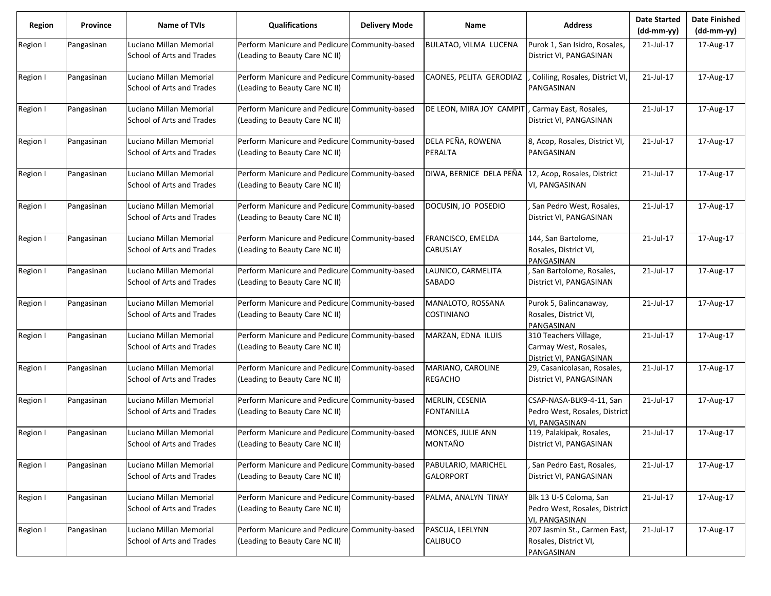| <b>Region</b> | Province   | <b>Name of TVIs</b>                                  | <b>Qualifications</b>                                                           | <b>Delivery Mode</b> | Name                                    | <b>Address</b>                                                              | <b>Date Started</b><br>$(dd-mm-yy)$ | <b>Date Finished</b><br>$(dd-mm-yy)$ |
|---------------|------------|------------------------------------------------------|---------------------------------------------------------------------------------|----------------------|-----------------------------------------|-----------------------------------------------------------------------------|-------------------------------------|--------------------------------------|
| Region I      | Pangasinan | Luciano Millan Memorial<br>School of Arts and Trades | Perform Manicure and Pedicure<br>(Leading to Beauty Care NC II)                 | Community-based      | BULATAO, VILMA LUCENA                   | Purok 1, San Isidro, Rosales,<br>District VI, PANGASINAN                    | 21-Jul-17                           | 17-Aug-17                            |
| Region I      | Pangasinan | Luciano Millan Memorial<br>School of Arts and Trades | Perform Manicure and Pedicure Community-based<br>(Leading to Beauty Care NC II) |                      | CAONES, PELITA GERODIAZ                 | Coliling, Rosales, District VI,<br>PANGASINAN                               | 21-Jul-17                           | 17-Aug-17                            |
| Region I      | Pangasinan | Luciano Millan Memorial<br>School of Arts and Trades | Perform Manicure and Pedicure Community-based<br>(Leading to Beauty Care NC II) |                      | DE LEON, MIRA JOY CAMPIT                | , Carmay East, Rosales,<br>District VI, PANGASINAN                          | 21-Jul-17                           | 17-Aug-17                            |
| Region I      | Pangasinan | Luciano Millan Memorial<br>School of Arts and Trades | Perform Manicure and Pedicure Community-based<br>(Leading to Beauty Care NC II) |                      | DELA PEÑA, ROWENA<br>PERALTA            | 8, Acop, Rosales, District VI,<br>PANGASINAN                                | 21-Jul-17                           | 17-Aug-17                            |
| Region I      | Pangasinan | Luciano Millan Memorial<br>School of Arts and Trades | Perform Manicure and Pedicure Community-based<br>(Leading to Beauty Care NC II) |                      | DIWA, BERNICE DELA PEÑA                 | 12, Acop, Rosales, District<br>VI, PANGASINAN                               | 21-Jul-17                           | 17-Aug-17                            |
| Region I      | Pangasinan | Luciano Millan Memorial<br>School of Arts and Trades | Perform Manicure and Pedicure<br>(Leading to Beauty Care NC II)                 | Community-based      | DOCUSIN, JO POSEDIO                     | San Pedro West, Rosales,<br>District VI, PANGASINAN                         | 21-Jul-17                           | 17-Aug-17                            |
| Region I      | Pangasinan | Luciano Millan Memorial<br>School of Arts and Trades | Perform Manicure and Pedicure Community-based<br>(Leading to Beauty Care NC II) |                      | FRANCISCO, EMELDA<br><b>CABUSLAY</b>    | 144, San Bartolome,<br>Rosales, District VI,<br>PANGASINAN                  | 21-Jul-17                           | 17-Aug-17                            |
| Region I      | Pangasinan | Luciano Millan Memorial<br>School of Arts and Trades | Perform Manicure and Pedicure<br>(Leading to Beauty Care NC II)                 | Community-based      | LAUNICO, CARMELITA<br>SABADO            | San Bartolome, Rosales,<br>District VI, PANGASINAN                          | 21-Jul-17                           | 17-Aug-17                            |
| Region I      | Pangasinan | Luciano Millan Memorial<br>School of Arts and Trades | Perform Manicure and Pedicure Community-based<br>(Leading to Beauty Care NC II) |                      | MANALOTO, ROSSANA<br><b>COSTINIANO</b>  | Purok 5, Balincanaway,<br>Rosales, District VI,<br>PANGASINAN               | 21-Jul-17                           | 17-Aug-17                            |
| Region I      | Pangasinan | Luciano Millan Memorial<br>School of Arts and Trades | Perform Manicure and Pedicure<br>(Leading to Beauty Care NC II)                 | Community-based      | MARZAN, EDNA ILUIS                      | 310 Teachers Village,<br>Carmay West, Rosales,<br>District VI, PANGASINAN   | 21-Jul-17                           | 17-Aug-17                            |
| Region I      | Pangasinan | Luciano Millan Memorial<br>School of Arts and Trades | Perform Manicure and Pedicure Community-based<br>(Leading to Beauty Care NC II) |                      | MARIANO, CAROLINE<br><b>REGACHO</b>     | 29, Casanicolasan, Rosales,<br>District VI, PANGASINAN                      | 21-Jul-17                           | 17-Aug-17                            |
| Region I      | Pangasinan | Luciano Millan Memorial<br>School of Arts and Trades | Perform Manicure and Pedicure<br>(Leading to Beauty Care NC II)                 | Community-based      | MERLIN, CESENIA<br><b>FONTANILLA</b>    | CSAP-NASA-BLK9-4-11, San<br>Pedro West, Rosales, District<br>VI, PANGASINAN | 21-Jul-17                           | 17-Aug-17                            |
| Region I      | Pangasinan | Luciano Millan Memorial<br>School of Arts and Trades | Perform Manicure and Pedicure Community-based<br>(Leading to Beauty Care NC II) |                      | MONCES, JULIE ANN<br>MONTAÑO            | 119, Palakipak, Rosales,<br>District VI, PANGASINAN                         | 21-Jul-17                           | 17-Aug-17                            |
| Region I      | Pangasinan | Luciano Millan Memorial<br>School of Arts and Trades | Perform Manicure and Pedicure<br>(Leading to Beauty Care NC II)                 | Community-based      | PABULARIO, MARICHEL<br><b>GALORPORT</b> | San Pedro East, Rosales,<br>District VI, PANGASINAN                         | 21-Jul-17                           | 17-Aug-17                            |
| Region I      | Pangasinan | Luciano Millan Memorial<br>School of Arts and Trades | Perform Manicure and Pedicure Community-based<br>(Leading to Beauty Care NC II) |                      | PALMA, ANALYN TINAY                     | Blk 13 U-5 Coloma, San<br>Pedro West, Rosales, District<br>VI, PANGASINAN   | 21-Jul-17                           | 17-Aug-17                            |
| Region I      | Pangasinan | Luciano Millan Memorial<br>School of Arts and Trades | Perform Manicure and Pedicure Community-based<br>(Leading to Beauty Care NC II) |                      | PASCUA, LEELYNN<br>CALIBUCO             | 207 Jasmin St., Carmen East,<br>Rosales, District VI,<br>PANGASINAN         | 21-Jul-17                           | 17-Aug-17                            |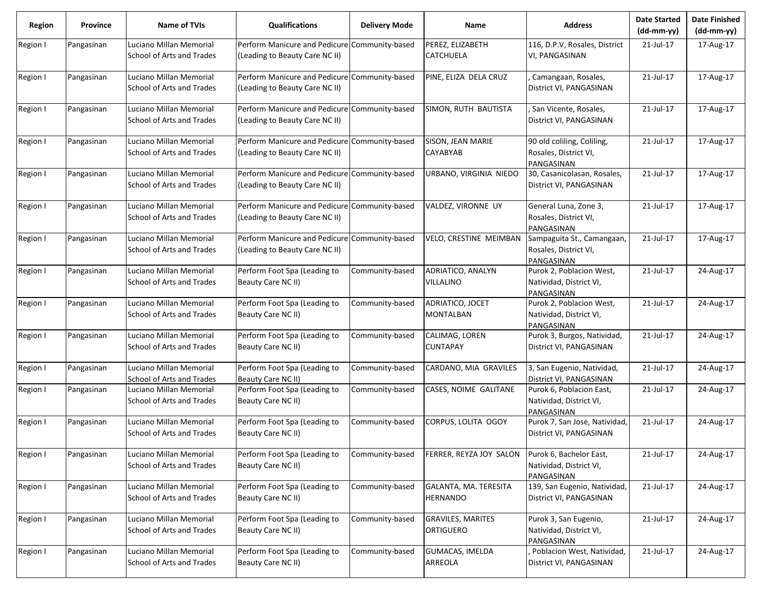| <b>Region</b> | Province   | <b>Name of TVIs</b>                                  | <b>Qualifications</b>                                                           | <b>Delivery Mode</b> | <b>Name</b>                                  | <b>Address</b>                                                    | <b>Date Started</b><br>$(dd-mm-yy)$ | <b>Date Finished</b><br>(dd-mm-yy) |
|---------------|------------|------------------------------------------------------|---------------------------------------------------------------------------------|----------------------|----------------------------------------------|-------------------------------------------------------------------|-------------------------------------|------------------------------------|
| Region I      | Pangasinan | Luciano Millan Memorial<br>School of Arts and Trades | Perform Manicure and Pedicure Community-based<br>(Leading to Beauty Care NC II) |                      | PEREZ, ELIZABETH<br><b>CATCHUELA</b>         | 116, D.P.V, Rosales, District<br>VI, PANGASINAN                   | 21-Jul-17                           | 17-Aug-17                          |
| Region I      | Pangasinan | Luciano Millan Memorial<br>School of Arts and Trades | Perform Manicure and Pedicure Community-based<br>(Leading to Beauty Care NC II) |                      | PINE, ELIZA DELA CRUZ                        | Camangaan, Rosales,<br>District VI, PANGASINAN                    | 21-Jul-17                           | 17-Aug-17                          |
| Region I      | Pangasinan | Luciano Millan Memorial<br>School of Arts and Trades | Perform Manicure and Pedicure Community-based<br>(Leading to Beauty Care NC II) |                      | SIMON, RUTH BAUTISTA                         | , San Vicente, Rosales,<br>District VI, PANGASINAN                | 21-Jul-17                           | 17-Aug-17                          |
| Region I      | Pangasinan | Luciano Millan Memorial<br>School of Arts and Trades | Perform Manicure and Pedicure<br>(Leading to Beauty Care NC II)                 | Community-based      | SISON, JEAN MARIE<br>CAYABYAB                | 90 old coliling, Coliling,<br>Rosales, District VI,<br>PANGASINAN | 21-Jul-17                           | 17-Aug-17                          |
| Region I      | Pangasinan | Luciano Millan Memorial<br>School of Arts and Trades | Perform Manicure and Pedicure Community-based<br>(Leading to Beauty Care NC II) |                      | URBANO, VIRGINIA NIEDO                       | 30, Casanicolasan, Rosales,<br>District VI, PANGASINAN            | 21-Jul-17                           | 17-Aug-17                          |
| Region I      | Pangasinan | Luciano Millan Memorial<br>School of Arts and Trades | Perform Manicure and Pedicure<br>(Leading to Beauty Care NC II)                 | Community-based      | VALDEZ, VIRONNE UY                           | General Luna, Zone 3,<br>Rosales, District VI,<br>PANGASINAN      | 21-Jul-17                           | 17-Aug-17                          |
| Region I      | Pangasinan | Luciano Millan Memorial<br>School of Arts and Trades | Perform Manicure and Pedicure Community-based<br>(Leading to Beauty Care NC II) |                      | VELO, CRESTINE MEIMBAN                       | Sampaguita St., Camangaan,<br>Rosales, District VI,<br>PANGASINAN | 21-Jul-17                           | 17-Aug-17                          |
| Region I      | Pangasinan | Luciano Millan Memorial<br>School of Arts and Trades | Perform Foot Spa (Leading to<br>Beauty Care NC II)                              | Community-based      | ADRIATICO, ANALYN<br><b>VILLALINO</b>        | Purok 2, Poblacion West,<br>Natividad, District VI,<br>PANGASINAN | 21-Jul-17                           | 24-Aug-17                          |
| Region I      | Pangasinan | Luciano Millan Memorial<br>School of Arts and Trades | Perform Foot Spa (Leading to<br>Beauty Care NC II)                              | Community-based      | ADRIATICO, JOCET<br>MONTALBAN                | Purok 2, Poblacion West,<br>Natividad, District VI,<br>PANGASINAN | 21-Jul-17                           | 24-Aug-17                          |
| Region I      | Pangasinan | Luciano Millan Memorial<br>School of Arts and Trades | Perform Foot Spa (Leading to<br>Beauty Care NC II)                              | Community-based      | CALIMAG, LOREN<br><b>CUNTAPAY</b>            | Purok 3, Burgos, Natividad,<br>District VI, PANGASINAN            | 21-Jul-17                           | 24-Aug-17                          |
| Region I      | Pangasinan | Luciano Millan Memorial<br>School of Arts and Trades | Perform Foot Spa (Leading to<br>Beauty Care NC II)                              | Community-based      | CARDANO, MIA GRAVILES                        | 3, San Eugenio, Natividad,<br>District VI, PANGASINAN             | 21-Jul-17                           | 24-Aug-17                          |
| Region I      | Pangasinan | Luciano Millan Memorial<br>School of Arts and Trades | Perform Foot Spa (Leading to<br>Beauty Care NC II)                              | Community-based      | CASES, NOIME GALITANE                        | Purok 6, Poblacion East,<br>Natividad, District VI,<br>PANGASINAN | 21-Jul-17                           | 24-Aug-17                          |
| Region I      | Pangasinan | Luciano Millan Memorial<br>School of Arts and Trades | Perform Foot Spa (Leading to<br>Beauty Care NC II)                              | Community-based      | CORPUS, LOLITA OGOY                          | Purok 7, San Jose, Natividad,<br>District VI, PANGASINAN          | 21-Jul-17                           | 24-Aug-17                          |
| Region I      | Pangasinan | Luciano Millan Memorial<br>School of Arts and Trades | Perform Foot Spa (Leading to<br>Beauty Care NC II)                              | Community-based      | FERRER, REYZA JOY SALON                      | Purok 6, Bachelor East,<br>Natividad, District VI,<br>PANGASINAN  | 21-Jul-17                           | 24-Aug-17                          |
| Region I      | Pangasinan | Luciano Millan Memorial<br>School of Arts and Trades | Perform Foot Spa (Leading to<br>Beauty Care NC II)                              | Community-based      | GALANTA, MA. TERESITA<br><b>HERNANDO</b>     | 139, San Eugenio, Natividad,<br>District VI, PANGASINAN           | 21-Jul-17                           | 24-Aug-17                          |
| Region I      | Pangasinan | Luciano Millan Memorial<br>School of Arts and Trades | Perform Foot Spa (Leading to<br>Beauty Care NC II)                              | Community-based      | <b>GRAVILES, MARITES</b><br><b>ORTIGUERO</b> | Purok 3, San Eugenio,<br>Natividad, District VI,<br>PANGASINAN    | 21-Jul-17                           | 24-Aug-17                          |
| Region I      | Pangasinan | Luciano Millan Memorial<br>School of Arts and Trades | Perform Foot Spa (Leading to<br>Beauty Care NC II)                              | Community-based      | GUMACAS, IMELDA<br>ARREOLA                   | Poblacion West, Natividad,<br>District VI, PANGASINAN             | 21-Jul-17                           | 24-Aug-17                          |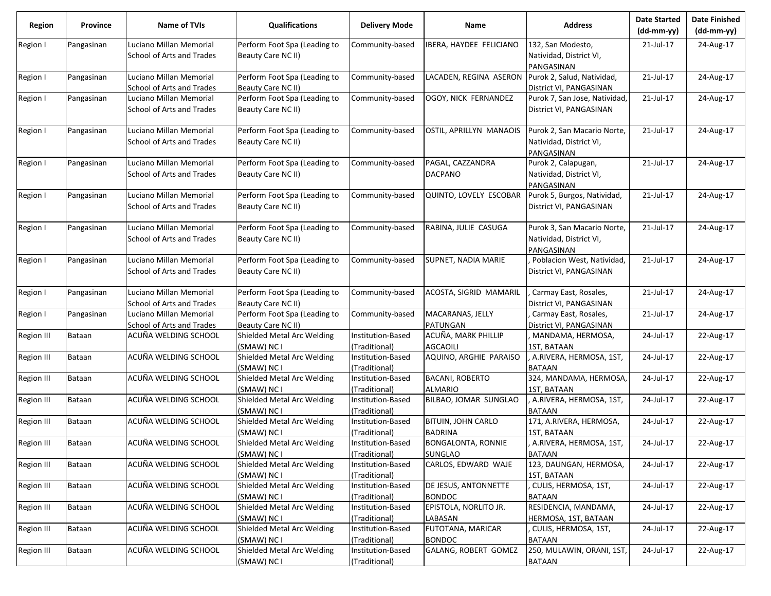| <b>Region</b>     | <b>Province</b> | <b>Name of TVIs</b>                                  | Qualifications                                     | <b>Delivery Mode</b>     | <b>Name</b>                | <b>Address</b>                                   | <b>Date Started</b><br>$(dd-mm-yy)$ | <b>Date Finished</b><br>(dd-mm-yy) |
|-------------------|-----------------|------------------------------------------------------|----------------------------------------------------|--------------------------|----------------------------|--------------------------------------------------|-------------------------------------|------------------------------------|
| Region I          | Pangasinan      | Luciano Millan Memorial                              | Perform Foot Spa (Leading to                       | Community-based          | IBERA, HAYDEE FELICIANO    | 132, San Modesto,                                | 21-Jul-17                           | 24-Aug-17                          |
|                   |                 | School of Arts and Trades                            | Beauty Care NC II)                                 |                          |                            | Natividad, District VI,                          |                                     |                                    |
|                   |                 |                                                      |                                                    |                          |                            | PANGASINAN                                       |                                     |                                    |
| Region I          | Pangasinan      | Luciano Millan Memorial                              | Perform Foot Spa (Leading to                       | Community-based          | LACADEN, REGINA ASERON     | Purok 2, Salud, Natividad,                       | 21-Jul-17                           | 24-Aug-17                          |
|                   |                 | School of Arts and Trades                            | Beauty Care NC II)                                 |                          |                            | District VI, PANGASINAN                          |                                     |                                    |
| Region I          | Pangasinan      | Luciano Millan Memorial                              | Perform Foot Spa (Leading to                       | Community-based          | OGOY, NICK FERNANDEZ       | Purok 7, San Jose, Natividad,                    | 21-Jul-17                           | 24-Aug-17                          |
|                   |                 | School of Arts and Trades                            | Beauty Care NC II)                                 |                          |                            | District VI, PANGASINAN                          |                                     |                                    |
| Region I          | Pangasinan      | Luciano Millan Memorial                              | Perform Foot Spa (Leading to                       | Community-based          | OSTIL, APRILLYN MANAOIS    | Purok 2, San Macario Norte,                      | 21-Jul-17                           | 24-Aug-17                          |
|                   |                 | School of Arts and Trades                            | Beauty Care NC II)                                 |                          |                            | Natividad, District VI,<br>PANGASINAN            |                                     |                                    |
| Region I          | Pangasinan      | Luciano Millan Memorial                              | Perform Foot Spa (Leading to                       | Community-based          | PAGAL, CAZZANDRA           | Purok 2, Calapugan,                              | 21-Jul-17                           | 24-Aug-17                          |
|                   |                 | School of Arts and Trades                            | Beauty Care NC II)                                 |                          | <b>DACPANO</b>             | Natividad, District VI,<br>PANGASINAN            |                                     |                                    |
| Region I          | Pangasinan      | Luciano Millan Memorial                              | Perform Foot Spa (Leading to                       | Community-based          | QUINTO, LOVELY ESCOBAR     | Purok 5, Burgos, Natividad,                      | 21-Jul-17                           | 24-Aug-17                          |
|                   |                 | School of Arts and Trades                            | Beauty Care NC II)                                 |                          |                            | District VI, PANGASINAN                          |                                     |                                    |
| Region I          | Pangasinan      | Luciano Millan Memorial                              | Perform Foot Spa (Leading to                       | Community-based          | RABINA, JULIE CASUGA       | Purok 3, San Macario Norte,                      | 21-Jul-17                           | 24-Aug-17                          |
|                   |                 | School of Arts and Trades                            | Beauty Care NC II)                                 |                          |                            | Natividad, District VI,<br>PANGASINAN            |                                     |                                    |
| Region I          | Pangasinan      | Luciano Millan Memorial                              | Perform Foot Spa (Leading to                       | Community-based          | <b>SUPNET, NADIA MARIE</b> | Poblacion West, Natividad,                       | 21-Jul-17                           | 24-Aug-17                          |
|                   |                 | School of Arts and Trades                            | Beauty Care NC II)                                 |                          |                            | District VI, PANGASINAN                          |                                     |                                    |
| Region I          | Pangasinan      | Luciano Millan Memorial                              | Perform Foot Spa (Leading to                       | Community-based          | ACOSTA, SIGRID MAMARIL     | Carmay East, Rosales,                            | 21-Jul-17                           | 24-Aug-17                          |
| Region I          | Pangasinan      | School of Arts and Trades<br>Luciano Millan Memorial | Beauty Care NC II)<br>Perform Foot Spa (Leading to | Community-based          | MACARANAS, JELLY           | District VI, PANGASINAN<br>Carmay East, Rosales, | 21-Jul-17                           | 24-Aug-17                          |
|                   |                 | School of Arts and Trades                            | Beauty Care NC II)                                 |                          | PATUNGAN                   | District VI, PANGASINAN                          |                                     |                                    |
| <b>Region III</b> | Bataan          | ACUÑA WELDING SCHOOL                                 | Shielded Metal Arc Welding                         | Institution-Based        | ACUÑA, MARK PHILLIP        | MANDAMA, HERMOSA,                                | 24-Jul-17                           | 22-Aug-17                          |
|                   |                 |                                                      | (SMAW) NC I                                        | (Traditional)            | <b>AGCAOILI</b>            | 1ST, BATAAN                                      |                                     |                                    |
| Region III        | Bataan          | ACUÑA WELDING SCHOOL                                 | Shielded Metal Arc Welding                         | Institution-Based        | AQUINO, ARGHIE PARAISO     | A.RIVERA, HERMOSA, 1ST,                          | 24-Jul-17                           | 22-Aug-17                          |
|                   |                 |                                                      | (SMAW) NC I                                        | (Traditional)            |                            | <b>BATAAN</b>                                    |                                     |                                    |
| Region III        | Bataan          | ACUÑA WELDING SCHOOL                                 | Shielded Metal Arc Welding                         | Institution-Based        | <b>BACANI, ROBERTO</b>     | 324, MANDAMA, HERMOSA,                           | 24-Jul-17                           | 22-Aug-17                          |
|                   |                 |                                                      | (SMAW) NC I                                        | (Traditional)            | <b>ALMARIO</b>             | 1ST, BATAAN                                      |                                     |                                    |
| Region III        | Bataan          | ACUÑA WELDING SCHOOL                                 | Shielded Metal Arc Welding                         | Institution-Based        | BILBAO, JOMAR SUNGLAO      | A.RIVERA, HERMOSA, 1ST,                          | 24-Jul-17                           | 22-Aug-17                          |
|                   |                 |                                                      | (SMAW) NC I                                        | (Traditional)            |                            | <b>BATAAN</b>                                    |                                     |                                    |
| Region III        | Bataan          | ACUÑA WELDING SCHOOL                                 | Shielded Metal Arc Welding                         | Institution-Based        | BITUIN, JOHN CARLO         | 171, A.RIVERA, HERMOSA,                          | 24-Jul-17                           | 22-Aug-17                          |
|                   |                 |                                                      | (SMAW) NC I                                        | (Traditional)            | <b>BADRINA</b>             | 1ST, BATAAN                                      |                                     |                                    |
| Region III        | Bataan          | ACUÑA WELDING SCHOOL                                 | Shielded Metal Arc Welding                         | <b>Institution-Based</b> | <b>BONGALONTA, RONNIE</b>  | A.RIVERA, HERMOSA, 1ST,                          | 24-Jul-17                           | 22-Aug-17                          |
|                   |                 |                                                      | (SMAW) NC I                                        | (Traditional)            | SUNGLAO                    | <b>BATAAN</b>                                    |                                     |                                    |
| Region III        | Bataan          | ACUÑA WELDING SCHOOL                                 | Shielded Metal Arc Welding                         | Institution-Based        | CARLOS, EDWARD WAJE        | 123, DAUNGAN, HERMOSA,                           | 24-Jul-17                           | 22-Aug-17                          |
|                   |                 |                                                      | (SMAW) NC I                                        | (Traditional)            |                            | 1ST, BATAAN                                      |                                     |                                    |
| Region III        | Bataan          | ACUÑA WELDING SCHOOL                                 | Shielded Metal Arc Welding                         | Institution-Based        | DE JESUS, ANTONNETTE       | CULIS, HERMOSA, 1ST,                             | 24-Jul-17                           | 22-Aug-17                          |
|                   |                 |                                                      | (SMAW) NC I                                        | (Traditional)            | <b>BONDOC</b>              | <b>BATAAN</b>                                    |                                     |                                    |
| Region III        | Bataan          | ACUÑA WELDING SCHOOL                                 | Shielded Metal Arc Welding                         | Institution-Based        | EPISTOLA, NORLITO JR.      | RESIDENCIA, MANDAMA,                             | 24-Jul-17                           | 22-Aug-17                          |
|                   |                 |                                                      | (SMAW) NC I                                        | (Traditional)            | LABASAN                    | HERMOSA, 1ST, BATAAN                             |                                     |                                    |
| Region III        | Bataan          | ACUÑA WELDING SCHOOL                                 | Shielded Metal Arc Welding                         | Institution-Based        | FUTOTANA, MARICAR          | CULIS, HERMOSA, 1ST,                             | 24-Jul-17                           | 22-Aug-17                          |
|                   |                 |                                                      | (SMAW) NC I                                        | (Traditional)            | <b>BONDOC</b>              | <b>BATAAN</b>                                    |                                     |                                    |
| Region III        | Bataan          | ACUÑA WELDING SCHOOL                                 | Shielded Metal Arc Welding                         | Institution-Based        | GALANG, ROBERT GOMEZ       | 250, MULAWIN, ORANI, 1ST,                        | 24-Jul-17                           | 22-Aug-17                          |
|                   |                 |                                                      | (SMAW) NC I                                        | (Traditional)            |                            | <b>BATAAN</b>                                    |                                     |                                    |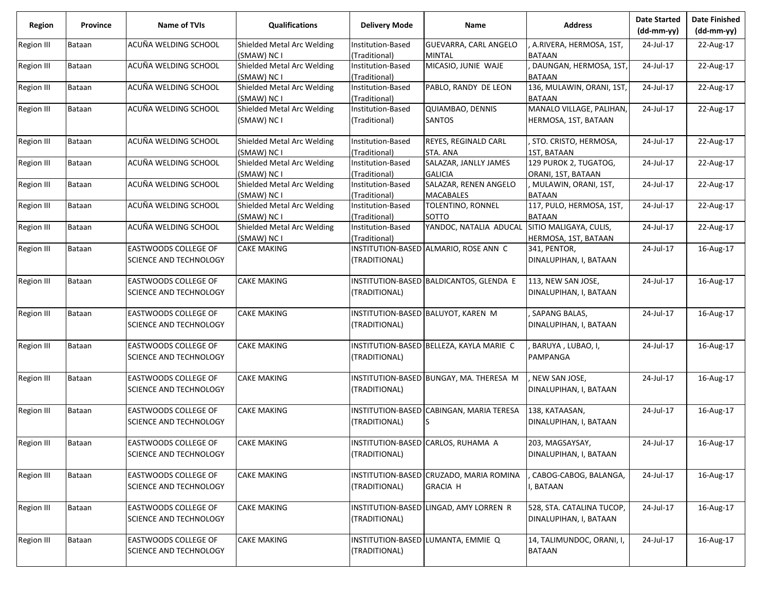| Region            | Province      | Name of TVIs                  | <b>Qualifications</b>                     | <b>Delivery Mode</b>               | Name                                     | <b>Address</b>                          | <b>Date Started</b><br>(dd-mm-yy) | <b>Date Finished</b><br>$(dd-mm-yy)$ |
|-------------------|---------------|-------------------------------|-------------------------------------------|------------------------------------|------------------------------------------|-----------------------------------------|-----------------------------------|--------------------------------------|
| Region III        | <b>Bataan</b> | ACUÑA WELDING SCHOOL          | Shielded Metal Arc Welding                | Institution-Based                  | GUEVARRA, CARL ANGELO                    | , A.RIVERA, HERMOSA, 1ST,               | 24-Jul-17                         | 22-Aug-17                            |
|                   |               |                               | (SMAW) NC I                               | (Traditional)                      | <b>MINTAL</b>                            | <b>BATAAN</b>                           |                                   |                                      |
| Region III        | Bataan        | ACUÑA WELDING SCHOOL          | Shielded Metal Arc Welding<br>(SMAW) NC I | Institution-Based<br>(Traditional) | MICASIO, JUNIE WAJE                      | DAUNGAN, HERMOSA, 1ST,<br><b>BATAAN</b> | 24-Jul-17                         | 22-Aug-17                            |
| Region III        | <b>Bataan</b> | ACUÑA WELDING SCHOOL          | Shielded Metal Arc Welding                | Institution-Based                  | PABLO, RANDY DE LEON                     | 136, MULAWIN, ORANI, 1ST,               | 24-Jul-17                         | 22-Aug-17                            |
|                   |               |                               | (SMAW) NC I                               | (Traditional)                      |                                          | <b>BATAAN</b>                           |                                   |                                      |
| Region III        | Bataan        | ACUÑA WELDING SCHOOL          | Shielded Metal Arc Welding                | Institution-Based                  | QUIAMBAO, DENNIS                         | MANALO VILLAGE, PALIHAN,                | 24-Jul-17                         | 22-Aug-17                            |
|                   |               |                               | (SMAW) NC I                               | (Traditional)                      | SANTOS                                   | HERMOSA, 1ST, BATAAN                    |                                   |                                      |
| Region III        | Bataan        | ACUÑA WELDING SCHOOL          | Shielded Metal Arc Welding                | Institution-Based                  | REYES, REGINALD CARL                     | , STO. CRISTO, HERMOSA,                 | 24-Jul-17                         | 22-Aug-17                            |
|                   |               |                               | (SMAW) NC I                               | (Traditional)                      | STA. ANA                                 | 1ST, BATAAN                             |                                   |                                      |
| Region III        | Bataan        | ACUÑA WELDING SCHOOL          | Shielded Metal Arc Welding                | Institution-Based                  | SALAZAR, JANLLY JAMES                    | 129 PUROK 2, TUGATOG,                   | 24-Jul-17                         | 22-Aug-17                            |
|                   |               |                               | (SMAW) NC I                               | (Traditional)                      | <b>GALICIA</b>                           | ORANI, 1ST, BATAAN                      |                                   |                                      |
| <b>Region III</b> | Bataan        | ACUÑA WELDING SCHOOL          | Shielded Metal Arc Welding                | Institution-Based                  | SALAZAR, RENEN ANGELO                    | , MULAWIN, ORANI, 1ST,                  | 24-Jul-17                         | 22-Aug-17                            |
|                   |               |                               | (SMAW) NC I                               | (Traditional)                      | <b>MACABALES</b>                         | <b>BATAAN</b>                           |                                   |                                      |
| Region III        | Bataan        | ACUÑA WELDING SCHOOL          | Shielded Metal Arc Welding                | Institution-Based                  | TOLENTINO, RONNEL                        | 117, PULO, HERMOSA, 1ST,                | 24-Jul-17                         | 22-Aug-17                            |
|                   |               |                               | (SMAW) NC I                               | (Traditional)                      | SOTTO                                    | <b>BATAAN</b>                           |                                   |                                      |
| Region III        | Bataan        | ACUÑA WELDING SCHOOL          | Shielded Metal Arc Welding                | Institution-Based                  | YANDOC, NATALIA ADUCAL                   | SITIO MALIGAYA, CULIS,                  | 24-Jul-17                         | 22-Aug-17                            |
|                   |               |                               | (SMAW) NC I                               | (Traditional)                      |                                          | HERMOSA, 1ST, BATAAN                    |                                   |                                      |
| Region III        | <b>Bataan</b> | EASTWOODS COLLEGE OF          | <b>CAKE MAKING</b>                        |                                    | INSTITUTION-BASED ALMARIO, ROSE ANN C    | 341, PENTOR,                            | 24-Jul-17                         | 16-Aug-17                            |
|                   |               | SCIENCE AND TECHNOLOGY        |                                           | (TRADITIONAL)                      |                                          | DINALUPIHAN, I, BATAAN                  |                                   |                                      |
| <b>Region III</b> | Bataan        | <b>EASTWOODS COLLEGE OF</b>   | <b>CAKE MAKING</b>                        |                                    | INSTITUTION-BASED BALDICANTOS, GLENDA E  | 113, NEW SAN JOSE,                      | 24-Jul-17                         | 16-Aug-17                            |
|                   |               | SCIENCE AND TECHNOLOGY        |                                           | (TRADITIONAL)                      |                                          | DINALUPIHAN, I, BATAAN                  |                                   |                                      |
| Region III        | Bataan        | <b>EASTWOODS COLLEGE OF</b>   | <b>CAKE MAKING</b>                        |                                    | INSTITUTION-BASED BALUYOT, KAREN M       | SAPANG BALAS,                           | 24-Jul-17                         | 16-Aug-17                            |
|                   |               | SCIENCE AND TECHNOLOGY        |                                           | (TRADITIONAL)                      |                                          | DINALUPIHAN, I, BATAAN                  |                                   |                                      |
| Region III        | Bataan        | <b>EASTWOODS COLLEGE OF</b>   | <b>CAKE MAKING</b>                        |                                    | INSTITUTION-BASED BELLEZA, KAYLA MARIE C | BARUYA, LUBAO, I,                       | 24-Jul-17                         | 16-Aug-17                            |
|                   |               | SCIENCE AND TECHNOLOGY        |                                           | (TRADITIONAL)                      |                                          | PAMPANGA                                |                                   |                                      |
| Region III        | Bataan        | <b>EASTWOODS COLLEGE OF</b>   | <b>CAKE MAKING</b>                        |                                    | INSTITUTION-BASED BUNGAY, MA. THERESA M  | , NEW SAN JOSE,                         | 24-Jul-17                         | 16-Aug-17                            |
|                   |               | SCIENCE AND TECHNOLOGY        |                                           | (TRADITIONAL)                      |                                          | DINALUPIHAN, I, BATAAN                  |                                   |                                      |
| <b>Region III</b> | Bataan        | <b>EASTWOODS COLLEGE OF</b>   | <b>CAKE MAKING</b>                        |                                    | INSTITUTION-BASED CABINGAN, MARIA TERESA | 138, KATAASAN,                          | 24-Jul-17                         | 16-Aug-17                            |
|                   |               | SCIENCE AND TECHNOLOGY        |                                           | (TRADITIONAL)                      |                                          | DINALUPIHAN, I, BATAAN                  |                                   |                                      |
| Region III        | <b>Bataan</b> | <b>EASTWOODS COLLEGE OF</b>   | <b>CAKE MAKING</b>                        |                                    | INSTITUTION-BASED CARLOS, RUHAMA A       | 203, MAGSAYSAY,                         | 24-Jul-17                         | 16-Aug-17                            |
|                   |               | SCIENCE AND TECHNOLOGY        |                                           | (TRADITIONAL)                      |                                          | DINALUPIHAN, I, BATAAN                  |                                   |                                      |
| Region III        | Bataan        | EASTWOODS COLLEGE OF          | <b>CAKE MAKING</b>                        |                                    | INSTITUTION-BASED CRUZADO, MARIA ROMINA  | CABOG-CABOG, BALANGA,                   | 24-Jul-17                         | 16-Aug-17                            |
|                   |               | <b>SCIENCE AND TECHNOLOGY</b> |                                           | (TRADITIONAL)                      | <b>GRACIA H</b>                          | , BATAAN                                |                                   |                                      |
| Region III        | Bataan        | EASTWOODS COLLEGE OF          | <b>CAKE MAKING</b>                        |                                    | INSTITUTION-BASED LINGAD, AMY LORREN R   | 528, STA. CATALINA TUCOP,               | 24-Jul-17                         | 16-Aug-17                            |
|                   |               | SCIENCE AND TECHNOLOGY        |                                           | (TRADITIONAL)                      |                                          | DINALUPIHAN, I, BATAAN                  |                                   |                                      |
| Region III        | Bataan        | <b>EASTWOODS COLLEGE OF</b>   | <b>CAKE MAKING</b>                        |                                    | INSTITUTION-BASED LUMANTA, EMMIE Q       | 14, TALIMUNDOC, ORANI, I,               | 24-Jul-17                         | 16-Aug-17                            |
|                   |               | SCIENCE AND TECHNOLOGY        |                                           | (TRADITIONAL)                      |                                          | <b>BATAAN</b>                           |                                   |                                      |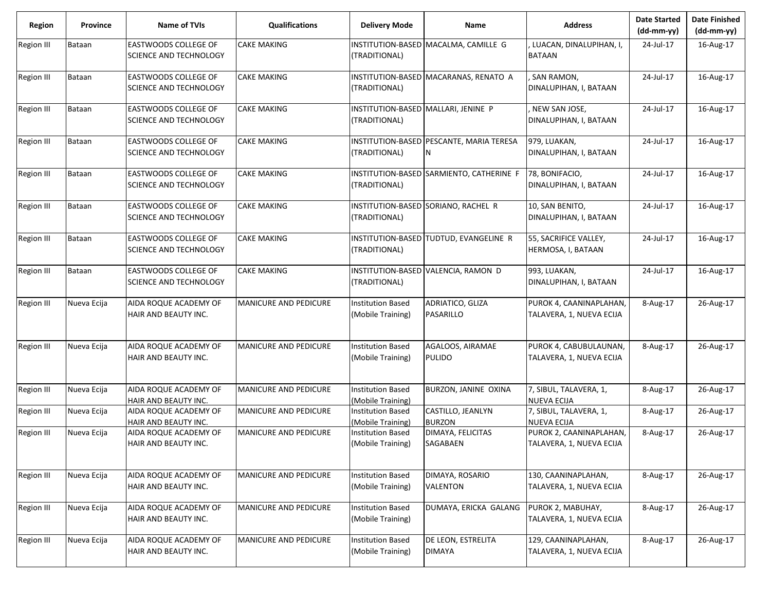| <b>Region</b>     | <b>Province</b> | Name of TVIs                                                 | <b>Qualifications</b>        | <b>Delivery Mode</b>                                 | <b>Name</b>                                   | <b>Address</b>                                      | <b>Date Started</b><br>$(dd-mm-yy)$ | <b>Date Finished</b><br>(dd-mm-yy) |
|-------------------|-----------------|--------------------------------------------------------------|------------------------------|------------------------------------------------------|-----------------------------------------------|-----------------------------------------------------|-------------------------------------|------------------------------------|
| <b>Region III</b> | Bataan          | <b>EASTWOODS COLLEGE OF</b><br>SCIENCE AND TECHNOLOGY        | <b>CAKE MAKING</b>           | INSTITUTION-BASED<br>(TRADITIONAL)                   | MACALMA, CAMILLE G                            | LUACAN, DINALUPIHAN, I,<br><b>BATAAN</b>            | 24-Jul-17                           | 16-Aug-17                          |
| <b>Region III</b> | Bataan          | <b>EASTWOODS COLLEGE OF</b><br>SCIENCE AND TECHNOLOGY        | <b>CAKE MAKING</b>           | (TRADITIONAL)                                        | INSTITUTION-BASED MACARANAS, RENATO A         | SAN RAMON,<br>DINALUPIHAN, I, BATAAN                | 24-Jul-17                           | 16-Aug-17                          |
| Region III        | Bataan          | <b>EASTWOODS COLLEGE OF</b><br><b>SCIENCE AND TECHNOLOGY</b> | <b>CAKE MAKING</b>           | INSTITUTION-BASED MALLARI, JENINE P<br>(TRADITIONAL) |                                               | NEW SAN JOSE,<br>DINALUPIHAN, I, BATAAN             | 24-Jul-17                           | 16-Aug-17                          |
| Region III        | Bataan          | <b>EASTWOODS COLLEGE OF</b><br>SCIENCE AND TECHNOLOGY        | <b>CAKE MAKING</b>           | (TRADITIONAL)                                        | INSTITUTION-BASED PESCANTE, MARIA TERESA<br>N | 979, LUAKAN,<br>DINALUPIHAN, I, BATAAN              | 24-Jul-17                           | 16-Aug-17                          |
| Region III        | Bataan          | <b>EASTWOODS COLLEGE OF</b><br><b>SCIENCE AND TECHNOLOGY</b> | CAKE MAKING                  | (TRADITIONAL)                                        | INSTITUTION-BASED SARMIENTO, CATHERINE F      | 78, BONIFACIO,<br>DINALUPIHAN, I, BATAAN            | 24-Jul-17                           | 16-Aug-17                          |
| <b>Region III</b> | Bataan          | <b>EASTWOODS COLLEGE OF</b><br>SCIENCE AND TECHNOLOGY        | <b>CAKE MAKING</b>           | (TRADITIONAL)                                        | INSTITUTION-BASED SORIANO, RACHEL R           | 10, SAN BENITO,<br>DINALUPIHAN, I, BATAAN           | 24-Jul-17                           | 16-Aug-17                          |
| <b>Region III</b> | Bataan          | <b>EASTWOODS COLLEGE OF</b><br><b>SCIENCE AND TECHNOLOGY</b> | <b>CAKE MAKING</b>           | (TRADITIONAL)                                        | INSTITUTION-BASED TUDTUD, EVANGELINE R        | 55, SACRIFICE VALLEY,<br>HERMOSA, I, BATAAN         | 24-Jul-17                           | 16-Aug-17                          |
| <b>Region III</b> | Bataan          | <b>EASTWOODS COLLEGE OF</b><br>SCIENCE AND TECHNOLOGY        | <b>CAKE MAKING</b>           | (TRADITIONAL)                                        | INSTITUTION-BASED VALENCIA, RAMON D           | 993, LUAKAN,<br>DINALUPIHAN, I, BATAAN              | 24-Jul-17                           | 16-Aug-17                          |
| Region III        | Nueva Ecija     | AIDA ROQUE ACADEMY OF<br>HAIR AND BEAUTY INC.                | <b>MANICURE AND PEDICURE</b> | <b>Institution Based</b><br>(Mobile Training)        | ADRIATICO, GLIZA<br>PASARILLO                 | PUROK 4, CAANINAPLAHAN,<br>TALAVERA, 1, NUEVA ECIJA | 8-Aug-17                            | 26-Aug-17                          |
| <b>Region III</b> | Nueva Ecija     | AIDA ROQUE ACADEMY OF<br>HAIR AND BEAUTY INC.                | <b>MANICURE AND PEDICURE</b> | <b>Institution Based</b><br>(Mobile Training)        | AGALOOS, AIRAMAE<br><b>PULIDO</b>             | PUROK 4, CABUBULAUNAN,<br>TALAVERA, 1, NUEVA ECIJA  | 8-Aug-17                            | 26-Aug-17                          |
| Region III        | Nueva Ecija     | AIDA ROQUE ACADEMY OF<br>HAIR AND BEAUTY INC.                | MANICURE AND PEDICURE        | <b>Institution Based</b><br>(Mobile Training)        | BURZON, JANINE OXINA                          | 7, SIBUL, TALAVERA, 1,<br><b>NUEVA ECIJA</b>        | 8-Aug-17                            | 26-Aug-17                          |
| Region III        | Nueva Ecija     | AIDA ROQUE ACADEMY OF<br>HAIR AND BEAUTY INC.                | MANICURE AND PEDICURE        | Institution Based<br>(Mobile Training)               | CASTILLO, JEANLYN<br><b>BURZON</b>            | 7, SIBUL, TALAVERA, 1,<br><b>NUEVA ECIJA</b>        | 8-Aug-17                            | 26-Aug-17                          |
| <b>Region III</b> | Nueva Ecija     | AIDA ROQUE ACADEMY OF<br>HAIR AND BEAUTY INC.                | <b>MANICURE AND PEDICURE</b> | <b>Institution Based</b><br>(Mobile Training)        | DIMAYA, FELICITAS<br><b>SAGABAEN</b>          | PUROK 2, CAANINAPLAHAN,<br>TALAVERA, 1, NUEVA ECIJA | 8-Aug-17                            | 26-Aug-17                          |
| Region III        | Nueva Ecija     | AIDA ROQUE ACADEMY OF<br>HAIR AND BEAUTY INC.                | MANICURE AND PEDICURE        | <b>Institution Based</b><br>(Mobile Training)        | DIMAYA, ROSARIO<br>VALENTON                   | 130, CAANINAPLAHAN,<br>TALAVERA, 1, NUEVA ECIJA     | 8-Aug-17                            | 26-Aug-17                          |
| <b>Region III</b> | Nueva Ecija     | AIDA ROQUE ACADEMY OF<br>HAIR AND BEAUTY INC.                | MANICURE AND PEDICURE        | <b>Institution Based</b><br>(Mobile Training)        | DUMAYA, ERICKA GALANG                         | PUROK 2, MABUHAY,<br>TALAVERA, 1, NUEVA ECIJA       | 8-Aug-17                            | 26-Aug-17                          |
| Region III        | Nueva Ecija     | AIDA ROQUE ACADEMY OF<br>HAIR AND BEAUTY INC.                | MANICURE AND PEDICURE        | <b>Institution Based</b><br>(Mobile Training)        | DE LEON, ESTRELITA<br><b>DIMAYA</b>           | 129, CAANINAPLAHAN,<br>TALAVERA, 1, NUEVA ECIJA     | 8-Aug-17                            | 26-Aug-17                          |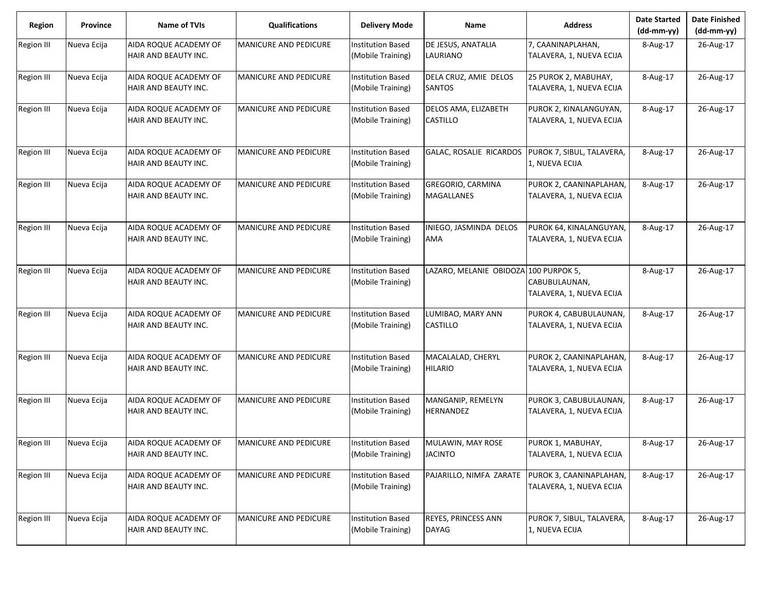| <b>Region</b>     | Province    | <b>Name of TVIs</b>                           | <b>Qualifications</b>        | <b>Delivery Mode</b>                          | Name                                   | <b>Address</b>                                      | <b>Date Started</b><br>$(dd-mm-yy)$ | <b>Date Finished</b><br>$(dd-mm-yy)$ |
|-------------------|-------------|-----------------------------------------------|------------------------------|-----------------------------------------------|----------------------------------------|-----------------------------------------------------|-------------------------------------|--------------------------------------|
| <b>Region III</b> | Nueva Ecija | AIDA ROQUE ACADEMY OF<br>HAIR AND BEAUTY INC. | <b>MANICURE AND PEDICURE</b> | <b>Institution Based</b><br>(Mobile Training) | DE JESUS, ANATALIA<br>LAURIANO         | 7, CAANINAPLAHAN,<br>TALAVERA, 1, NUEVA ECIJA       | 8-Aug-17                            | 26-Aug-17                            |
| Region III        | Nueva Ecija | AIDA ROQUE ACADEMY OF<br>HAIR AND BEAUTY INC. | <b>MANICURE AND PEDICURE</b> | <b>Institution Based</b><br>(Mobile Training) | DELA CRUZ, AMIE DELOS<br><b>SANTOS</b> | 25 PUROK 2, MABUHAY,<br>TALAVERA, 1, NUEVA ECIJA    | 8-Aug-17                            | 26-Aug-17                            |
| Region III        | Nueva Ecija | AIDA ROQUE ACADEMY OF<br>HAIR AND BEAUTY INC. | <b>MANICURE AND PEDICURE</b> | <b>Institution Based</b><br>(Mobile Training) | DELOS AMA, ELIZABETH<br>CASTILLO       | PUROK 2, KINALANGUYAN,<br>TALAVERA, 1, NUEVA ECIJA  | 8-Aug-17                            | 26-Aug-17                            |
| Region III        | Nueva Ecija | AIDA ROQUE ACADEMY OF<br>HAIR AND BEAUTY INC. | <b>MANICURE AND PEDICURE</b> | <b>Institution Based</b><br>(Mobile Training) | GALAC, ROSALIE RICARDOS                | PUROK 7, SIBUL, TALAVERA,<br>1, NUEVA ECIJA         | 8-Aug-17                            | 26-Aug-17                            |
| Region III        | Nueva Ecija | AIDA ROQUE ACADEMY OF<br>HAIR AND BEAUTY INC. | <b>MANICURE AND PEDICURE</b> | <b>Institution Based</b><br>(Mobile Training) | <b>GREGORIO, CARMINA</b><br>MAGALLANES | PUROK 2, CAANINAPLAHAN,<br>TALAVERA, 1, NUEVA ECIJA | 8-Aug-17                            | 26-Aug-17                            |
| <b>Region III</b> | Nueva Ecija | AIDA ROQUE ACADEMY OF<br>HAIR AND BEAUTY INC. | MANICURE AND PEDICURE        | <b>Institution Based</b><br>(Mobile Training) | INIEGO, JASMINDA DELOS<br><b>AMA</b>   | PUROK 64, KINALANGUYAN,<br>TALAVERA, 1, NUEVA ECIJA | 8-Aug-17                            | 26-Aug-17                            |
| <b>Region III</b> | Nueva Ecija | AIDA ROQUE ACADEMY OF<br>HAIR AND BEAUTY INC. | <b>MANICURE AND PEDICURE</b> | <b>Institution Based</b><br>(Mobile Training) | LAZARO, MELANIE OBIDOZA 100 PURPOK 5,  | CABUBULAUNAN,<br>TALAVERA, 1, NUEVA ECIJA           | 8-Aug-17                            | 26-Aug-17                            |
| <b>Region III</b> | Nueva Ecija | AIDA ROQUE ACADEMY OF<br>HAIR AND BEAUTY INC. | <b>MANICURE AND PEDICURE</b> | <b>Institution Based</b><br>(Mobile Training) | LUMIBAO, MARY ANN<br>CASTILLO          | PUROK 4, CABUBULAUNAN,<br>TALAVERA, 1, NUEVA ECIJA  | 8-Aug-17                            | 26-Aug-17                            |
| Region III        | Nueva Ecija | AIDA ROQUE ACADEMY OF<br>HAIR AND BEAUTY INC. | MANICURE AND PEDICURE        | <b>Institution Based</b><br>(Mobile Training) | MACALALAD, CHERYL<br><b>HILARIO</b>    | PUROK 2, CAANINAPLAHAN,<br>TALAVERA, 1, NUEVA ECIJA | 8-Aug-17                            | 26-Aug-17                            |
| <b>Region III</b> | Nueva Ecija | AIDA ROQUE ACADEMY OF<br>HAIR AND BEAUTY INC. | MANICURE AND PEDICURE        | <b>Institution Based</b><br>(Mobile Training) | MANGANIP, REMELYN<br>HERNANDEZ         | PUROK 3, CABUBULAUNAN,<br>TALAVERA, 1, NUEVA ECIJA  | 8-Aug-17                            | 26-Aug-17                            |
| Region III        | Nueva Ecija | AIDA ROQUE ACADEMY OF<br>HAIR AND BEAUTY INC. | <b>MANICURE AND PEDICURE</b> | <b>Institution Based</b><br>(Mobile Training) | MULAWIN, MAY ROSE<br><b>JACINTO</b>    | PUROK 1, MABUHAY,<br>TALAVERA, 1, NUEVA ECIJA       | 8-Aug-17                            | 26-Aug-17                            |
| <b>Region III</b> | Nueva Ecija | AIDA ROQUE ACADEMY OF<br>HAIR AND BEAUTY INC. | <b>MANICURE AND PEDICURE</b> | <b>Institution Based</b><br>(Mobile Training) | PAJARILLO, NIMFA ZARATE                | PUROK 3, CAANINAPLAHAN,<br>TALAVERA, 1, NUEVA ECIJA | 8-Aug-17                            | 26-Aug-17                            |
| Region III        | Nueva Ecija | AIDA ROQUE ACADEMY OF<br>HAIR AND BEAUTY INC. | MANICURE AND PEDICURE        | <b>Institution Based</b><br>(Mobile Training) | REYES, PRINCESS ANN<br><b>DAYAG</b>    | PUROK 7, SIBUL, TALAVERA,<br>1, NUEVA ECIJA         | 8-Aug-17                            | 26-Aug-17                            |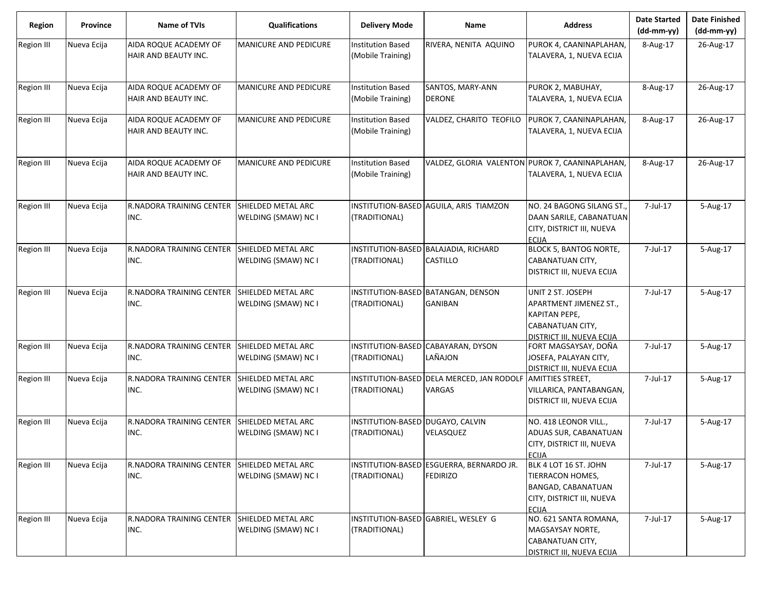| <b>Region</b>     | Province    | <b>Name of TVIs</b>                                 | <b>Qualifications</b>                     | <b>Delivery Mode</b>                              | Name                                                        | <b>Address</b>                                                                                                      | <b>Date Started</b><br>$(dd-mm-yy)$ | <b>Date Finished</b><br>(dd-mm-yy) |
|-------------------|-------------|-----------------------------------------------------|-------------------------------------------|---------------------------------------------------|-------------------------------------------------------------|---------------------------------------------------------------------------------------------------------------------|-------------------------------------|------------------------------------|
| <b>Region III</b> | Nueva Ecija | AIDA ROQUE ACADEMY OF<br>HAIR AND BEAUTY INC.       | MANICURE AND PEDICURE                     | <b>Institution Based</b><br>(Mobile Training)     | RIVERA, NENITA AQUINO                                       | PUROK 4, CAANINAPLAHAN,<br>TALAVERA, 1, NUEVA ECIJA                                                                 | 8-Aug-17                            | 26-Aug-17                          |
| <b>Region III</b> | Nueva Ecija | AIDA ROQUE ACADEMY OF                               | MANICURE AND PEDICURE                     | <b>Institution Based</b>                          | SANTOS, MARY-ANN                                            | PUROK 2, MABUHAY,                                                                                                   | 8-Aug-17                            | 26-Aug-17                          |
|                   |             | HAIR AND BEAUTY INC.                                |                                           | (Mobile Training)                                 | <b>DERONE</b>                                               | TALAVERA, 1, NUEVA ECIJA                                                                                            |                                     |                                    |
| <b>Region III</b> | Nueva Ecija | AIDA ROQUE ACADEMY OF<br>HAIR AND BEAUTY INC.       | MANICURE AND PEDICURE                     | <b>Institution Based</b><br>(Mobile Training)     | VALDEZ, CHARITO TEOFILO                                     | PUROK 7, CAANINAPLAHAN,<br>TALAVERA, 1, NUEVA ECIJA                                                                 | 8-Aug-17                            | 26-Aug-17                          |
| <b>Region III</b> | Nueva Ecija | AIDA ROQUE ACADEMY OF<br>HAIR AND BEAUTY INC.       | MANICURE AND PEDICURE                     | <b>Institution Based</b><br>(Mobile Training)     | VALDEZ, GLORIA VALENTON PUROK 7, CAANINAPLAHAN,             | TALAVERA, 1, NUEVA ECIJA                                                                                            | 8-Aug-17                            | 26-Aug-17                          |
| <b>Region III</b> | Nueva Ecija | R.NADORA TRAINING CENTER SHIELDED METAL ARC<br>INC. | WELDING (SMAW) NC I                       | (TRADITIONAL)                                     | INSTITUTION-BASED AGUILA, ARIS TIAMZON                      | NO. 24 BAGONG SILANG ST.,<br>DAAN SARILE, CABANATUAN<br>CITY, DISTRICT III, NUEVA<br><b>ECIJA</b>                   | 7-Jul-17                            | 5-Aug-17                           |
| <b>Region III</b> | Nueva Ecija | <b>R.NADORA TRAINING CENTER</b><br>INC.             | SHIELDED METAL ARC<br>WELDING (SMAW) NC I | (TRADITIONAL)                                     | INSTITUTION-BASED BALAJADIA, RICHARD<br>CASTILLO            | <b>BLOCK 5, BANTOG NORTE,</b><br>CABANATUAN CITY,<br>DISTRICT III, NUEVA ECIJA                                      | 7-Jul-17                            | 5-Aug-17                           |
| <b>Region III</b> | Nueva Ecija | R.NADORA TRAINING CENTER<br>INC.                    | SHIELDED METAL ARC<br>WELDING (SMAW) NC I | (TRADITIONAL)                                     | INSTITUTION-BASED BATANGAN, DENSON<br>GANIBAN               | UNIT 2 ST. JOSEPH<br>APARTMENT JIMENEZ ST.,<br>KAPITAN PEPE,<br>CABANATUAN CITY,<br>DISTRICT III. NUEVA ECIJA       | 7-Jul-17                            | 5-Aug-17                           |
| <b>Region III</b> | Nueva Ecija | R.NADORA TRAINING CENTER<br>INC.                    | SHIELDED METAL ARC<br>WELDING (SMAW) NC I | (TRADITIONAL)                                     | INSTITUTION-BASED CABAYARAN, DYSON<br>LAÑAJON               | FORT MAGSAYSAY, DOÑA<br>JOSEFA, PALAYAN CITY,<br>DISTRICT III, NUEVA ECIJA                                          | 7-Jul-17                            | 5-Aug-17                           |
| <b>Region III</b> | Nueva Ecija | R.NADORA TRAINING CENTER<br>INC.                    | SHIELDED METAL ARC<br>WELDING (SMAW) NC I | (TRADITIONAL)                                     | INSTITUTION-BASED DELA MERCED, JAN RODOLF<br>VARGAS         | <b>AMITTIES STREET,</b><br>VILLARICA, PANTABANGAN,<br>DISTRICT III, NUEVA ECIJA                                     | 7-Jul-17                            | 5-Aug-17                           |
| <b>Region III</b> | Nueva Ecija | R.NADORA TRAINING CENTER<br>INC.                    | SHIELDED METAL ARC<br>WELDING (SMAW) NC I | INSTITUTION-BASED DUGAYO, CALVIN<br>(TRADITIONAL) | VELASQUEZ                                                   | NO. 418 LEONOR VILL.,<br>ADUAS SUR, CABANATUAN<br>CITY, DISTRICT III, NUEVA<br><b>ECIJA</b>                         | 7-Jul-17                            | 5-Aug-17                           |
| Region III        | Nueva Ecija | R.NADORA TRAINING CENTER<br>INC.                    | SHIELDED METAL ARC<br>WELDING (SMAW) NC I | (TRADITIONAL)                                     | INSTITUTION-BASED ESGUERRA, BERNARDO JR.<br><b>FEDIRIZO</b> | BLK 4 LOT 16 ST. JOHN<br>TIERRACON HOMES,<br><b>BANGAD, CABANATUAN</b><br>CITY, DISTRICT III, NUEVA<br><b>ECIJA</b> | 7-Jul-17                            | 5-Aug-17                           |
| <b>Region III</b> | Nueva Ecija | R.NADORA TRAINING CENTER<br>INC.                    | SHIELDED METAL ARC<br>WELDING (SMAW) NC I | (TRADITIONAL)                                     | INSTITUTION-BASED GABRIEL, WESLEY G                         | NO. 621 SANTA ROMANA,<br>MAGSAYSAY NORTE,<br>CABANATUAN CITY,<br>DISTRICT III, NUEVA ECIJA                          | 7-Jul-17                            | 5-Aug-17                           |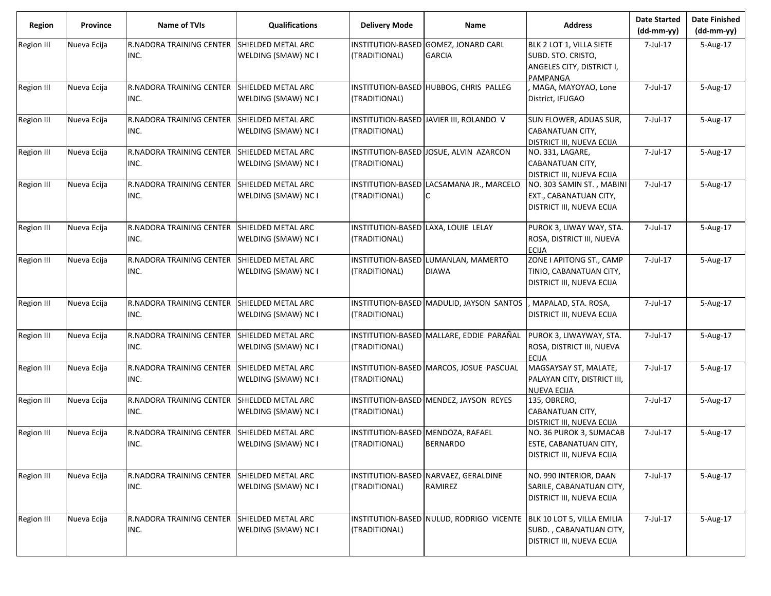| <b>Region</b>     | <b>Province</b> | Name of TVIs                            | <b>Qualifications</b>                     | <b>Delivery Mode</b>                                 | Name                                            | <b>Address</b>                                                                                 | <b>Date Started</b><br>$(dd-mm-yy)$ | <b>Date Finished</b><br>(dd-mm-yy) |
|-------------------|-----------------|-----------------------------------------|-------------------------------------------|------------------------------------------------------|-------------------------------------------------|------------------------------------------------------------------------------------------------|-------------------------------------|------------------------------------|
| <b>Region III</b> | Nueva Ecija     | <b>R.NADORA TRAINING CENTER</b><br>INC. | SHIELDED METAL ARC<br>WELDING (SMAW) NC I | <b>INSTITUTION-BASED</b><br>(TRADITIONAL)            | GOMEZ, JONARD CARL<br><b>GARCIA</b>             | BLK 2 LOT 1, VILLA SIETE<br>SUBD. STO. CRISTO,<br>ANGELES CITY, DISTRICT I,<br><b>PAMPANGA</b> | 7-Jul-17                            | 5-Aug-17                           |
| <b>Region III</b> | Nueva Ecija     | R.NADORA TRAINING CENTER<br>INC.        | SHIELDED METAL ARC<br>WELDING (SMAW) NC I | (TRADITIONAL)                                        | INSTITUTION-BASED HUBBOG, CHRIS PALLEG          | MAGA, MAYOYAO, Lone<br>District, IFUGAO                                                        | 7-Jul-17                            | 5-Aug-17                           |
| <b>Region III</b> | Nueva Ecija     | <b>R.NADORA TRAINING CENTER</b><br>INC. | SHIELDED METAL ARC<br>WELDING (SMAW) NC I | (TRADITIONAL)                                        | INSTITUTION-BASED JAVIER III, ROLANDO V         | SUN FLOWER, ADUAS SUR,<br>CABANATUAN CITY,<br>DISTRICT III, NUEVA ECIJA                        | 7-Jul-17                            | 5-Aug-17                           |
| <b>Region III</b> | Nueva Ecija     | R.NADORA TRAINING CENTER<br>INC.        | SHIELDED METAL ARC<br>WELDING (SMAW) NC I | (TRADITIONAL)                                        | INSTITUTION-BASED JOSUE, ALVIN AZARCON          | NO. 331, LAGARE,<br>CABANATUAN CITY,<br>DISTRICT III, NUEVA ECIJA                              | 7-Jul-17                            | 5-Aug-17                           |
| <b>Region III</b> | Nueva Ecija     | <b>R.NADORA TRAINING CENTER</b><br>INC. | SHIELDED METAL ARC<br>WELDING (SMAW) NC I | (TRADITIONAL)                                        | INSTITUTION-BASED LACSAMANA JR., MARCELO        | NO. 303 SAMIN ST., MABINI<br>EXT., CABANATUAN CITY,<br>DISTRICT III, NUEVA ECIJA               | 7-Jul-17                            | 5-Aug-17                           |
| <b>Region III</b> | Nueva Ecija     | <b>R.NADORA TRAINING CENTER</b><br>INC. | SHIELDED METAL ARC<br>WELDING (SMAW) NC I | INSTITUTION-BASED LAXA, LOUIE LELAY<br>(TRADITIONAL) |                                                 | PUROK 3, LIWAY WAY, STA.<br>ROSA, DISTRICT III, NUEVA<br><b>ECIJA</b>                          | 7-Jul-17                            | 5-Aug-17                           |
| <b>Region III</b> | Nueva Ecija     | <b>R.NADORA TRAINING CENTER</b><br>INC. | SHIELDED METAL ARC<br>WELDING (SMAW) NC I | INSTITUTION-BASED<br>(TRADITIONAL)                   | LUMANLAN, MAMERTO<br><b>DIAWA</b>               | ZONE I APITONG ST., CAMP<br>TINIO, CABANATUAN CITY,<br>DISTRICT III, NUEVA ECIJA               | 7-Jul-17                            | 5-Aug-17                           |
| <b>Region III</b> | Nueva Ecija     | R.NADORA TRAINING CENTER<br>INC.        | SHIELDED METAL ARC<br>WELDING (SMAW) NC I | (TRADITIONAL)                                        | INSTITUTION-BASED MADULID, JAYSON SANTOS        | MAPALAD, STA. ROSA,<br>DISTRICT III, NUEVA ECIJA                                               | 7-Jul-17                            | 5-Aug-17                           |
| <b>Region III</b> | Nueva Ecija     | R.NADORA TRAINING CENTER<br>INC.        | SHIELDED METAL ARC<br>WELDING (SMAW) NC I | (TRADITIONAL)                                        | INSTITUTION-BASED MALLARE, EDDIE PARAÑAL        | PUROK 3, LIWAYWAY, STA.<br>ROSA, DISTRICT III, NUEVA<br><b>ECIJA</b>                           | 7-Jul-17                            | 5-Aug-17                           |
| <b>Region III</b> | Nueva Ecija     | R.NADORA TRAINING CENTER<br>INC.        | SHIELDED METAL ARC<br>WELDING (SMAW) NC I | (TRADITIONAL)                                        | INSTITUTION-BASED MARCOS, JOSUE PASCUAL         | MAGSAYSAY ST, MALATE,<br>PALAYAN CITY, DISTRICT III,<br><b>NUEVA ECIJA</b>                     | 7-Jul-17                            | 5-Aug-17                           |
| <b>Region III</b> | Nueva Ecija     | <b>R.NADORA TRAINING CENTER</b><br>INC. | SHIELDED METAL ARC<br>WELDING (SMAW) NC I | (TRADITIONAL)                                        | INSTITUTION-BASED MENDEZ, JAYSON REYES          | 135, OBRERO,<br>CABANATUAN CITY,<br>DISTRICT III, NUEVA ECIJA                                  | 7-Jul-17                            | 5-Aug-17                           |
| <b>Region III</b> | Nueva Ecija     | R.NADORA TRAINING CENTER<br>INC.        | SHIELDED METAL ARC<br>WELDING (SMAW) NC I | INSTITUTION-BASED MENDOZA, RAFAEL<br>(TRADITIONAL)   | <b>BERNARDO</b>                                 | NO. 36 PUROK 3, SUMACAB<br>ESTE, CABANATUAN CITY,<br><b>DISTRICT III, NUEVA ECIJA</b>          | 7-Jul-17                            | 5-Aug-17                           |
| <b>Region III</b> | Nueva Ecija     | R.NADORA TRAINING CENTER<br>INC.        | SHIELDED METAL ARC<br>WELDING (SMAW) NC I | (TRADITIONAL)                                        | INSTITUTION-BASED NARVAEZ, GERALDINE<br>RAMIREZ | NO. 990 INTERIOR, DAAN<br>SARILE, CABANATUAN CITY,<br>DISTRICT III, NUEVA ECIJA                | 7-Jul-17                            | 5-Aug-17                           |
| <b>Region III</b> | Nueva Ecija     | R.NADORA TRAINING CENTER<br>INC.        | SHIELDED METAL ARC<br>WELDING (SMAW) NC I | (TRADITIONAL)                                        | INSTITUTION-BASED NULUD, RODRIGO VICENTE        | BLK 10 LOT 5, VILLA EMILIA<br>SUBD., CABANATUAN CITY,<br>DISTRICT III, NUEVA ECIJA             | 7-Jul-17                            | 5-Aug-17                           |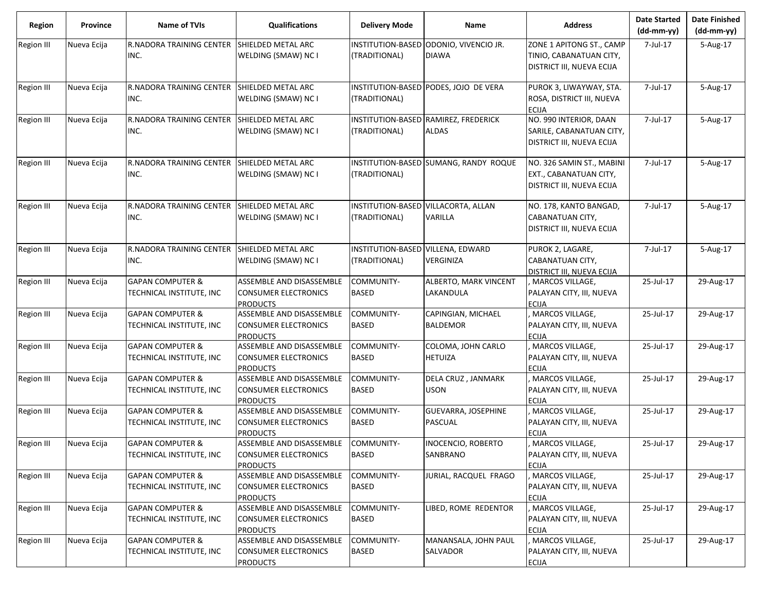| <b>Region</b>     | Province    | Name of TVIs                                            | <b>Qualifications</b>                                                      | <b>Delivery Mode</b>                               | Name                                                 | <b>Address</b>                                                                   | <b>Date Started</b><br>$(dd-mm-yy)$ | <b>Date Finished</b><br>$(dd-mm-yy)$ |
|-------------------|-------------|---------------------------------------------------------|----------------------------------------------------------------------------|----------------------------------------------------|------------------------------------------------------|----------------------------------------------------------------------------------|-------------------------------------|--------------------------------------|
| <b>Region III</b> | Nueva Ecija | <b>R.NADORA TRAINING CENTER</b><br>INC.                 | SHIELDED METAL ARC<br>WELDING (SMAW) NC I                                  | (TRADITIONAL)                                      | INSTITUTION-BASED ODDONIO, VIVENCIO JR.<br>DIAWA     | ZONE 1 APITONG ST., CAMP<br>TINIO, CABANATUAN CITY,<br>DISTRICT III, NUEVA ECIJA | 7-Jul-17                            | 5-Aug-17                             |
| <b>Region III</b> | Nueva Ecija | R.NADORA TRAINING CENTER<br>INC.                        | SHIELDED METAL ARC<br>WELDING (SMAW) NC I                                  | (TRADITIONAL)                                      | INSTITUTION-BASED PODES, JOJO DE VERA                | PUROK 3, LIWAYWAY, STA.<br>ROSA, DISTRICT III, NUEVA<br><b>ECIJA</b>             | 7-Jul-17                            | 5-Aug-17                             |
| Region III        | Nueva Ecija | R.NADORA TRAINING CENTER<br>INC.                        | SHIELDED METAL ARC<br>WELDING (SMAW) NC I                                  | (TRADITIONAL)                                      | INSTITUTION-BASED RAMIREZ, FREDERICK<br><b>ALDAS</b> | NO. 990 INTERIOR, DAAN<br>SARILE, CABANATUAN CITY,<br>DISTRICT III, NUEVA ECIJA  | 7-Jul-17                            | 5-Aug-17                             |
| Region III        | Nueva Ecija | R.NADORA TRAINING CENTER<br>INC.                        | SHIELDED METAL ARC<br>WELDING (SMAW) NC I                                  | (TRADITIONAL)                                      | INSTITUTION-BASED SUMANG, RANDY ROQUE                | NO. 326 SAMIN ST., MABINI<br>EXT., CABANATUAN CITY,<br>DISTRICT III, NUEVA ECIJA | 7-Jul-17                            | 5-Aug-17                             |
| Region III        | Nueva Ecija | R.NADORA TRAINING CENTER SHIELDED METAL ARC<br>INC.     | WELDING (SMAW) NC I                                                        | (TRADITIONAL)                                      | INSTITUTION-BASED VILLACORTA, ALLAN<br>VARILLA       | NO. 178, KANTO BANGAD,<br>CABANATUAN CITY,<br>DISTRICT III, NUEVA ECIJA          | 7-Jul-17                            | 5-Aug-17                             |
| Region III        | Nueva Ecija | R.NADORA TRAINING CENTER<br>INC.                        | SHIELDED METAL ARC<br>WELDING (SMAW) NC I                                  | INSTITUTION-BASED VILLENA, EDWARD<br>(TRADITIONAL) | VERGINIZA                                            | PUROK 2, LAGARE,<br>CABANATUAN CITY,<br>DISTRICT III, NUEVA ECIJA                | 7-Jul-17                            | 5-Aug-17                             |
| Region III        | Nueva Ecija | <b>GAPAN COMPUTER &amp;</b><br>TECHNICAL INSTITUTE, INC | ASSEMBLE AND DISASSEMBLE<br><b>CONSUMER ELECTRONICS</b><br><b>PRODUCTS</b> | COMMUNITY-<br>BASED                                | ALBERTO, MARK VINCENT<br>LAKANDULA                   | MARCOS VILLAGE,<br>PALAYAN CITY, III, NUEVA<br><b>ECIJA</b>                      | 25-Jul-17                           | 29-Aug-17                            |
| Region III        | Nueva Ecija | <b>GAPAN COMPUTER &amp;</b><br>TECHNICAL INSTITUTE, INC | ASSEMBLE AND DISASSEMBLE<br><b>CONSUMER ELECTRONICS</b><br><b>PRODUCTS</b> | COMMUNITY-<br>BASED                                | CAPINGIAN, MICHAEL<br><b>BALDEMOR</b>                | MARCOS VILLAGE,<br>PALAYAN CITY, III, NUEVA<br><b>ECIJA</b>                      | 25-Jul-17                           | 29-Aug-17                            |
| Region III        | Nueva Ecija | <b>GAPAN COMPUTER &amp;</b><br>TECHNICAL INSTITUTE, INC | ASSEMBLE AND DISASSEMBLE<br><b>CONSUMER ELECTRONICS</b><br><b>PRODUCTS</b> | COMMUNITY-<br>BASED                                | COLOMA, JOHN CARLO<br><b>HETUIZA</b>                 | MARCOS VILLAGE,<br>PALAYAN CITY, III, NUEVA<br><b>ECIJA</b>                      | 25-Jul-17                           | 29-Aug-17                            |
| Region III        | Nueva Ecija | <b>GAPAN COMPUTER &amp;</b><br>TECHNICAL INSTITUTE, INC | ASSEMBLE AND DISASSEMBLE<br><b>CONSUMER ELECTRONICS</b><br><b>PRODUCTS</b> | COMMUNITY-<br>BASED                                | DELA CRUZ, JANMARK<br>USON                           | MARCOS VILLAGE,<br>PALAYAN CITY, III, NUEVA<br><b>ECIJA</b>                      | 25-Jul-17                           | 29-Aug-17                            |
| Region III        | Nueva Ecija | <b>GAPAN COMPUTER &amp;</b><br>TECHNICAL INSTITUTE, INC | ASSEMBLE AND DISASSEMBLE<br><b>CONSUMER ELECTRONICS</b><br><b>PRODUCTS</b> | COMMUNITY-<br>BASED                                | GUEVARRA, JOSEPHINE<br><b>PASCUAL</b>                | MARCOS VILLAGE,<br>PALAYAN CITY, III, NUEVA<br><b>ECIJA</b>                      | 25-Jul-17                           | 29-Aug-17                            |
| Region III        | Nueva Ecija | <b>GAPAN COMPUTER &amp;</b><br>TECHNICAL INSTITUTE, INC | ASSEMBLE AND DISASSEMBLE<br><b>CONSUMER ELECTRONICS</b><br><b>PRODUCTS</b> | COMMUNITY-<br><b>BASED</b>                         | <b>INOCENCIO, ROBERTO</b><br>SANBRANO                | MARCOS VILLAGE,<br>PALAYAN CITY, III, NUEVA<br><b>ECIJA</b>                      | 25-Jul-17                           | 29-Aug-17                            |
| Region III        | Nueva Ecija | <b>GAPAN COMPUTER &amp;</b><br>TECHNICAL INSTITUTE, INC | ASSEMBLE AND DISASSEMBLE<br><b>CONSUMER ELECTRONICS</b><br><b>PRODUCTS</b> | COMMUNITY-<br>BASED                                | JURIAL, RACQUEL FRAGO                                | MARCOS VILLAGE,<br>PALAYAN CITY, III, NUEVA<br><b>ECIJA</b>                      | 25-Jul-17                           | 29-Aug-17                            |
| Region III        | Nueva Ecija | <b>GAPAN COMPUTER &amp;</b><br>TECHNICAL INSTITUTE, INC | ASSEMBLE AND DISASSEMBLE<br><b>CONSUMER ELECTRONICS</b><br><b>PRODUCTS</b> | COMMUNITY-<br>BASED                                | IBED, ROME REDENTOR                                  | MARCOS VILLAGE,<br>PALAYAN CITY, III, NUEVA<br><b>ECIJA</b>                      | 25-Jul-17                           | 29-Aug-17                            |
| Region III        | Nueva Ecija | <b>GAPAN COMPUTER &amp;</b><br>TECHNICAL INSTITUTE, INC | ASSEMBLE AND DISASSEMBLE<br><b>CONSUMER ELECTRONICS</b><br><b>PRODUCTS</b> | COMMUNITY-<br>BASED                                | MANANSALA, JOHN PAUL<br>SALVADOR                     | MARCOS VILLAGE,<br>PALAYAN CITY, III, NUEVA<br><b>ECIJA</b>                      | 25-Jul-17                           | 29-Aug-17                            |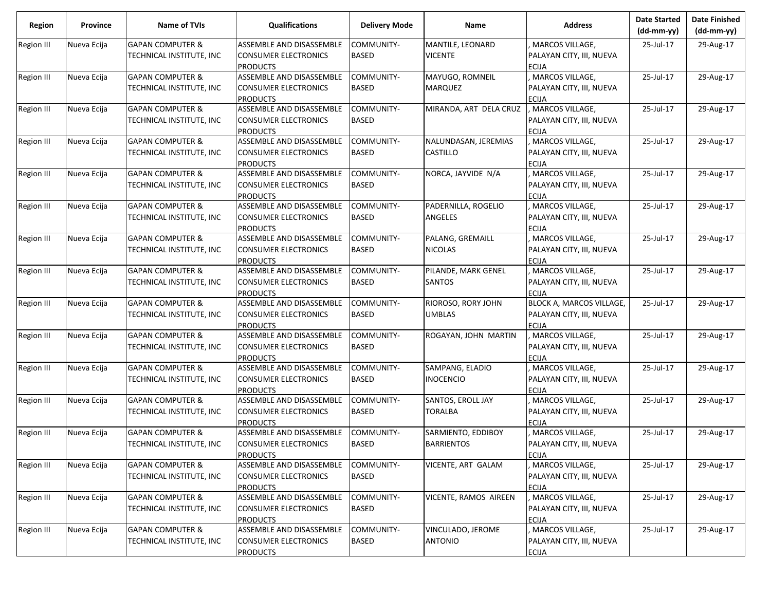| <b>Region</b>     | <b>Province</b> | <b>Name of TVIs</b>         | <b>Qualifications</b>       | <b>Delivery Mode</b> | <b>Name</b>            | <b>Address</b>                  | <b>Date Started</b><br>$(dd-mm-yy)$ | <b>Date Finished</b><br>(dd-mm-yy) |
|-------------------|-----------------|-----------------------------|-----------------------------|----------------------|------------------------|---------------------------------|-------------------------------------|------------------------------------|
| Region III        | Nueva Ecija     | <b>GAPAN COMPUTER &amp;</b> | ASSEMBLE AND DISASSEMBLE    | COMMUNITY-           | MANTILE, LEONARD       | MARCOS VILLAGE,                 | 25-Jul-17                           | 29-Aug-17                          |
|                   |                 | TECHNICAL INSTITUTE, INC    | <b>CONSUMER ELECTRONICS</b> | BASED                | <b>VICENTE</b>         | PALAYAN CITY, III, NUEVA        |                                     |                                    |
|                   |                 |                             | <b>PRODUCTS</b>             |                      |                        | <b>ECIJA</b>                    |                                     |                                    |
| Region III        | Nueva Ecija     | <b>GAPAN COMPUTER &amp;</b> | ASSEMBLE AND DISASSEMBLE    | COMMUNITY-           | MAYUGO, ROMNEIL        | MARCOS VILLAGE,                 | 25-Jul-17                           | 29-Aug-17                          |
|                   |                 | TECHNICAL INSTITUTE, INC    | <b>CONSUMER ELECTRONICS</b> | BASED                | <b>MARQUEZ</b>         | PALAYAN CITY, III, NUEVA        |                                     |                                    |
|                   |                 |                             | <b>PRODUCTS</b>             |                      |                        | <b>ECIJA</b>                    |                                     |                                    |
| Region III        | Nueva Ecija     | <b>GAPAN COMPUTER &amp;</b> | ASSEMBLE AND DISASSEMBLE    | COMMUNITY-           | MIRANDA, ART DELA CRUZ | , MARCOS VILLAGE,               | 25-Jul-17                           | 29-Aug-17                          |
|                   |                 | TECHNICAL INSTITUTE, INC    | <b>CONSUMER ELECTRONICS</b> | BASED                |                        | PALAYAN CITY, III, NUEVA        |                                     |                                    |
|                   |                 |                             | <b>PRODUCTS</b>             |                      |                        | <b>ECIJA</b>                    |                                     |                                    |
| <b>Region III</b> | Nueva Ecija     | <b>GAPAN COMPUTER &amp;</b> | ASSEMBLE AND DISASSEMBLE    | COMMUNITY-           | NALUNDASAN, JEREMIAS   | MARCOS VILLAGE,                 | 25-Jul-17                           | 29-Aug-17                          |
|                   |                 | TECHNICAL INSTITUTE, INC    | <b>CONSUMER ELECTRONICS</b> | BASED                | <b>CASTILLO</b>        | PALAYAN CITY, III, NUEVA        |                                     |                                    |
|                   |                 |                             | <b>PRODUCTS</b>             |                      |                        | <b>ECIJA</b>                    |                                     |                                    |
| Region III        | Nueva Ecija     | <b>GAPAN COMPUTER &amp;</b> | ASSEMBLE AND DISASSEMBLE    | COMMUNITY-           | NORCA, JAYVIDE N/A     | MARCOS VILLAGE,                 | 25-Jul-17                           | 29-Aug-17                          |
|                   |                 | TECHNICAL INSTITUTE, INC    | <b>CONSUMER ELECTRONICS</b> | BASED                |                        | PALAYAN CITY, III, NUEVA        |                                     |                                    |
|                   |                 |                             | <b>PRODUCTS</b>             |                      |                        | <b>ECIJA</b>                    |                                     |                                    |
| Region III        | Nueva Ecija     | <b>GAPAN COMPUTER &amp;</b> | ASSEMBLE AND DISASSEMBLE    | COMMUNITY-           | PADERNILLA, ROGELIO    | MARCOS VILLAGE.                 | 25-Jul-17                           | 29-Aug-17                          |
|                   |                 | TECHNICAL INSTITUTE, INC    | <b>CONSUMER ELECTRONICS</b> | BASED                | ANGELES                | PALAYAN CITY, III, NUEVA        |                                     |                                    |
|                   |                 |                             | <b>PRODUCTS</b>             |                      |                        | <b>ECIJA</b>                    |                                     |                                    |
| Region III        | Nueva Ecija     | <b>GAPAN COMPUTER &amp;</b> | ASSEMBLE AND DISASSEMBLE    | COMMUNITY-           | PALANG, GREMAILL       | MARCOS VILLAGE,                 | 25-Jul-17                           | 29-Aug-17                          |
|                   |                 | TECHNICAL INSTITUTE, INC    | <b>CONSUMER ELECTRONICS</b> | <b>BASED</b>         | <b>NICOLAS</b>         | PALAYAN CITY, III, NUEVA        |                                     |                                    |
|                   |                 |                             | <b>PRODUCTS</b>             |                      |                        | <b>ECIJA</b>                    |                                     |                                    |
| Region III        | Nueva Ecija     | <b>GAPAN COMPUTER &amp;</b> | ASSEMBLE AND DISASSEMBLE    | COMMUNITY-           | PILANDE, MARK GENEL    | MARCOS VILLAGE,                 | 25-Jul-17                           | 29-Aug-17                          |
|                   |                 | TECHNICAL INSTITUTE, INC    | <b>CONSUMER ELECTRONICS</b> | BASED                | <b>SANTOS</b>          | PALAYAN CITY, III, NUEVA        |                                     |                                    |
|                   |                 |                             | <b>PRODUCTS</b>             |                      |                        | <b>ECIJA</b>                    |                                     |                                    |
| Region III        | Nueva Ecija     | <b>GAPAN COMPUTER &amp;</b> | ASSEMBLE AND DISASSEMBLE    | COMMUNITY-           | RIOROSO, RORY JOHN     | <b>BLOCK A, MARCOS VILLAGE,</b> | 25-Jul-17                           | 29-Aug-17                          |
|                   |                 | TECHNICAL INSTITUTE, INC    | <b>CONSUMER ELECTRONICS</b> | <b>BASED</b>         | <b>UMBLAS</b>          | PALAYAN CITY, III, NUEVA        |                                     |                                    |
|                   |                 |                             | <b>PRODUCTS</b>             |                      |                        | <b>ECIJA</b>                    |                                     |                                    |
| Region III        | Nueva Ecija     | <b>GAPAN COMPUTER &amp;</b> | ASSEMBLE AND DISASSEMBLE    | COMMUNITY-           | ROGAYAN, JOHN MARTIN   | MARCOS VILLAGE,                 | 25-Jul-17                           | 29-Aug-17                          |
|                   |                 | TECHNICAL INSTITUTE, INC    | <b>CONSUMER ELECTRONICS</b> | BASED                |                        | PALAYAN CITY, III, NUEVA        |                                     |                                    |
|                   |                 |                             | <b>PRODUCTS</b>             |                      |                        | <b>ECIJA</b>                    |                                     |                                    |
| Region III        | Nueva Ecija     | <b>GAPAN COMPUTER &amp;</b> | ASSEMBLE AND DISASSEMBLE    | COMMUNITY-           | SAMPANG, ELADIO        | MARCOS VILLAGE,                 | 25-Jul-17                           | 29-Aug-17                          |
|                   |                 | TECHNICAL INSTITUTE, INC    | <b>CONSUMER ELECTRONICS</b> | <b>BASED</b>         | <b>INOCENCIO</b>       | PALAYAN CITY, III, NUEVA        |                                     |                                    |
|                   |                 |                             | <b>PRODUCTS</b>             |                      |                        | <b>ECIJA</b>                    |                                     |                                    |
| Region III        | Nueva Ecija     | <b>GAPAN COMPUTER &amp;</b> | ASSEMBLE AND DISASSEMBLE    | COMMUNITY-           | SANTOS, EROLL JAY      | MARCOS VILLAGE,                 | 25-Jul-17                           | 29-Aug-17                          |
|                   |                 | TECHNICAL INSTITUTE, INC    | <b>CONSUMER ELECTRONICS</b> | <b>BASED</b>         | <b>TORALBA</b>         | PALAYAN CITY, III, NUEVA        |                                     |                                    |
|                   |                 |                             | <b>PRODUCTS</b>             |                      |                        | <b>ECIJA</b>                    |                                     |                                    |
| Region III        | Nueva Ecija     | <b>GAPAN COMPUTER &amp;</b> | ASSEMBLE AND DISASSEMBLE    | COMMUNITY-           | SARMIENTO, EDDIBOY     | MARCOS VILLAGE,                 | 25-Jul-17                           | 29-Aug-17                          |
|                   |                 | TECHNICAL INSTITUTE, INC    | <b>CONSUMER ELECTRONICS</b> | <b>BASED</b>         | <b>BARRIENTOS</b>      | PALAYAN CITY, III, NUEVA        |                                     |                                    |
|                   |                 |                             | <b>PRODUCTS</b>             |                      |                        | <b>ECIJA</b>                    |                                     |                                    |
| Region III        | Nueva Ecija     | <b>GAPAN COMPUTER &amp;</b> | ASSEMBLE AND DISASSEMBLE    | COMMUNITY-           | VICENTE, ART GALAM     | MARCOS VILLAGE,                 | 25-Jul-17                           | 29-Aug-17                          |
|                   |                 | TECHNICAL INSTITUTE, INC    | <b>CONSUMER ELECTRONICS</b> | BASED                |                        | PALAYAN CITY, III, NUEVA        |                                     |                                    |
|                   |                 |                             | <b>PRODUCTS</b>             |                      |                        | <b>ECIJA</b>                    |                                     |                                    |
| Region III        | Nueva Ecija     | <b>GAPAN COMPUTER &amp;</b> | ASSEMBLE AND DISASSEMBLE    | COMMUNITY-           | VICENTE, RAMOS AIREEN  | MARCOS VILLAGE,                 | 25-Jul-17                           | 29-Aug-17                          |
|                   |                 | TECHNICAL INSTITUTE, INC    | <b>CONSUMER ELECTRONICS</b> | <b>BASED</b>         |                        | PALAYAN CITY, III, NUEVA        |                                     |                                    |
|                   |                 |                             | <b>PRODUCTS</b>             |                      |                        | <b>ECIJA</b>                    |                                     |                                    |
| Region III        | Nueva Ecija     | <b>GAPAN COMPUTER &amp;</b> | ASSEMBLE AND DISASSEMBLE    | COMMUNITY-           | VINCULADO, JEROME      | MARCOS VILLAGE,                 | 25-Jul-17                           | 29-Aug-17                          |
|                   |                 | TECHNICAL INSTITUTE, INC    | <b>CONSUMER ELECTRONICS</b> | BASED                | <b>ANTONIO</b>         | PALAYAN CITY, III, NUEVA        |                                     |                                    |
|                   |                 |                             | <b>PRODUCTS</b>             |                      |                        | <b>ECIJA</b>                    |                                     |                                    |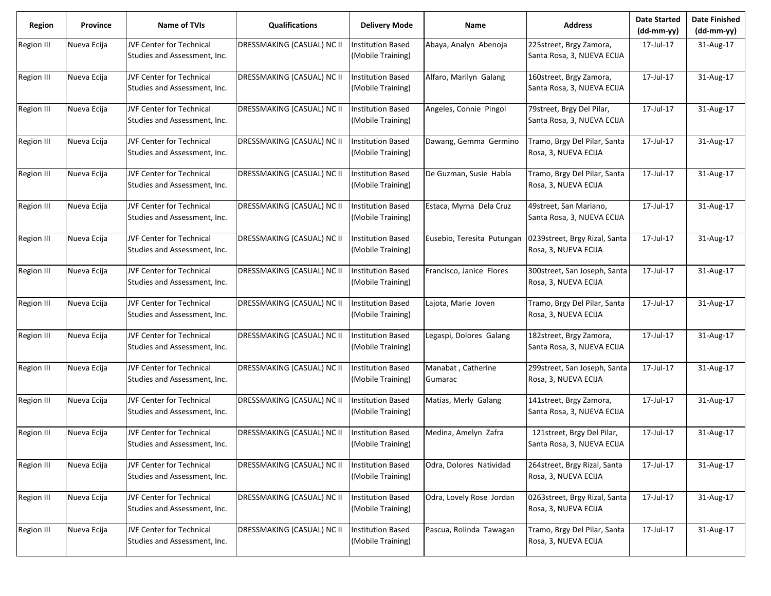| <b>Region</b>     | Province    | Name of TVIs                                                    | <b>Qualifications</b>      | <b>Delivery Mode</b>                          | Name                          | <b>Address</b>                                           | <b>Date Started</b><br>$(dd-mm-yy)$ | <b>Date Finished</b><br>$(dd-mm-yy)$ |
|-------------------|-------------|-----------------------------------------------------------------|----------------------------|-----------------------------------------------|-------------------------------|----------------------------------------------------------|-------------------------------------|--------------------------------------|
| <b>Region III</b> | Nueva Ecija | <b>JVF Center for Technical</b><br>Studies and Assessment, Inc. | DRESSMAKING (CASUAL) NC II | <b>Institution Based</b><br>(Mobile Training) | Abaya, Analyn Abenoja         | 225street, Brgy Zamora,<br>Santa Rosa, 3, NUEVA ECIJA    | 17-Jul-17                           | 31-Aug-17                            |
| <b>Region III</b> | Nueva Ecija | <b>JVF Center for Technical</b><br>Studies and Assessment, Inc. | DRESSMAKING (CASUAL) NC II | <b>Institution Based</b><br>(Mobile Training) | Alfaro, Marilyn Galang        | 160street, Brgy Zamora,<br>Santa Rosa, 3, NUEVA ECIJA    | 17-Jul-17                           | 31-Aug-17                            |
| Region III        | Nueva Ecija | <b>JVF Center for Technical</b><br>Studies and Assessment, Inc. | DRESSMAKING (CASUAL) NC II | <b>Institution Based</b><br>(Mobile Training) | Angeles, Connie Pingol        | 79street, Brgy Del Pilar,<br>Santa Rosa, 3, NUEVA ECIJA  | 17-Jul-17                           | 31-Aug-17                            |
| Region III        | Nueva Ecija | <b>JVF Center for Technical</b><br>Studies and Assessment, Inc. | DRESSMAKING (CASUAL) NC II | <b>Institution Based</b><br>(Mobile Training) | Dawang, Gemma Germino         | Tramo, Brgy Del Pilar, Santa<br>Rosa, 3, NUEVA ECIJA     | 17-Jul-17                           | 31-Aug-17                            |
| <b>Region III</b> | Nueva Ecija | <b>JVF Center for Technical</b><br>Studies and Assessment, Inc. | DRESSMAKING (CASUAL) NC II | <b>Institution Based</b><br>(Mobile Training) | De Guzman, Susie Habla        | Tramo, Brgy Del Pilar, Santa<br>Rosa, 3, NUEVA ECIJA     | 17-Jul-17                           | 31-Aug-17                            |
| <b>Region III</b> | Nueva Ecija | <b>JVF Center for Technical</b><br>Studies and Assessment, Inc. | DRESSMAKING (CASUAL) NC II | <b>Institution Based</b><br>(Mobile Training) | Estaca, Myrna Dela Cruz       | 49street, San Mariano,<br>Santa Rosa, 3, NUEVA ECIJA     | 17-Jul-17                           | 31-Aug-17                            |
| <b>Region III</b> | Nueva Ecija | <b>JVF Center for Technical</b><br>Studies and Assessment, Inc. | DRESSMAKING (CASUAL) NC II | <b>Institution Based</b><br>(Mobile Training) | Eusebio, Teresita Putungan    | 0239street, Brgy Rizal, Santa<br>Rosa, 3, NUEVA ECIJA    | 17-Jul-17                           | 31-Aug-17                            |
| <b>Region III</b> | Nueva Ecija | <b>JVF Center for Technical</b><br>Studies and Assessment, Inc. | DRESSMAKING (CASUAL) NC II | <b>Institution Based</b><br>(Mobile Training) | Francisco, Janice Flores      | 300street, San Joseph, Santa<br>Rosa, 3, NUEVA ECIJA     | 17-Jul-17                           | 31-Aug-17                            |
| <b>Region III</b> | Nueva Ecija | <b>JVF Center for Technical</b><br>Studies and Assessment, Inc. | DRESSMAKING (CASUAL) NC II | <b>Institution Based</b><br>(Mobile Training) | Lajota, Marie Joven           | Tramo, Brgy Del Pilar, Santa<br>Rosa, 3, NUEVA ECIJA     | 17-Jul-17                           | 31-Aug-17                            |
| <b>Region III</b> | Nueva Ecija | <b>JVF Center for Technical</b><br>Studies and Assessment, Inc. | DRESSMAKING (CASUAL) NC II | <b>Institution Based</b><br>(Mobile Training) | Legaspi, Dolores Galang       | 182street, Brgy Zamora,<br>Santa Rosa, 3, NUEVA ECIJA    | 17-Jul-17                           | 31-Aug-17                            |
| <b>Region III</b> | Nueva Ecija | <b>JVF Center for Technical</b><br>Studies and Assessment, Inc. | DRESSMAKING (CASUAL) NC II | <b>Institution Based</b><br>(Mobile Training) | Manabat, Catherine<br>Gumarac | 299street, San Joseph, Santa<br>Rosa, 3, NUEVA ECIJA     | 17-Jul-17                           | 31-Aug-17                            |
| <b>Region III</b> | Nueva Ecija | JVF Center for Technical<br>Studies and Assessment, Inc.        | DRESSMAKING (CASUAL) NC II | <b>Institution Based</b><br>(Mobile Training) | Matias, Merly Galang          | 141street, Brgy Zamora,<br>Santa Rosa, 3, NUEVA ECIJA    | 17-Jul-17                           | 31-Aug-17                            |
| <b>Region III</b> | Nueva Ecija | <b>JVF Center for Technical</b><br>Studies and Assessment, Inc. | DRESSMAKING (CASUAL) NC II | <b>Institution Based</b><br>(Mobile Training) | Medina, Amelyn Zafra          | 121street, Brgy Del Pilar,<br>Santa Rosa, 3, NUEVA ECIJA | 17-Jul-17                           | 31-Aug-17                            |
| <b>Region III</b> | Nueva Ecija | JVF Center for Technical<br>Studies and Assessment, Inc.        | DRESSMAKING (CASUAL) NC II | <b>Institution Based</b><br>(Mobile Training) | Odra, Dolores Natividad       | 264street, Brgy Rizal, Santa<br>Rosa, 3, NUEVA ECIJA     | 17-Jul-17                           | 31-Aug-17                            |
| Region III        | Nueva Ecija | JVF Center for Technical<br>Studies and Assessment, Inc.        | DRESSMAKING (CASUAL) NC II | <b>Institution Based</b><br>(Mobile Training) | Odra, Lovely Rose Jordan      | 0263street, Brgy Rizal, Santa<br>Rosa, 3, NUEVA ECIJA    | 17-Jul-17                           | 31-Aug-17                            |
| Region III        | Nueva Ecija | JVF Center for Technical<br>Studies and Assessment, Inc.        | DRESSMAKING (CASUAL) NC II | <b>Institution Based</b><br>(Mobile Training) | Pascua, Rolinda Tawagan       | Tramo, Brgy Del Pilar, Santa<br>Rosa, 3, NUEVA ECIJA     | 17-Jul-17                           | 31-Aug-17                            |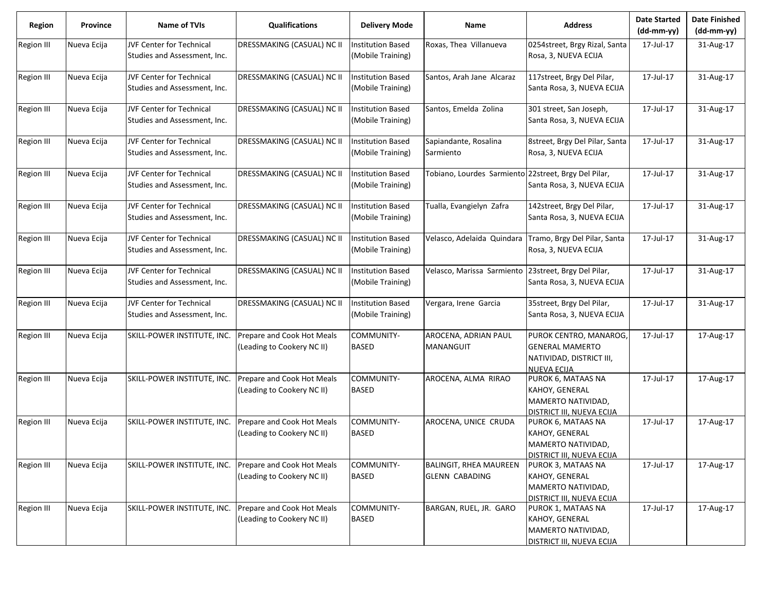| <b>Region</b>     | <b>Province</b> | <b>Name of TVIs</b>                                             | <b>Qualifications</b>                                    | <b>Delivery Mode</b>                          | <b>Name</b>                                            | <b>Address</b>                                                                                 | <b>Date Started</b><br>$(dd-mm-vv)$ | <b>Date Finished</b><br>(dd-mm-yy) |
|-------------------|-----------------|-----------------------------------------------------------------|----------------------------------------------------------|-----------------------------------------------|--------------------------------------------------------|------------------------------------------------------------------------------------------------|-------------------------------------|------------------------------------|
| <b>Region III</b> | Nueva Ecija     | <b>JVF Center for Technical</b><br>Studies and Assessment, Inc. | DRESSMAKING (CASUAL) NC II                               | <b>Institution Based</b><br>(Mobile Training) | Roxas, Thea Villanueva                                 | 0254street, Brgy Rizal, Santa<br>Rosa, 3, NUEVA ECIJA                                          | 17-Jul-17                           | 31-Aug-17                          |
| <b>Region III</b> | Nueva Ecija     | <b>JVF Center for Technical</b><br>Studies and Assessment, Inc. | DRESSMAKING (CASUAL) NC II                               | <b>Institution Based</b><br>(Mobile Training) | Santos, Arah Jane Alcaraz                              | 117street, Brgy Del Pilar,<br>Santa Rosa, 3, NUEVA ECIJA                                       | 17-Jul-17                           | 31-Aug-17                          |
| Region III        | Nueva Ecija     | <b>JVF Center for Technical</b><br>Studies and Assessment, Inc. | DRESSMAKING (CASUAL) NC II                               | <b>Institution Based</b><br>(Mobile Training) | Santos, Emelda Zolina                                  | 301 street, San Joseph,<br>Santa Rosa, 3, NUEVA ECIJA                                          | 17-Jul-17                           | 31-Aug-17                          |
| Region III        | Nueva Ecija     | <b>JVF Center for Technical</b><br>Studies and Assessment, Inc. | DRESSMAKING (CASUAL) NC II                               | <b>Institution Based</b><br>(Mobile Training) | Sapiandante, Rosalina<br>Sarmiento                     | 8street, Brgy Del Pilar, Santa<br>Rosa, 3, NUEVA ECIJA                                         | 17-Jul-17                           | 31-Aug-17                          |
| <b>Region III</b> | Nueva Ecija     | <b>JVF Center for Technical</b><br>Studies and Assessment, Inc. | DRESSMAKING (CASUAL) NC II                               | <b>Institution Based</b><br>(Mobile Training) | Tobiano, Lourdes Sarmiento 22street, Brgy Del Pilar,   | Santa Rosa, 3, NUEVA ECIJA                                                                     | 17-Jul-17                           | 31-Aug-17                          |
| <b>Region III</b> | Nueva Ecija     | <b>JVF Center for Technical</b><br>Studies and Assessment, Inc. | DRESSMAKING (CASUAL) NC II                               | <b>Institution Based</b><br>(Mobile Training) | Tualla, Evangielyn Zafra                               | 142street, Brgy Del Pilar,<br>Santa Rosa, 3, NUEVA ECIJA                                       | 17-Jul-17                           | 31-Aug-17                          |
| <b>Region III</b> | Nueva Ecija     | <b>JVF Center for Technical</b><br>Studies and Assessment, Inc. | DRESSMAKING (CASUAL) NC II                               | <b>Institution Based</b><br>(Mobile Training) | Velasco, Adelaida Quindara                             | Tramo, Brgy Del Pilar, Santa<br>Rosa, 3, NUEVA ECIJA                                           | 17-Jul-17                           | 31-Aug-17                          |
| <b>Region III</b> | Nueva Ecija     | <b>JVF Center for Technical</b><br>Studies and Assessment, Inc. | DRESSMAKING (CASUAL) NC II                               | <b>Institution Based</b><br>(Mobile Training) | Velasco, Marissa Sarmiento                             | 23street, Brgy Del Pilar,<br>Santa Rosa, 3, NUEVA ECIJA                                        | 17-Jul-17                           | 31-Aug-17                          |
| <b>Region III</b> | Nueva Ecija     | <b>JVF Center for Technical</b><br>Studies and Assessment, Inc. | DRESSMAKING (CASUAL) NC II                               | <b>Institution Based</b><br>(Mobile Training) | Vergara, Irene Garcia                                  | 35street, Brgy Del Pilar,<br>Santa Rosa, 3, NUEVA ECIJA                                        | 17-Jul-17                           | 31-Aug-17                          |
| <b>Region III</b> | Nueva Ecija     | SKILL-POWER INSTITUTE, INC.                                     | Prepare and Cook Hot Meals<br>(Leading to Cookery NC II) | COMMUNITY-<br><b>BASED</b>                    | AROCENA, ADRIAN PAUL<br>MANANGUIT                      | PUROK CENTRO, MANAROG,<br><b>GENERAL MAMERTO</b><br>NATIVIDAD, DISTRICT III,<br>NUEVA ECIJA    | 17-Jul-17                           | 17-Aug-17                          |
| <b>Region III</b> | Nueva Ecija     | SKILL-POWER INSTITUTE, INC.                                     | Prepare and Cook Hot Meals<br>(Leading to Cookery NC II) | COMMUNITY-<br><b>BASED</b>                    | AROCENA, ALMA RIRAO                                    | PUROK 6, MATAAS NA<br>KAHOY, GENERAL<br>MAMERTO NATIVIDAD,<br>DISTRICT III, NUEVA ECIJA        | 17-Jul-17                           | 17-Aug-17                          |
| <b>Region III</b> | Nueva Ecija     | SKILL-POWER INSTITUTE, INC.                                     | Prepare and Cook Hot Meals<br>(Leading to Cookery NC II) | COMMUNITY-<br><b>BASED</b>                    | AROCENA, UNICE CRUDA                                   | PUROK 6, MATAAS NA<br>KAHOY, GENERAL<br>MAMERTO NATIVIDAD,<br><b>DISTRICT III, NUEVA ECIJA</b> | 17-Jul-17                           | 17-Aug-17                          |
| <b>Region III</b> | Nueva Ecija     | SKILL-POWER INSTITUTE, INC.                                     | Prepare and Cook Hot Meals<br>(Leading to Cookery NC II) | COMMUNITY-<br><b>BASED</b>                    | <b>BALINGIT, RHEA MAUREEN</b><br><b>GLENN CABADING</b> | PUROK 3, MATAAS NA<br>KAHOY, GENERAL<br>MAMERTO NATIVIDAD,<br>DISTRICT III, NUEVA ECIJA        | 17-Jul-17                           | 17-Aug-17                          |
| Region III        | Nueva Ecija     | SKILL-POWER INSTITUTE, INC.                                     | Prepare and Cook Hot Meals<br>(Leading to Cookery NC II) | COMMUNITY-<br><b>BASED</b>                    | BARGAN, RUEL, JR. GARO                                 | PUROK 1, MATAAS NA<br>KAHOY, GENERAL<br>MAMERTO NATIVIDAD,<br>DISTRICT III, NUEVA ECIJA        | 17-Jul-17                           | 17-Aug-17                          |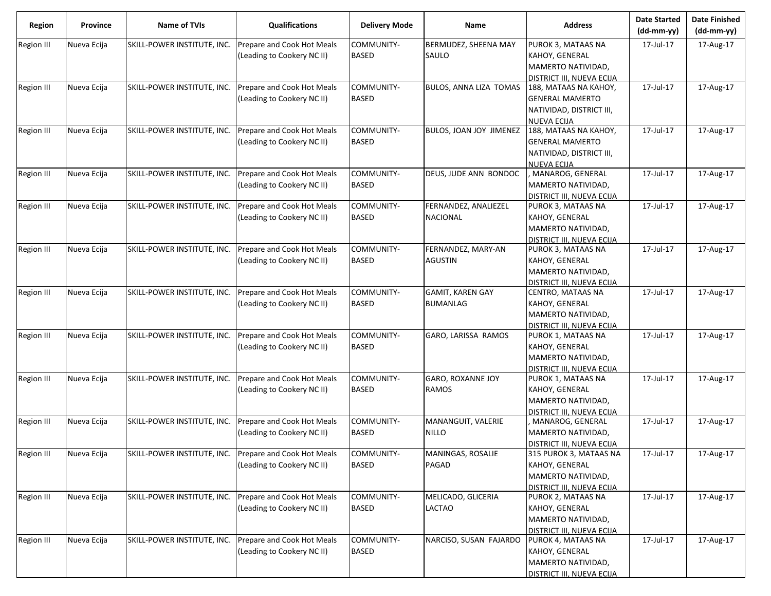| Region            | Province    | Name of TVIs                                           | <b>Qualifications</b>                                    | <b>Delivery Mode</b>       | Name                                       | <b>Address</b>                                                                                    | <b>Date Started</b><br>$(dd-mm-yy)$ | <b>Date Finished</b><br>(dd-mm-yy) |
|-------------------|-------------|--------------------------------------------------------|----------------------------------------------------------|----------------------------|--------------------------------------------|---------------------------------------------------------------------------------------------------|-------------------------------------|------------------------------------|
| Region III        | Nueva Ecija | SKILL-POWER INSTITUTE, INC.                            | Prepare and Cook Hot Meals<br>(Leading to Cookery NC II) | COMMUNITY-<br><b>BASED</b> | BERMUDEZ, SHEENA MAY<br>SAULO              | PUROK 3, MATAAS NA<br>KAHOY, GENERAL<br>MAMERTO NATIVIDAD,<br>DISTRICT III, NUEVA ECIJA           | 17-Jul-17                           | 17-Aug-17                          |
| <b>Region III</b> | Nueva Ecija | SKILL-POWER INSTITUTE, INC.                            | Prepare and Cook Hot Meals<br>(Leading to Cookery NC II) | COMMUNITY-<br>BASED        | BULOS, ANNA LIZA TOMAS                     | 188, MATAAS NA KAHOY,<br><b>GENERAL MAMERTO</b><br>NATIVIDAD, DISTRICT III,<br><b>NUEVA ECIJA</b> | 17-Jul-17                           | 17-Aug-17                          |
| <b>Region III</b> | Nueva Ecija | SKILL-POWER INSTITUTE, INC.                            | Prepare and Cook Hot Meals<br>(Leading to Cookery NC II) | COMMUNITY-<br><b>BASED</b> | BULOS, JOAN JOY JIMENEZ                    | 188, MATAAS NA KAHOY,<br><b>GENERAL MAMERTO</b><br>NATIVIDAD, DISTRICT III,<br><b>NUEVA ECIJA</b> | 17-Jul-17                           | 17-Aug-17                          |
| Region III        | Nueva Ecija | SKILL-POWER INSTITUTE, INC.                            | Prepare and Cook Hot Meals<br>(Leading to Cookery NC II) | COMMUNITY-<br>BASED        | DEUS, JUDE ANN BONDOC                      | MANAROG, GENERAL<br>MAMERTO NATIVIDAD,<br>DISTRICT III, NUEVA ECIJA                               | 17-Jul-17                           | 17-Aug-17                          |
| Region III        | Nueva Ecija | SKILL-POWER INSTITUTE, INC.                            | Prepare and Cook Hot Meals<br>(Leading to Cookery NC II) | COMMUNITY-<br>BASED        | FERNANDEZ, ANALIEZEL<br><b>NACIONAL</b>    | PUROK 3, MATAAS NA<br>KAHOY, GENERAL<br>MAMERTO NATIVIDAD,<br>DISTRICT III, NUEVA ECIJA           | 17-Jul-17                           | 17-Aug-17                          |
| <b>Region III</b> | Nueva Ecija | SKILL-POWER INSTITUTE, INC.                            | Prepare and Cook Hot Meals<br>(Leading to Cookery NC II) | COMMUNITY-<br>BASED        | FERNANDEZ, MARY-AN<br><b>AGUSTIN</b>       | PUROK 3, MATAAS NA<br>KAHOY, GENERAL<br>MAMERTO NATIVIDAD,<br>DISTRICT III, NUEVA ECIJA           | 17-Jul-17                           | 17-Aug-17                          |
| Region III        | Nueva Ecija | SKILL-POWER INSTITUTE, INC.                            | Prepare and Cook Hot Meals<br>(Leading to Cookery NC II) | COMMUNITY-<br>BASED        | <b>GAMIT, KAREN GAY</b><br><b>BUMANLAG</b> | CENTRO, MATAAS NA<br>KAHOY, GENERAL<br>MAMERTO NATIVIDAD,<br>DISTRICT III, NUEVA ECIJA            | 17-Jul-17                           | 17-Aug-17                          |
| Region III        | Nueva Ecija | SKILL-POWER INSTITUTE, INC.                            | Prepare and Cook Hot Meals<br>(Leading to Cookery NC II) | COMMUNITY-<br><b>BASED</b> | GARO, LARISSA RAMOS                        | PUROK 1, MATAAS NA<br>KAHOY, GENERAL<br>MAMERTO NATIVIDAD,<br>DISTRICT III, NUEVA ECIJA           | 17-Jul-17                           | 17-Aug-17                          |
| Region III        | Nueva Ecija | SKILL-POWER INSTITUTE, INC.                            | Prepare and Cook Hot Meals<br>(Leading to Cookery NC II) | COMMUNITY-<br>BASED        | GARO, ROXANNE JOY<br><b>RAMOS</b>          | PUROK 1, MATAAS NA<br>KAHOY, GENERAL<br>MAMERTO NATIVIDAD,<br>DISTRICT III, NUEVA ECIJA           | 17-Jul-17                           | 17-Aug-17                          |
| Region III        | Nueva Ecija | SKILL-POWER INSTITUTE, INC.                            | Prepare and Cook Hot Meals<br>(Leading to Cookery NC II) | COMMUNITY-<br>BASED        | MANANGUIT, VALERIE<br><b>NILLO</b>         | MANAROG, GENERAL<br>MAMERTO NATIVIDAD,<br>DISTRICT III, NUEVA ECIJA                               | 17-Jul-17                           | 17-Aug-17                          |
| Region III        | Nueva Ecija | SKILL-POWER INSTITUTE, INC. Prepare and Cook Hot Meals | (Leading to Cookery NC II)                               | COMMUNITY-<br>BASED        | MANINGAS, ROSALIE<br>PAGAD                 | 315 PUROK 3, MATAAS NA<br>KAHOY, GENERAL<br>MAMERTO NATIVIDAD,<br>DISTRICT III, NUEVA ECIJA       | 17-Jul-17                           | 17-Aug-17                          |
| Region III        | Nueva Ecija | SKILL-POWER INSTITUTE, INC.                            | Prepare and Cook Hot Meals<br>(Leading to Cookery NC II) | COMMUNITY-<br><b>BASED</b> | MELICADO, GLICERIA<br><b>LACTAO</b>        | PUROK 2, MATAAS NA<br>KAHOY, GENERAL<br>MAMERTO NATIVIDAD,<br>DISTRICT III, NUEVA ECIJA           | 17-Jul-17                           | 17-Aug-17                          |
| Region III        | Nueva Ecija | SKILL-POWER INSTITUTE, INC.                            | Prepare and Cook Hot Meals<br>(Leading to Cookery NC II) | COMMUNITY-<br>BASED        | NARCISO, SUSAN FAJARDO                     | PUROK 4, MATAAS NA<br>KAHOY, GENERAL<br>MAMERTO NATIVIDAD,<br>DISTRICT III, NUEVA ECIJA           | 17-Jul-17                           | 17-Aug-17                          |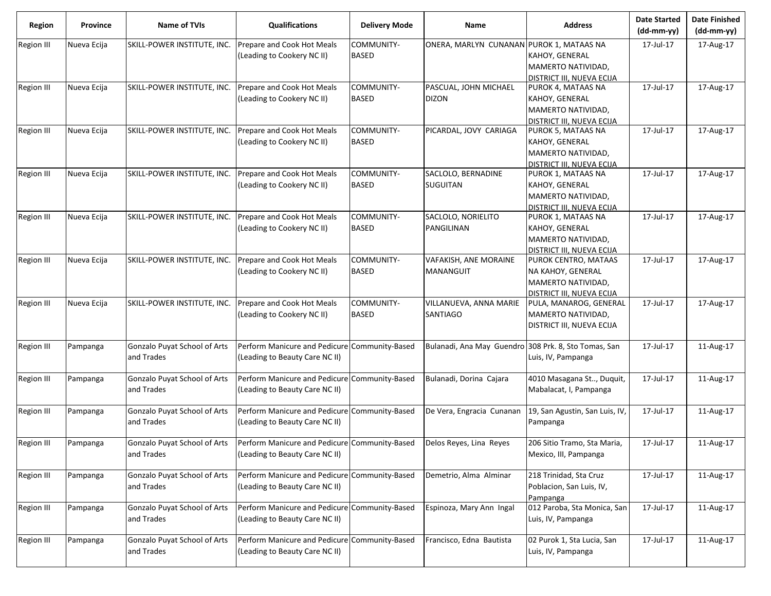| <b>Region</b>     | Province    | <b>Name of TVIs</b>                        | <b>Qualifications</b>                                                           | <b>Delivery Mode</b>       | Name                                      | <b>Address</b>                                                                                 | <b>Date Started</b><br>$(dd-mm-yy)$ | <b>Date Finished</b><br>(dd-mm-yy) |
|-------------------|-------------|--------------------------------------------|---------------------------------------------------------------------------------|----------------------------|-------------------------------------------|------------------------------------------------------------------------------------------------|-------------------------------------|------------------------------------|
| <b>Region III</b> | Nueva Ecija | SKILL-POWER INSTITUTE, INC.                | Prepare and Cook Hot Meals<br>(Leading to Cookery NC II)                        | COMMUNITY-<br><b>BASED</b> | ONERA, MARLYN CUNANAN PUROK 1, MATAAS NA  | KAHOY, GENERAL<br>MAMERTO NATIVIDAD,<br>DISTRICT III, NUEVA ECIJA                              | 17-Jul-17                           | 17-Aug-17                          |
| <b>Region III</b> | Nueva Ecija | SKILL-POWER INSTITUTE, INC.                | Prepare and Cook Hot Meals<br>(Leading to Cookery NC II)                        | COMMUNITY-<br><b>BASED</b> | PASCUAL, JOHN MICHAEL<br><b>DIZON</b>     | PUROK 4, MATAAS NA<br>KAHOY, GENERAL<br>MAMERTO NATIVIDAD,<br>DISTRICT III, NUEVA ECIJA        | 17-Jul-17                           | 17-Aug-17                          |
| Region III        | Nueva Ecija | SKILL-POWER INSTITUTE, INC.                | Prepare and Cook Hot Meals<br>(Leading to Cookery NC II)                        | COMMUNITY-<br><b>BASED</b> | PICARDAL, JOVY CARIAGA                    | PUROK 5, MATAAS NA<br>KAHOY, GENERAL<br>MAMERTO NATIVIDAD,<br><b>DISTRICT III, NUEVA ECIJA</b> | 17-Jul-17                           | 17-Aug-17                          |
| <b>Region III</b> | Nueva Ecija | SKILL-POWER INSTITUTE, INC.                | Prepare and Cook Hot Meals<br>(Leading to Cookery NC II)                        | COMMUNITY-<br><b>BASED</b> | SACLOLO, BERNADINE<br>SUGUITAN            | PUROK 1, MATAAS NA<br>KAHOY, GENERAL<br>MAMERTO NATIVIDAD,<br><b>DISTRICT III, NUEVA ECIJA</b> | 17-Jul-17                           | 17-Aug-17                          |
| <b>Region III</b> | Nueva Ecija | SKILL-POWER INSTITUTE, INC.                | Prepare and Cook Hot Meals<br>(Leading to Cookery NC II)                        | COMMUNITY-<br><b>BASED</b> | SACLOLO, NORIELITO<br>PANGILINAN          | PUROK 1, MATAAS NA<br>KAHOY, GENERAL<br>MAMERTO NATIVIDAD,<br><b>DISTRICT III, NUEVA ECIJA</b> | 17-Jul-17                           | 17-Aug-17                          |
| <b>Region III</b> | Nueva Ecija | SKILL-POWER INSTITUTE, INC.                | Prepare and Cook Hot Meals<br>(Leading to Cookery NC II)                        | COMMUNITY-<br><b>BASED</b> | VAFAKISH, ANE MORAINE<br><b>MANANGUIT</b> | PUROK CENTRO, MATAAS<br>NA KAHOY, GENERAL<br>MAMERTO NATIVIDAD,<br>DISTRICT III, NUEVA ECIJA   | 17-Jul-17                           | 17-Aug-17                          |
| <b>Region III</b> | Nueva Ecija | SKILL-POWER INSTITUTE, INC.                | Prepare and Cook Hot Meals<br>(Leading to Cookery NC II)                        | COMMUNITY-<br><b>BASED</b> | VILLANUEVA, ANNA MARIE<br><b>SANTIAGO</b> | PULA, MANAROG, GENERAL<br>MAMERTO NATIVIDAD,<br>DISTRICT III, NUEVA ECIJA                      | 17-Jul-17                           | 17-Aug-17                          |
| <b>Region III</b> | Pampanga    | Gonzalo Puyat School of Arts<br>and Trades | Perform Manicure and Pedicure Community-Based<br>(Leading to Beauty Care NC II) |                            | Bulanadi, Ana May Guendro                 | 308 Prk. 8, Sto Tomas, San<br>Luis, IV, Pampanga                                               | 17-Jul-17                           | 11-Aug-17                          |
| <b>Region III</b> | Pampanga    | Gonzalo Puyat School of Arts<br>and Trades | Perform Manicure and Pedicure Community-Based<br>(Leading to Beauty Care NC II) |                            | Bulanadi, Dorina Cajara                   | 4010 Masagana St, Duquit,<br>Mabalacat, I, Pampanga                                            | 17-Jul-17                           | 11-Aug-17                          |
| <b>Region III</b> | Pampanga    | Gonzalo Puyat School of Arts<br>and Trades | Perform Manicure and Pedicure Community-Based<br>(Leading to Beauty Care NC II) |                            | De Vera, Engracia Cunanan                 | 19, San Agustin, San Luis, IV,<br>Pampanga                                                     | 17-Jul-17                           | 11-Aug-17                          |
| Region III        | Pampanga    | Gonzalo Puyat School of Arts<br>and Trades | Perform Manicure and Pedicure Community-Based<br>(Leading to Beauty Care NC II) |                            | Delos Reyes, Lina Reyes                   | 206 Sitio Tramo, Sta Maria,<br>Mexico, III, Pampanga                                           | 17-Jul-17                           | 11-Aug-17                          |
| Region III        | Pampanga    | Gonzalo Puyat School of Arts<br>and Trades | Perform Manicure and Pedicure Community-Based<br>(Leading to Beauty Care NC II) |                            | Demetrio, Alma Alminar                    | 218 Trinidad, Sta Cruz<br>Poblacion, San Luis, IV,<br>Pampanga                                 | 17-Jul-17                           | 11-Aug-17                          |
| Region III        | Pampanga    | Gonzalo Puyat School of Arts<br>and Trades | Perform Manicure and Pedicure Community-Based<br>(Leading to Beauty Care NC II) |                            | Espinoza, Mary Ann Ingal                  | 012 Paroba, Sta Monica, San<br>Luis, IV, Pampanga                                              | 17-Jul-17                           | 11-Aug-17                          |
| <b>Region III</b> | Pampanga    | Gonzalo Puyat School of Arts<br>and Trades | Perform Manicure and Pedicure Community-Based<br>(Leading to Beauty Care NC II) |                            | Francisco, Edna Bautista                  | 02 Purok 1, Sta Lucia, San<br>Luis, IV, Pampanga                                               | 17-Jul-17                           | 11-Aug-17                          |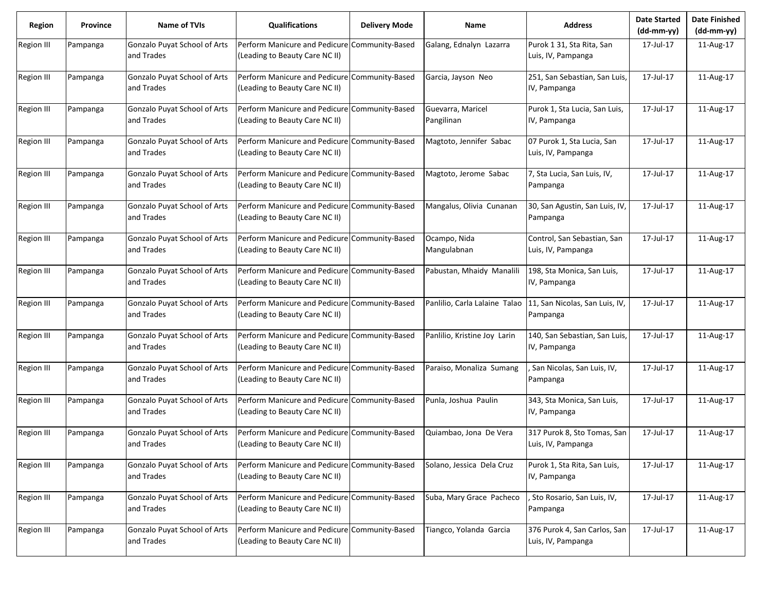| <b>Region</b>     | <b>Province</b> | <b>Name of TVIs</b>                        | <b>Qualifications</b>                                                           | <b>Delivery Mode</b> | <b>Name</b>                     | <b>Address</b>                                     | <b>Date Started</b><br>$(dd-mm-yy)$ | <b>Date Finished</b><br>(dd-mm-yy) |
|-------------------|-----------------|--------------------------------------------|---------------------------------------------------------------------------------|----------------------|---------------------------------|----------------------------------------------------|-------------------------------------|------------------------------------|
| Region III        | Pampanga        | Gonzalo Puyat School of Arts<br>and Trades | Perform Manicure and Pedicure Community-Based<br>(Leading to Beauty Care NC II) |                      | Galang, Ednalyn Lazarra         | Purok 1 31, Sta Rita, San<br>Luis, IV, Pampanga    | 17-Jul-17                           | 11-Aug-17                          |
| <b>Region III</b> | Pampanga        | Gonzalo Puyat School of Arts<br>and Trades | Perform Manicure and Pedicure Community-Based<br>(Leading to Beauty Care NC II) |                      | Garcia, Jayson Neo              | 251, San Sebastian, San Luis,<br>IV, Pampanga      | 17-Jul-17                           | 11-Aug-17                          |
| Region III        | Pampanga        | Gonzalo Puyat School of Arts<br>and Trades | Perform Manicure and Pedicure Community-Based<br>(Leading to Beauty Care NC II) |                      | Guevarra, Maricel<br>Pangilinan | Purok 1, Sta Lucia, San Luis,<br>IV, Pampanga      | 17-Jul-17                           | 11-Aug-17                          |
| <b>Region III</b> | Pampanga        | Gonzalo Puyat School of Arts<br>and Trades | Perform Manicure and Pedicure Community-Based<br>(Leading to Beauty Care NC II) |                      | Magtoto, Jennifer Sabac         | 07 Purok 1, Sta Lucia, San<br>Luis, IV, Pampanga   | 17-Jul-17                           | 11-Aug-17                          |
| <b>Region III</b> | Pampanga        | Gonzalo Puyat School of Arts<br>and Trades | Perform Manicure and Pedicure Community-Based<br>(Leading to Beauty Care NC II) |                      | Magtoto, Jerome Sabac           | 7, Sta Lucia, San Luis, IV,<br>Pampanga            | 17-Jul-17                           | 11-Aug-17                          |
| <b>Region III</b> | Pampanga        | Gonzalo Puyat School of Arts<br>and Trades | Perform Manicure and Pedicure Community-Based<br>(Leading to Beauty Care NC II) |                      | Mangalus, Olivia Cunanan        | 30, San Agustin, San Luis, IV,<br>Pampanga         | 17-Jul-17                           | 11-Aug-17                          |
| <b>Region III</b> | Pampanga        | Gonzalo Puyat School of Arts<br>and Trades | Perform Manicure and Pedicure Community-Based<br>(Leading to Beauty Care NC II) |                      | Ocampo, Nida<br>Mangulabnan     | Control, San Sebastian, San<br>Luis, IV, Pampanga  | 17-Jul-17                           | 11-Aug-17                          |
| Region III        | Pampanga        | Gonzalo Puyat School of Arts<br>and Trades | Perform Manicure and Pedicure Community-Based<br>(Leading to Beauty Care NC II) |                      | Pabustan, Mhaidy Manalili       | 198, Sta Monica, San Luis,<br>IV, Pampanga         | 17-Jul-17                           | 11-Aug-17                          |
| <b>Region III</b> | Pampanga        | Gonzalo Puyat School of Arts<br>and Trades | Perform Manicure and Pedicure Community-Based<br>(Leading to Beauty Care NC II) |                      | Panlilio, Carla Lalaine Talao   | 11, San Nicolas, San Luis, IV,<br>Pampanga         | 17-Jul-17                           | 11-Aug-17                          |
| <b>Region III</b> | Pampanga        | Gonzalo Puyat School of Arts<br>and Trades | Perform Manicure and Pedicure Community-Based<br>(Leading to Beauty Care NC II) |                      | Panlilio, Kristine Joy Larin    | 140, San Sebastian, San Luis,<br>IV, Pampanga      | 17-Jul-17                           | 11-Aug-17                          |
| <b>Region III</b> | Pampanga        | Gonzalo Puyat School of Arts<br>and Trades | Perform Manicure and Pedicure Community-Based<br>(Leading to Beauty Care NC II) |                      | Paraiso, Monaliza Sumang        | San Nicolas, San Luis, IV,<br>Pampanga             | 17-Jul-17                           | 11-Aug-17                          |
| <b>Region III</b> | Pampanga        | Gonzalo Puyat School of Arts<br>and Trades | Perform Manicure and Pedicure Community-Based<br>(Leading to Beauty Care NC II) |                      | Punla, Joshua Paulin            | 343, Sta Monica, San Luis,<br>IV, Pampanga         | 17-Jul-17                           | 11-Aug-17                          |
| <b>Region III</b> | Pampanga        | Gonzalo Puyat School of Arts<br>and Trades | Perform Manicure and Pedicure Community-Based<br>(Leading to Beauty Care NC II) |                      | Quiambao, Jona De Vera          | 317 Purok 8, Sto Tomas, San<br>Luis, IV, Pampanga  | 17-Jul-17                           | 11-Aug-17                          |
| <b>Region III</b> | Pampanga        | Gonzalo Puyat School of Arts<br>and Trades | Perform Manicure and Pedicure Community-Based<br>(Leading to Beauty Care NC II) |                      | Solano, Jessica Dela Cruz       | Purok 1, Sta Rita, San Luis,<br>IV, Pampanga       | 17-Jul-17                           | 11-Aug-17                          |
| Region III        | Pampanga        | Gonzalo Puyat School of Arts<br>and Trades | Perform Manicure and Pedicure Community-Based<br>(Leading to Beauty Care NC II) |                      | Suba, Mary Grace Pacheco        | Sto Rosario, San Luis, IV,<br>Pampanga             | 17-Jul-17                           | 11-Aug-17                          |
| Region III        | Pampanga        | Gonzalo Puyat School of Arts<br>and Trades | Perform Manicure and Pedicure Community-Based<br>(Leading to Beauty Care NC II) |                      | Tiangco, Yolanda Garcia         | 376 Purok 4, San Carlos, San<br>Luis, IV, Pampanga | 17-Jul-17                           | 11-Aug-17                          |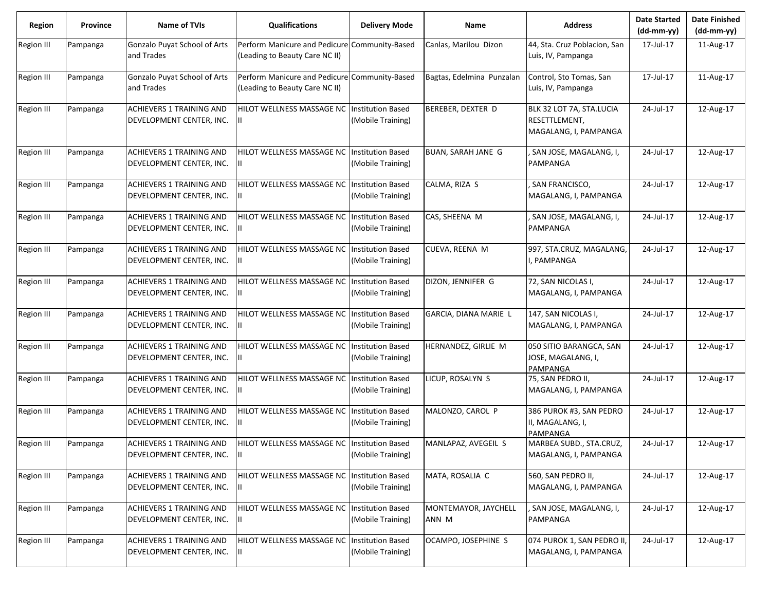| <b>Region</b>     | <b>Province</b> | <b>Name of TVIs</b>                                         | <b>Qualifications</b>                                                           | <b>Delivery Mode</b>                          | Name                          | <b>Address</b>                                                     | <b>Date Started</b><br>$(dd-mm-yy)$ | <b>Date Finished</b><br>$(dd-mm-yy)$ |
|-------------------|-----------------|-------------------------------------------------------------|---------------------------------------------------------------------------------|-----------------------------------------------|-------------------------------|--------------------------------------------------------------------|-------------------------------------|--------------------------------------|
| Region III        | Pampanga        | Gonzalo Puyat School of Arts<br>and Trades                  | Perform Manicure and Pedicure<br>(Leading to Beauty Care NC II)                 | Community-Based                               | Canlas, Marilou Dizon         | 44, Sta. Cruz Poblacion, San<br>Luis, IV, Pampanga                 | 17-Jul-17                           | 11-Aug-17                            |
| Region III        | Pampanga        | Gonzalo Puyat School of Arts<br>and Trades                  | Perform Manicure and Pedicure Community-Based<br>(Leading to Beauty Care NC II) |                                               | Bagtas, Edelmina Punzalan     | Control, Sto Tomas, San<br>Luis, IV, Pampanga                      | 17-Jul-17                           | 11-Aug-17                            |
| Region III        | Pampanga        | <b>ACHIEVERS 1 TRAINING AND</b><br>DEVELOPMENT CENTER, INC. | HILOT WELLNESS MASSAGE NC                                                       | <b>Institution Based</b><br>(Mobile Training) | BEREBER, DEXTER D             | BLK 32 LOT 7A, STA.LUCIA<br>RESETTLEMENT,<br>MAGALANG, I, PAMPANGA | 24-Jul-17                           | 12-Aug-17                            |
| Region III        | Pampanga        | <b>ACHIEVERS 1 TRAINING AND</b><br>DEVELOPMENT CENTER, INC. | HILOT WELLNESS MASSAGE NC                                                       | <b>Institution Based</b><br>(Mobile Training) | <b>BUAN, SARAH JANE G</b>     | SAN JOSE, MAGALANG, I,<br>PAMPANGA                                 | 24-Jul-17                           | 12-Aug-17                            |
| <b>Region III</b> | Pampanga        | <b>ACHIEVERS 1 TRAINING AND</b><br>DEVELOPMENT CENTER, INC. | HILOT WELLNESS MASSAGE NC                                                       | <b>Institution Based</b><br>(Mobile Training) | CALMA, RIZA S                 | SAN FRANCISCO,<br>MAGALANG, I, PAMPANGA                            | 24-Jul-17                           | 12-Aug-17                            |
| Region III        | Pampanga        | <b>ACHIEVERS 1 TRAINING AND</b><br>DEVELOPMENT CENTER, INC. | HILOT WELLNESS MASSAGE NC                                                       | <b>Institution Based</b><br>(Mobile Training) | CAS, SHEENA M                 | SAN JOSE, MAGALANG, I,<br>PAMPANGA                                 | 24-Jul-17                           | 12-Aug-17                            |
| Region III        | Pampanga        | <b>ACHIEVERS 1 TRAINING AND</b><br>DEVELOPMENT CENTER, INC. | HILOT WELLNESS MASSAGE NC                                                       | <b>Institution Based</b><br>(Mobile Training) | CUEVA, REENA M                | 997, STA.CRUZ, MAGALANG,<br>I, PAMPANGA                            | 24-Jul-17                           | 12-Aug-17                            |
| Region III        | Pampanga        | <b>ACHIEVERS 1 TRAINING AND</b><br>DEVELOPMENT CENTER, INC. | HILOT WELLNESS MASSAGE NC                                                       | <b>Institution Based</b><br>(Mobile Training) | DIZON, JENNIFER G             | 72, SAN NICOLAS I,<br>MAGALANG, I, PAMPANGA                        | 24-Jul-17                           | 12-Aug-17                            |
| Region III        | Pampanga        | <b>ACHIEVERS 1 TRAINING AND</b><br>DEVELOPMENT CENTER, INC. | HILOT WELLNESS MASSAGE NC                                                       | <b>Institution Based</b><br>(Mobile Training) | GARCIA, DIANA MARIE L         | 147, SAN NICOLAS I,<br>MAGALANG, I, PAMPANGA                       | 24-Jul-17                           | 12-Aug-17                            |
| <b>Region III</b> | Pampanga        | <b>ACHIEVERS 1 TRAINING AND</b><br>DEVELOPMENT CENTER, INC. | HILOT WELLNESS MASSAGE NC                                                       | <b>Institution Based</b><br>(Mobile Training) | HERNANDEZ, GIRLIE M           | 050 SITIO BARANGCA, SAN<br>JOSE, MAGALANG, I,<br>PAMPANGA          | 24-Jul-17                           | 12-Aug-17                            |
| Region III        | Pampanga        | <b>ACHIEVERS 1 TRAINING AND</b><br>DEVELOPMENT CENTER, INC. | HILOT WELLNESS MASSAGE NC                                                       | <b>Institution Based</b><br>(Mobile Training) | LICUP, ROSALYN S              | 75, SAN PEDRO II,<br>MAGALANG, I, PAMPANGA                         | 24-Jul-17                           | 12-Aug-17                            |
| Region III        | Pampanga        | <b>ACHIEVERS 1 TRAINING AND</b><br>DEVELOPMENT CENTER, INC. | HILOT WELLNESS MASSAGE NC                                                       | <b>Institution Based</b><br>(Mobile Training) | MALONZO, CAROL P              | 386 PUROK #3, SAN PEDRO<br>II, MAGALANG, I,<br>PAMPANGA            | 24-Jul-17                           | 12-Aug-17                            |
| Region III        | Pampanga        | ACHIEVERS 1 TRAINING AND<br>DEVELOPMENT CENTER, INC.        | HILOT WELLNESS MASSAGE NC<br>Ш                                                  | <b>Institution Based</b><br>(Mobile Training) | MANLAPAZ, AVEGEIL S           | MARBEA SUBD., STA.CRUZ,<br>MAGALANG, I, PAMPANGA                   | 24-Jul-17                           | 12-Aug-17                            |
| Region III        | Pampanga        | ACHIEVERS 1 TRAINING AND<br>DEVELOPMENT CENTER, INC.        | HILOT WELLNESS MASSAGE NC                                                       | <b>Institution Based</b><br>(Mobile Training) | MATA, ROSALIA C               | 560, SAN PEDRO II,<br>MAGALANG, I, PAMPANGA                        | 24-Jul-17                           | 12-Aug-17                            |
| Region III        | Pampanga        | <b>ACHIEVERS 1 TRAINING AND</b><br>DEVELOPMENT CENTER, INC. | HILOT WELLNESS MASSAGE NC                                                       | <b>Institution Based</b><br>(Mobile Training) | MONTEMAYOR, JAYCHELL<br>ANN M | , SAN JOSE, MAGALANG, I,<br>PAMPANGA                               | 24-Jul-17                           | 12-Aug-17                            |
| Region III        | Pampanga        | <b>ACHIEVERS 1 TRAINING AND</b><br>DEVELOPMENT CENTER, INC. | HILOT WELLNESS MASSAGE NC                                                       | <b>Institution Based</b><br>(Mobile Training) | OCAMPO, JOSEPHINE S           | 074 PUROK 1, SAN PEDRO II<br>MAGALANG, I, PAMPANGA                 | 24-Jul-17                           | 12-Aug-17                            |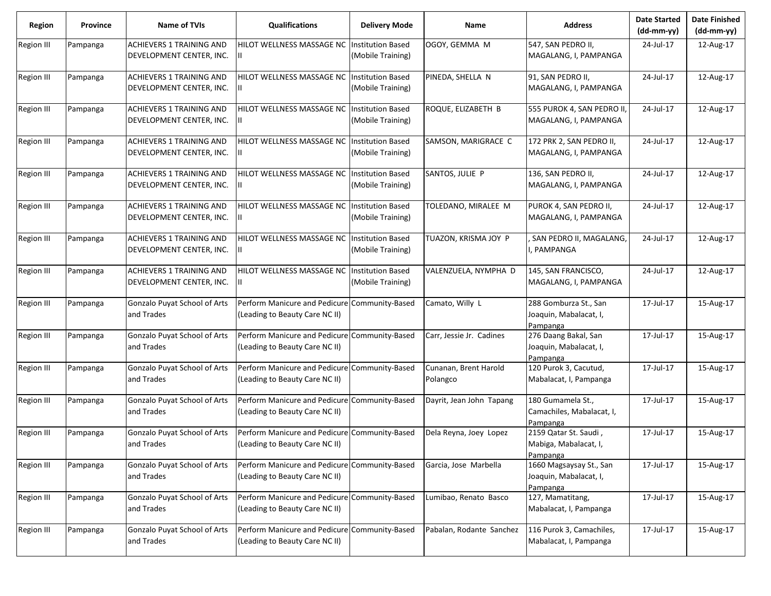| Region            | Province | Name of TVIs                                                | <b>Qualifications</b>                                                           | <b>Delivery Mode</b>                          | Name                              | <b>Address</b>                                                | <b>Date Started</b><br>$(dd-mm-yy)$ | <b>Date Finished</b><br>$(dd-mm-yy)$ |
|-------------------|----------|-------------------------------------------------------------|---------------------------------------------------------------------------------|-----------------------------------------------|-----------------------------------|---------------------------------------------------------------|-------------------------------------|--------------------------------------|
| Region III        | Pampanga | <b>ACHIEVERS 1 TRAINING AND</b><br>DEVELOPMENT CENTER, INC. | HILOT WELLNESS MASSAGE NC                                                       | <b>Institution Based</b><br>(Mobile Training) | OGOY, GEMMA M                     | 547, SAN PEDRO II,<br>MAGALANG, I, PAMPANGA                   | 24-Jul-17                           | 12-Aug-17                            |
| <b>Region III</b> | Pampanga | <b>ACHIEVERS 1 TRAINING AND</b><br>DEVELOPMENT CENTER, INC. | HILOT WELLNESS MASSAGE NC Institution Based<br>Ш.                               | (Mobile Training)                             | PINEDA, SHELLA N                  | 91, SAN PEDRO II,<br>MAGALANG, I, PAMPANGA                    | 24-Jul-17                           | 12-Aug-17                            |
| Region III        | Pampanga | <b>ACHIEVERS 1 TRAINING AND</b><br>DEVELOPMENT CENTER, INC. | HILOT WELLNESS MASSAGE NC<br>Ш                                                  | <b>Institution Based</b><br>(Mobile Training) | ROQUE, ELIZABETH B                | 555 PUROK 4, SAN PEDRO II<br>MAGALANG, I, PAMPANGA            | 24-Jul-17                           | 12-Aug-17                            |
| <b>Region III</b> | Pampanga | <b>ACHIEVERS 1 TRAINING AND</b><br>DEVELOPMENT CENTER, INC. | HILOT WELLNESS MASSAGE NC Institution Based<br>Ш.                               | (Mobile Training)                             | SAMSON, MARIGRACE C               | 172 PRK 2, SAN PEDRO II,<br>MAGALANG, I, PAMPANGA             | 24-Jul-17                           | 12-Aug-17                            |
| <b>Region III</b> | Pampanga | <b>ACHIEVERS 1 TRAINING AND</b><br>DEVELOPMENT CENTER, INC. | HILOT WELLNESS MASSAGE NC<br>$\mathbf{H}$                                       | <b>Institution Based</b><br>(Mobile Training) | SANTOS, JULIE P                   | 136, SAN PEDRO II,<br>MAGALANG, I, PAMPANGA                   | 24-Jul-17                           | 12-Aug-17                            |
| <b>Region III</b> | Pampanga | <b>ACHIEVERS 1 TRAINING AND</b><br>DEVELOPMENT CENTER, INC. | HILOT WELLNESS MASSAGE NC Institution Based                                     | (Mobile Training)                             | TOLEDANO, MIRALEE M               | PUROK 4, SAN PEDRO II,<br>MAGALANG, I, PAMPANGA               | 24-Jul-17                           | 12-Aug-17                            |
| <b>Region III</b> | Pampanga | <b>ACHIEVERS 1 TRAINING AND</b><br>DEVELOPMENT CENTER, INC. | HILOT WELLNESS MASSAGE NC<br>Ш.                                                 | <b>Institution Based</b><br>(Mobile Training) | TUAZON, KRISMA JOY P              | SAN PEDRO II, MAGALANG,<br>, PAMPANGA                         | 24-Jul-17                           | 12-Aug-17                            |
| <b>Region III</b> | Pampanga | <b>ACHIEVERS 1 TRAINING AND</b><br>DEVELOPMENT CENTER, INC. | HILOT WELLNESS MASSAGE NC Institution Based<br>Ш.                               | (Mobile Training)                             | VALENZUELA, NYMPHA D              | 145, SAN FRANCISCO,<br>MAGALANG, I, PAMPANGA                  | 24-Jul-17                           | 12-Aug-17                            |
| <b>Region III</b> | Pampanga | Gonzalo Puyat School of Arts<br>and Trades                  | Perform Manicure and Pedicure Community-Based<br>(Leading to Beauty Care NC II) |                                               | Camato, Willy L                   | 288 Gomburza St., San<br>Joaquin, Mabalacat, I,<br>Pampanga   | 17-Jul-17                           | 15-Aug-17                            |
| <b>Region III</b> | Pampanga | Gonzalo Puyat School of Arts<br>and Trades                  | Perform Manicure and Pedicure<br>(Leading to Beauty Care NC II)                 | Community-Based                               | Carr, Jessie Jr. Cadines          | 276 Daang Bakal, San<br>Joaquin, Mabalacat, I,<br>Pampanga    | 17-Jul-17                           | 15-Aug-17                            |
| Region III        | Pampanga | Gonzalo Puyat School of Arts<br>and Trades                  | Perform Manicure and Pedicure Community-Based<br>(Leading to Beauty Care NC II) |                                               | Cunanan, Brent Harold<br>Polangco | 120 Purok 3, Cacutud,<br>Mabalacat, I, Pampanga               | 17-Jul-17                           | 15-Aug-17                            |
| <b>Region III</b> | Pampanga | Gonzalo Puyat School of Arts<br>and Trades                  | Perform Manicure and Pedicure Community-Based<br>(Leading to Beauty Care NC II) |                                               | Dayrit, Jean John Tapang          | 180 Gumamela St.,<br>Camachiles, Mabalacat, I,<br>Pampanga    | 17-Jul-17                           | 15-Aug-17                            |
| <b>Region III</b> | Pampanga | Gonzalo Puyat School of Arts<br>and Trades                  | Perform Manicure and Pedicure Community-Based<br>(Leading to Beauty Care NC II) |                                               | Dela Reyna, Joey Lopez            | 2159 Qatar St. Saudi,<br>Mabiga, Mabalacat, I,<br>Pampanga    | 17-Jul-17                           | 15-Aug-17                            |
| <b>Region III</b> | Pampanga | Gonzalo Puyat School of Arts<br>and Trades                  | Perform Manicure and Pedicure Community-Based<br>(Leading to Beauty Care NC II) |                                               | Garcia, Jose Marbella             | 1660 Magsaysay St., San<br>Joaquin, Mabalacat, I,<br>Pampanga | 17-Jul-17                           | 15-Aug-17                            |
| <b>Region III</b> | Pampanga | Gonzalo Puyat School of Arts<br>and Trades                  | Perform Manicure and Pedicure Community-Based<br>(Leading to Beauty Care NC II) |                                               | Lumibao, Renato Basco             | 127, Mamatitang,<br>Mabalacat, I, Pampanga                    | 17-Jul-17                           | 15-Aug-17                            |
| <b>Region III</b> | Pampanga | Gonzalo Puyat School of Arts<br>and Trades                  | Perform Manicure and Pedicure Community-Based<br>(Leading to Beauty Care NC II) |                                               | Pabalan, Rodante Sanchez          | 116 Purok 3, Camachiles,<br>Mabalacat, I, Pampanga            | 17-Jul-17                           | 15-Aug-17                            |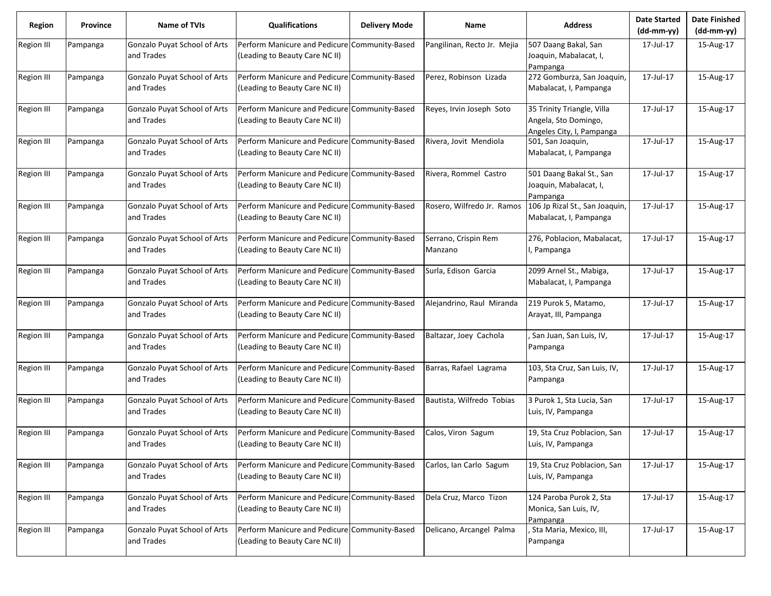| <b>Region</b>     | <b>Province</b> | <b>Name of TVIs</b>                        | <b>Qualifications</b>                                                           | <b>Delivery Mode</b> | <b>Name</b>                     | <b>Address</b>                                                                  | <b>Date Started</b><br>(dd-mm-yy) | <b>Date Finished</b><br>(dd-mm-yy) |
|-------------------|-----------------|--------------------------------------------|---------------------------------------------------------------------------------|----------------------|---------------------------------|---------------------------------------------------------------------------------|-----------------------------------|------------------------------------|
| <b>Region III</b> | Pampanga        | Gonzalo Puyat School of Arts<br>and Trades | Perform Manicure and Pedicure Community-Based<br>(Leading to Beauty Care NC II) |                      | Pangilinan, Recto Jr. Mejia     | 507 Daang Bakal, San<br>Joaquin, Mabalacat, I,<br>Pampanga                      | 17-Jul-17                         | 15-Aug-17                          |
| <b>Region III</b> | Pampanga        | Gonzalo Puyat School of Arts<br>and Trades | Perform Manicure and Pedicure Community-Based<br>(Leading to Beauty Care NC II) |                      | Perez, Robinson Lizada          | 272 Gomburza, San Joaquin,<br>Mabalacat, I, Pampanga                            | 17-Jul-17                         | 15-Aug-17                          |
| Region III        | Pampanga        | Gonzalo Puyat School of Arts<br>and Trades | Perform Manicure and Pedicure Community-Based<br>(Leading to Beauty Care NC II) |                      | Reyes, Irvin Joseph Soto        | 35 Trinity Triangle, Villa<br>Angela, Sto Domingo,<br>Angeles City, I, Pampanga | 17-Jul-17                         | 15-Aug-17                          |
| <b>Region III</b> | Pampanga        | Gonzalo Puyat School of Arts<br>and Trades | Perform Manicure and Pedicure Community-Based<br>(Leading to Beauty Care NC II) |                      | Rivera, Jovit Mendiola          | 501, San Joaquin,<br>Mabalacat, I, Pampanga                                     | 17-Jul-17                         | 15-Aug-17                          |
| <b>Region III</b> | Pampanga        | Gonzalo Puyat School of Arts<br>and Trades | Perform Manicure and Pedicure Community-Based<br>(Leading to Beauty Care NC II) |                      | Rivera, Rommel Castro           | 501 Daang Bakal St., San<br>Joaquin, Mabalacat, I,<br>Pampanga                  | 17-Jul-17                         | 15-Aug-17                          |
| <b>Region III</b> | Pampanga        | Gonzalo Puyat School of Arts<br>and Trades | Perform Manicure and Pedicure Community-Based<br>(Leading to Beauty Care NC II) |                      | Rosero, Wilfredo Jr. Ramos      | 106 Jp Rizal St., San Joaquin,<br>Mabalacat, I, Pampanga                        | 17-Jul-17                         | 15-Aug-17                          |
| <b>Region III</b> | Pampanga        | Gonzalo Puyat School of Arts<br>and Trades | Perform Manicure and Pedicure Community-Based<br>(Leading to Beauty Care NC II) |                      | Serrano, Crispin Rem<br>Manzano | 276, Poblacion, Mabalacat,<br>I, Pampanga                                       | 17-Jul-17                         | 15-Aug-17                          |
| Region III        | Pampanga        | Gonzalo Puyat School of Arts<br>and Trades | Perform Manicure and Pedicure Community-Based<br>(Leading to Beauty Care NC II) |                      | Surla, Edison Garcia            | 2099 Arnel St., Mabiga,<br>Mabalacat, I, Pampanga                               | 17-Jul-17                         | 15-Aug-17                          |
| <b>Region III</b> | Pampanga        | Gonzalo Puyat School of Arts<br>and Trades | Perform Manicure and Pedicure Community-Based<br>(Leading to Beauty Care NC II) |                      | Alejandrino, Raul Miranda       | 219 Purok 5, Matamo,<br>Arayat, III, Pampanga                                   | 17-Jul-17                         | 15-Aug-17                          |
| <b>Region III</b> | Pampanga        | Gonzalo Puyat School of Arts<br>and Trades | Perform Manicure and Pedicure Community-Based<br>(Leading to Beauty Care NC II) |                      | Baltazar, Joey Cachola          | San Juan, San Luis, IV,<br>Pampanga                                             | 17-Jul-17                         | 15-Aug-17                          |
| <b>Region III</b> | Pampanga        | Gonzalo Puyat School of Arts<br>and Trades | Perform Manicure and Pedicure Community-Based<br>(Leading to Beauty Care NC II) |                      | Barras, Rafael Lagrama          | 103, Sta Cruz, San Luis, IV,<br>Pampanga                                        | 17-Jul-17                         | 15-Aug-17                          |
| <b>Region III</b> | Pampanga        | Gonzalo Puyat School of Arts<br>and Trades | Perform Manicure and Pedicure Community-Based<br>(Leading to Beauty Care NC II) |                      | Bautista, Wilfredo Tobias       | 3 Purok 1, Sta Lucia, San<br>Luis, IV, Pampanga                                 | 17-Jul-17                         | 15-Aug-17                          |
| <b>Region III</b> | Pampanga        | Gonzalo Puyat School of Arts<br>and Trades | Perform Manicure and Pedicure Community-Based<br>(Leading to Beauty Care NC II) |                      | Calos, Viron Sagum              | 19, Sta Cruz Poblacion, San<br>Luis, IV, Pampanga                               | 17-Jul-17                         | 15-Aug-17                          |
| <b>Region III</b> | Pampanga        | Gonzalo Puyat School of Arts<br>and Trades | Perform Manicure and Pedicure Community-Based<br>(Leading to Beauty Care NC II) |                      | Carlos, Ian Carlo Sagum         | 19, Sta Cruz Poblacion, San<br>Luis, IV, Pampanga                               | 17-Jul-17                         | 15-Aug-17                          |
| Region III        | Pampanga        | Gonzalo Puyat School of Arts<br>and Trades | Perform Manicure and Pedicure Community-Based<br>(Leading to Beauty Care NC II) |                      | Dela Cruz, Marco Tizon          | 124 Paroba Purok 2, Sta<br>Monica, San Luis, IV,<br>Pampanga                    | 17-Jul-17                         | 15-Aug-17                          |
| Region III        | Pampanga        | Gonzalo Puyat School of Arts<br>and Trades | Perform Manicure and Pedicure Community-Based<br>(Leading to Beauty Care NC II) |                      | Delicano, Arcangel Palma        | Sta Maria, Mexico, III,<br>Pampanga                                             | 17-Jul-17                         | 15-Aug-17                          |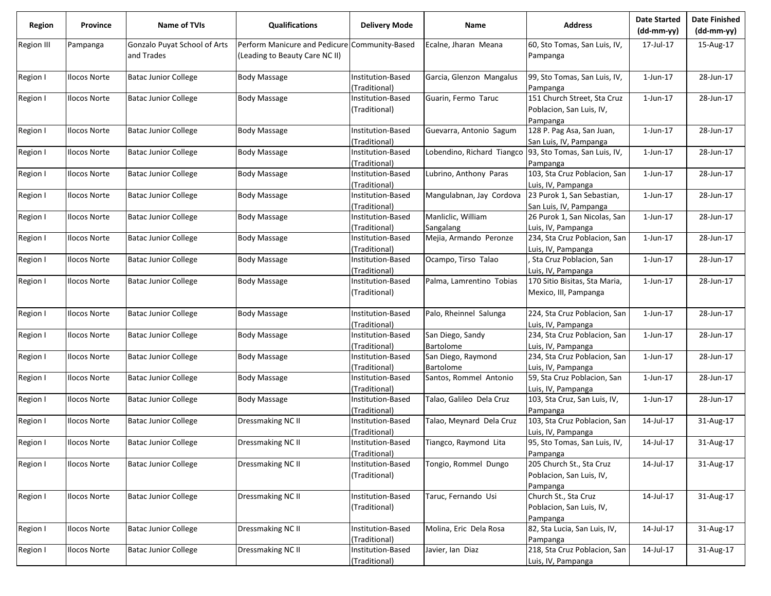| Region            | Province            | Name of TVIs                 | <b>Qualifications</b>          | <b>Delivery Mode</b> | Name                       | <b>Address</b>                | <b>Date Started</b><br>$(dd-mm-yy)$ | <b>Date Finished</b><br>(dd-mm-yy) |
|-------------------|---------------------|------------------------------|--------------------------------|----------------------|----------------------------|-------------------------------|-------------------------------------|------------------------------------|
| <b>Region III</b> | Pampanga            | Gonzalo Puyat School of Arts | Perform Manicure and Pedicure  | Community-Based      | Ecalne, Jharan Meana       | 60, Sto Tomas, San Luis, IV,  | 17-Jul-17                           | 15-Aug-17                          |
|                   |                     | and Trades                   | (Leading to Beauty Care NC II) |                      |                            | Pampanga                      |                                     |                                    |
| Region I          | <b>Ilocos Norte</b> | <b>Batac Junior College</b>  | <b>Body Massage</b>            | Institution-Based    | Garcia, Glenzon Mangalus   | 99, Sto Tomas, San Luis, IV,  | $1$ -Jun- $17$                      | 28-Jun-17                          |
|                   |                     |                              |                                | Traditional)         |                            | Pampanga                      |                                     |                                    |
| Region I          | <b>Ilocos Norte</b> | <b>Batac Junior College</b>  | <b>Body Massage</b>            | nstitution-Based     | Guarin, Fermo Taruc        | 151 Church Street, Sta Cruz   | $1$ -Jun- $17$                      | 28-Jun-17                          |
|                   |                     |                              |                                | (Traditional)        |                            | Poblacion, San Luis, IV,      |                                     |                                    |
|                   |                     |                              |                                |                      |                            | Pampanga                      |                                     |                                    |
| Region I          | Ilocos Norte        | <b>Batac Junior College</b>  | Body Massage                   | Institution-Based    | Guevarra, Antonio Sagum    | 128 P. Pag Asa, San Juan,     | $1$ -Jun- $17$                      | 28-Jun-17                          |
|                   |                     |                              |                                | (Traditional)        |                            | San Luis, IV, Pampanga        |                                     |                                    |
| Region I          | <b>Ilocos Norte</b> | <b>Batac Junior College</b>  | <b>Body Massage</b>            | Institution-Based    | Lobendino, Richard Tiangco | 93, Sto Tomas, San Luis, IV,  | $1$ -Jun- $17$                      | 28-Jun-17                          |
|                   |                     |                              |                                | (Traditional)        |                            | Pampanga                      |                                     |                                    |
| Region I          | <b>Ilocos Norte</b> | <b>Batac Junior College</b>  | <b>Body Massage</b>            | Institution-Based    | Lubrino, Anthony Paras     | 103, Sta Cruz Poblacion, San  | $1$ -Jun- $17$                      | 28-Jun-17                          |
|                   |                     |                              |                                | (Traditional)        |                            | Luis, IV, Pampanga            |                                     |                                    |
| Region I          | <b>Ilocos Norte</b> | <b>Batac Junior College</b>  | Body Massage                   | Institution-Based    | Mangulabnan, Jay Cordova   | 23 Purok 1, San Sebastian,    | 1-Jun-17                            | 28-Jun-17                          |
|                   |                     |                              |                                | (Traditional)        |                            | San Luis, IV, Pampanga        |                                     |                                    |
| Region I          | <b>Ilocos Norte</b> | <b>Batac Junior College</b>  | <b>Body Massage</b>            | Institution-Based    | Manliclic, William         | 26 Purok 1, San Nicolas, San  | $1$ -Jun- $17$                      | 28-Jun-17                          |
|                   |                     |                              |                                | (Traditional)        | Sangalang                  | Luis, IV, Pampanga            |                                     |                                    |
| Region I          | <b>Ilocos Norte</b> | <b>Batac Junior College</b>  | <b>Body Massage</b>            | Institution-Based    | Mejia, Armando Peronze     | 234, Sta Cruz Poblacion, San  | $1$ -Jun- $17$                      | 28-Jun-17                          |
|                   |                     |                              |                                | (Traditional)        |                            | Luis, IV, Pampanga            |                                     |                                    |
| Region I          | <b>Ilocos Norte</b> | <b>Batac Junior College</b>  | Body Massage                   | Institution-Based    | Ocampo, Tirso Talao        | Sta Cruz Poblacion, San       | 1-Jun-17                            | 28-Jun-17                          |
|                   |                     |                              |                                | (Traditional)        |                            | Luis, IV, Pampanga            |                                     |                                    |
| Region I          | <b>Ilocos Norte</b> | <b>Batac Junior College</b>  | <b>Body Massage</b>            | Institution-Based    | Palma, Lamrentino Tobias   | 170 Sitio Bisitas, Sta Maria, | 1-Jun-17                            | 28-Jun-17                          |
|                   |                     |                              |                                | (Traditional)        |                            | Mexico, III, Pampanga         |                                     |                                    |
| Region I          | <b>Ilocos Norte</b> | <b>Batac Junior College</b>  | <b>Body Massage</b>            | Institution-Based    | Palo, Rheinnel Salunga     | 224, Sta Cruz Poblacion, San  | 1-Jun-17                            | 28-Jun-17                          |
|                   |                     |                              |                                | Traditional)         |                            | Luis, IV, Pampanga            |                                     |                                    |
| Region I          | <b>Ilocos Norte</b> | <b>Batac Junior College</b>  | <b>Body Massage</b>            | nstitution-Based     | San Diego, Sandy           | 234, Sta Cruz Poblacion, San  | $1$ -Jun- $17$                      | 28-Jun-17                          |
|                   |                     |                              |                                | (Traditional)        | Bartolome                  | Luis, IV, Pampanga            |                                     |                                    |
| Region I          | <b>Ilocos Norte</b> | <b>Batac Junior College</b>  | <b>Body Massage</b>            | Institution-Based    | San Diego, Raymond         | 234, Sta Cruz Poblacion, San  | $1$ -Jun- $17$                      | 28-Jun-17                          |
|                   |                     |                              |                                | (Traditional)        | Bartolome                  | Luis, IV, Pampanga            |                                     |                                    |
| Region I          | <b>Ilocos Norte</b> | <b>Batac Junior College</b>  | <b>Body Massage</b>            | Institution-Based    | Santos, Rommel Antonio     | 59, Sta Cruz Poblacion, San   | $1$ -Jun- $17$                      | 28-Jun-17                          |
|                   |                     |                              |                                | (Traditional)        |                            | Luis, IV, Pampanga            |                                     |                                    |
| Region I          | <b>Ilocos Norte</b> | <b>Batac Junior College</b>  | Body Massage                   | Institution-Based    | Talao, Galileo Dela Cruz   | 103, Sta Cruz, San Luis, IV,  | 1-Jun-17                            | 28-Jun-17                          |
|                   |                     |                              |                                | (Traditional)        |                            | Pampanga                      |                                     |                                    |
| Region I          | <b>Ilocos Norte</b> | <b>Batac Junior College</b>  | Dressmaking NC II              | Institution-Based    | Talao, Meynard Dela Cruz   | 103, Sta Cruz Poblacion, San  | 14-Jul-17                           | 31-Aug-17                          |
|                   |                     |                              |                                | Traditional)         |                            | Luis, IV, Pampanga            |                                     |                                    |
| Region I          | <b>Ilocos Norte</b> | <b>Batac Junior College</b>  | Dressmaking NC II              | Institution-Based    | Tiangco, Raymond Lita      | 95, Sto Tomas, San Luis, IV,  | 14-Jul-17                           | 31-Aug-17                          |
|                   |                     |                              |                                | (Traditional)        |                            | Pampanga                      |                                     |                                    |
| Region I          | <b>Ilocos Norte</b> | <b>Batac Junior College</b>  | Dressmaking NC II              | Institution-Based    | Tongio, Rommel Dungo       | 205 Church St., Sta Cruz      | 14-Jul-17                           | 31-Aug-17                          |
|                   |                     |                              |                                | (Traditional)        |                            | Poblacion, San Luis, IV,      |                                     |                                    |
|                   |                     |                              |                                |                      |                            | Pampanga                      |                                     |                                    |
| Region I          | <b>Ilocos Norte</b> | <b>Batac Junior College</b>  | Dressmaking NC II              | Institution-Based    | Taruc, Fernando Usi        | Church St., Sta Cruz          | 14-Jul-17                           | 31-Aug-17                          |
|                   |                     |                              |                                | (Traditional)        |                            | Poblacion, San Luis, IV,      |                                     |                                    |
|                   |                     |                              |                                |                      |                            | Pampanga                      |                                     |                                    |
| Region I          | <b>Ilocos Norte</b> | <b>Batac Junior College</b>  | Dressmaking NC II              | Institution-Based    | Molina, Eric Dela Rosa     | 82, Sta Lucia, San Luis, IV,  | 14-Jul-17                           | 31-Aug-17                          |
|                   |                     |                              |                                | (Traditional)        |                            | Pampanga                      |                                     |                                    |
| Region I          | <b>Ilocos Norte</b> | <b>Batac Junior College</b>  | Dressmaking NC II              | Institution-Based    | Javier, Ian Diaz           | 218, Sta Cruz Poblacion, San  | 14-Jul-17                           | 31-Aug-17                          |
|                   |                     |                              |                                | (Traditional)        |                            | Luis, IV, Pampanga            |                                     |                                    |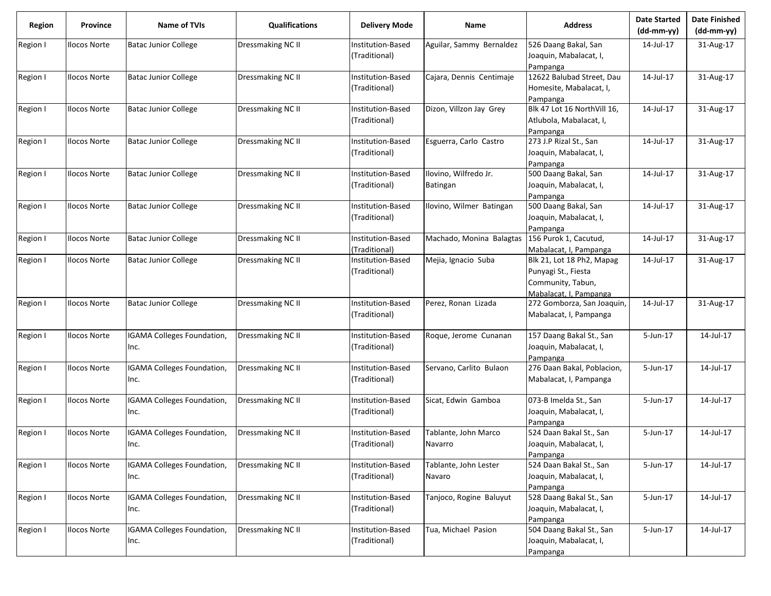| <b>Region</b> | Province            | <b>Name of TVIs</b>                       | <b>Qualifications</b>    | <b>Delivery Mode</b>                      | Name                              | <b>Address</b>                                                                                  | <b>Date Started</b><br>$(dd-mm-yy)$ | <b>Date Finished</b><br>(dd-mm-yy) |
|---------------|---------------------|-------------------------------------------|--------------------------|-------------------------------------------|-----------------------------------|-------------------------------------------------------------------------------------------------|-------------------------------------|------------------------------------|
| Region I      | <b>Ilocos Norte</b> | <b>Batac Junior College</b>               | Dressmaking NC II        | Institution-Based<br>(Traditional)        | Aguilar, Sammy Bernaldez          | 526 Daang Bakal, San<br>Joaquin, Mabalacat, I,                                                  | 14-Jul-17                           | 31-Aug-17                          |
| Region I      | <b>Ilocos Norte</b> | <b>Batac Junior College</b>               | <b>Dressmaking NC II</b> | Institution-Based<br>(Traditional)        | Cajara, Dennis Centimaje          | Pampanga<br>12622 Balubad Street, Dau<br>Homesite, Mabalacat, I,                                | 14-Jul-17                           | 31-Aug-17                          |
| Region I      | <b>Ilocos Norte</b> | <b>Batac Junior College</b>               | Dressmaking NC II        | Institution-Based<br>(Traditional)        | Dizon, Villzon Jay Grey           | Pampanga<br>Blk 47 Lot 16 NorthVill 16,<br>Atlubola, Mabalacat, I,                              | 14-Jul-17                           | 31-Aug-17                          |
| Region I      | <b>Ilocos Norte</b> | <b>Batac Junior College</b>               | <b>Dressmaking NC II</b> | Institution-Based<br>(Traditional)        | Esguerra, Carlo Castro            | Pampanga<br>273 J.P Rizal St., San<br>Joaquin, Mabalacat, I,<br>Pampanga                        | 14-Jul-17                           | 31-Aug-17                          |
| Region I      | <b>Ilocos Norte</b> | <b>Batac Junior College</b>               | Dressmaking NC II        | Institution-Based<br>(Traditional)        | Ilovino, Wilfredo Jr.<br>Batingan | 500 Daang Bakal, San<br>Joaquin, Mabalacat, I,<br>Pampanga                                      | 14-Jul-17                           | 31-Aug-17                          |
| Region I      | <b>Ilocos Norte</b> | <b>Batac Junior College</b>               | Dressmaking NC II        | Institution-Based<br>(Traditional)        | Ilovino, Wilmer Batingan          | 500 Daang Bakal, San<br>Joaquin, Mabalacat, I,<br>Pampanga                                      | 14-Jul-17                           | 31-Aug-17                          |
| Region I      | Ilocos Norte        | <b>Batac Junior College</b>               | Dressmaking NC II        | <b>Institution-Based</b><br>(Traditional) | Machado, Monina Balagtas          | 156 Purok 1, Cacutud,<br>Mabalacat, I, Pampanga                                                 | 14-Jul-17                           | 31-Aug-17                          |
| Region I      | <b>Ilocos Norte</b> | <b>Batac Junior College</b>               | Dressmaking NC II        | Institution-Based<br>(Traditional)        | Mejia, Ignacio Suba               | Blk 21, Lot 18 Ph2, Mapag<br>Punyagi St., Fiesta<br>Community, Tabun,<br>Mabalacat, I, Pampanga | 14-Jul-17                           | 31-Aug-17                          |
| Region I      | <b>Ilocos Norte</b> | <b>Batac Junior College</b>               | Dressmaking NC II        | Institution-Based<br>(Traditional)        | Perez, Ronan Lizada               | 272 Gomborza, San Joaquin,<br>Mabalacat, I, Pampanga                                            | 14-Jul-17                           | 31-Aug-17                          |
| Region I      | <b>Ilocos Norte</b> | <b>IGAMA Colleges Foundation,</b><br>Inc. | Dressmaking NC II        | Institution-Based<br>(Traditional)        | Roque, Jerome Cunanan             | 157 Daang Bakal St., San<br>Joaquin, Mabalacat, I,<br>Pampanga                                  | 5-Jun-17                            | 14-Jul-17                          |
| Region I      | <b>Ilocos Norte</b> | <b>IGAMA Colleges Foundation,</b><br>Inc. | Dressmaking NC II        | Institution-Based<br>(Traditional)        | Servano, Carlito Bulaon           | 276 Daan Bakal, Poblacion,<br>Mabalacat, I, Pampanga                                            | 5-Jun-17                            | 14-Jul-17                          |
| Region I      | <b>Ilocos Norte</b> | <b>IGAMA Colleges Foundation,</b><br>Inc. | Dressmaking NC II        | Institution-Based<br>(Traditional)        | Sicat, Edwin Gamboa               | 073-B Imelda St., San<br>Joaquin, Mabalacat, I,<br>Pampanga                                     | 5-Jun-17                            | 14-Jul-17                          |
| Region I      | Ilocos Norte        | <b>IGAMA Colleges Foundation,</b><br>Inc. | Dressmaking NC II        | Institution-Based<br>(Traditional)        | Tablante, John Marco<br>Navarro   | 524 Daan Bakal St., San<br>Joaquin, Mabalacat, I,<br>Pampanga                                   | 5-Jun-17                            | 14-Jul-17                          |
| Region I      | <b>Ilocos Norte</b> | <b>IGAMA Colleges Foundation,</b><br>Inc. | <b>Dressmaking NC II</b> | Institution-Based<br>(Traditional)        | Tablante, John Lester<br>Navaro   | 524 Daan Bakal St., San<br>Joaquin, Mabalacat, I,<br>Pampanga                                   | 5-Jun-17                            | 14-Jul-17                          |
| Region I      | <b>Ilocos Norte</b> | <b>IGAMA Colleges Foundation,</b><br>Inc. | <b>Dressmaking NC II</b> | Institution-Based<br>(Traditional)        | Tanjoco, Rogine Baluyut           | 528 Daang Bakal St., San<br>Joaquin, Mabalacat, I,<br>Pampanga                                  | 5-Jun-17                            | 14-Jul-17                          |
| Region I      | <b>Ilocos Norte</b> | IGAMA Colleges Foundation,<br>Inc.        | Dressmaking NC II        | Institution-Based<br>(Traditional)        | Tua, Michael Pasion               | 504 Daang Bakal St., San<br>Joaquin, Mabalacat, I,<br>Pampanga                                  | 5-Jun-17                            | 14-Jul-17                          |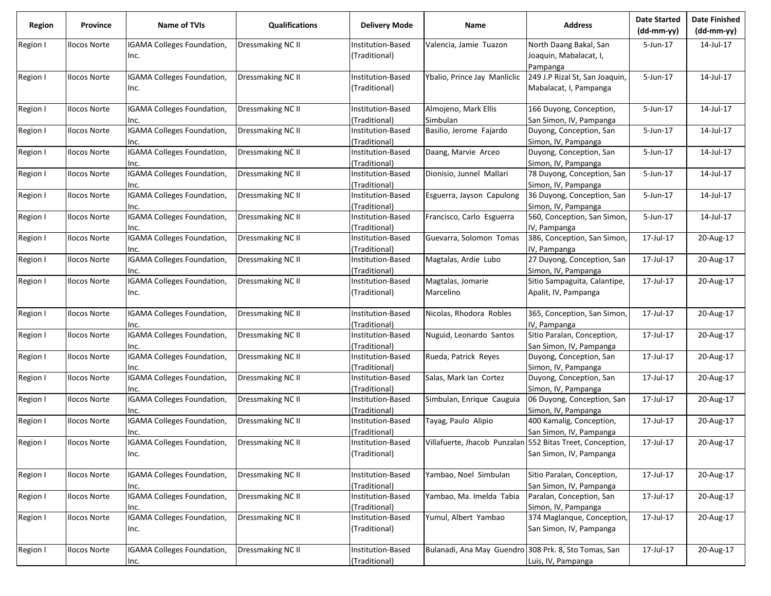| Region   | Province            | Name of TVIs                      | <b>Qualifications</b> | <b>Delivery Mode</b> | Name                                                      | <b>Address</b>                 | <b>Date Started</b><br>$(dd-mm-yy)$ | <b>Date Finished</b><br>$(dd-mm-yy)$ |
|----------|---------------------|-----------------------------------|-----------------------|----------------------|-----------------------------------------------------------|--------------------------------|-------------------------------------|--------------------------------------|
| Region I | <b>Ilocos Norte</b> | IGAMA Colleges Foundation,        | Dressmaking NC II     | Institution-Based    | Valencia, Jamie Tuazon                                    | North Daang Bakal, San         | 5-Jun-17                            | 14-Jul-17                            |
|          |                     | Inc.                              |                       | (Traditional)        |                                                           | Joaquin, Mabalacat, I,         |                                     |                                      |
|          |                     |                                   |                       |                      |                                                           | Pampanga                       |                                     |                                      |
| Region I | <b>Ilocos Norte</b> | IGAMA Colleges Foundation,        | Dressmaking NC II     | nstitution-Based     | Ybalio, Prince Jay Manliclic                              | 249 J.P Rizal St, San Joaquin, | 5-Jun-17                            | 14-Jul-17                            |
|          |                     | Inc.                              |                       | (Traditional)        |                                                           | Mabalacat, I, Pampanga         |                                     |                                      |
| Region I | <b>Ilocos Norte</b> | IGAMA Colleges Foundation,        | Dressmaking NC II     | nstitution-Based     | Almojeno, Mark Ellis                                      | 166 Duyong, Conception,        | 5-Jun-17                            | 14-Jul-17                            |
|          |                     | Inc.                              |                       | (Traditional)        | Simbulan                                                  | San Simon, IV, Pampanga        |                                     |                                      |
| Region I | <b>Ilocos Norte</b> | IGAMA Colleges Foundation,        | Dressmaking NC II     | nstitution-Based     | Basilio, Jerome Fajardo                                   | Duyong, Conception, San        | 5-Jun-17                            | 14-Jul-17                            |
|          |                     | Inc.                              |                       | (Traditional)        |                                                           | Simon, IV, Pampanga            |                                     |                                      |
| Region I | <b>Ilocos Norte</b> | IGAMA Colleges Foundation,        | Dressmaking NC II     | Institution-Based    | Daang, Marvie Arceo                                       | Duyong, Conception, San        | 5-Jun-17                            | 14-Jul-17                            |
|          |                     | Inc.                              |                       | (Traditional)        |                                                           | Simon, IV, Pampanga            |                                     |                                      |
| Region I | <b>Ilocos Norte</b> | IGAMA Colleges Foundation,        | Dressmaking NC II     | Institution-Based    | Dionisio, Junnel Mallari                                  | 78 Duyong, Conception, San     | 5-Jun-17                            | 14-Jul-17                            |
|          |                     | Inc.                              |                       | (Traditional)        |                                                           | Simon, IV, Pampanga            |                                     |                                      |
| Region I | <b>Ilocos Norte</b> | IGAMA Colleges Foundation,        | Dressmaking NC II     | nstitution-Based     | Esguerra, Jayson Capulong                                 | 36 Duyong, Conception, San     | 5-Jun-17                            | 14-Jul-17                            |
|          |                     | Inc.                              |                       | (Traditional)        |                                                           | Simon, IV, Pampanga            |                                     |                                      |
| Region I | <b>Ilocos Norte</b> | IGAMA Colleges Foundation,        | Dressmaking NC II     | Institution-Based    | Francisco, Carlo Esguerra                                 | 560, Conception, San Simon,    | 5-Jun-17                            | 14-Jul-17                            |
|          |                     | Inc.                              |                       | Traditional)         |                                                           | IV, Pampanga                   |                                     |                                      |
| Region I | <b>Ilocos Norte</b> | IGAMA Colleges Foundation,        | Dressmaking NC II     | Institution-Based    | Guevarra, Solomon Tomas                                   | 386, Conception, San Simon,    | 17-Jul-17                           | 20-Aug-17                            |
|          |                     | Inc.                              |                       | (Traditional)        |                                                           | IV, Pampanga                   |                                     |                                      |
| Region I | <b>Ilocos Norte</b> | IGAMA Colleges Foundation,        | Dressmaking NC II     | nstitution-Based     | Magtalas, Ardie Lubo                                      | 27 Duyong, Conception, San     | 17-Jul-17                           | 20-Aug-17                            |
|          |                     | Inc.                              |                       | (Traditional)        |                                                           | Simon, IV, Pampanga            |                                     |                                      |
| Region I | <b>Ilocos Norte</b> | IGAMA Colleges Foundation,        | Dressmaking NC II     | Institution-Based    | Magtalas, Jomarie                                         | Sitio Sampaguita, Calantipe,   | 17-Jul-17                           | 20-Aug-17                            |
|          |                     | Inc.                              |                       | (Traditional)        | Marcelino                                                 | Apalit, IV, Pampanga           |                                     |                                      |
| Region I | <b>Ilocos Norte</b> | IGAMA Colleges Foundation,        | Dressmaking NC II     | Institution-Based    | Nicolas, Rhodora Robles                                   | 365, Conception, San Simon,    | 17-Jul-17                           | 20-Aug-17                            |
|          |                     | Inc.                              |                       | Traditional)         |                                                           | IV, Pampanga                   |                                     |                                      |
| Region I | <b>Ilocos Norte</b> | IGAMA Colleges Foundation,        | Dressmaking NC II     | nstitution-Based     | Nuguid, Leonardo Santos                                   | Sitio Paralan, Conception,     | 17-Jul-17                           | 20-Aug-17                            |
|          |                     | Inc.                              |                       | Traditional)         |                                                           | San Simon, IV, Pampanga        |                                     |                                      |
| Region I | <b>Ilocos Norte</b> | IGAMA Colleges Foundation,        | Dressmaking NC II     | Institution-Based    | Rueda, Patrick Reyes                                      | Duyong, Conception, San        | 17-Jul-17                           | 20-Aug-17                            |
|          |                     | Inc.                              |                       | (Traditional)        |                                                           | Simon, IV, Pampanga            |                                     |                                      |
| Region I | <b>Ilocos Norte</b> | IGAMA Colleges Foundation,        | Dressmaking NC II     | Institution-Based    | Salas, Mark Ian Cortez                                    | Duyong, Conception, San        | 17-Jul-17                           | 20-Aug-17                            |
|          |                     | Inc.                              |                       | (Traditional)        |                                                           | Simon, IV, Pampanga            |                                     |                                      |
| Region I | <b>Ilocos Norte</b> | IGAMA Colleges Foundation,        | Dressmaking NC II     | Institution-Based    | Simbulan, Enrique Cauguia                                 | 06 Duyong, Conception, San     | 17-Jul-17                           | 20-Aug-17                            |
|          |                     | Inc.                              |                       | (Traditional)        |                                                           | Simon, IV, Pampanga            |                                     |                                      |
| Region I | <b>Ilocos Norte</b> | IGAMA Colleges Foundation,        | Dressmaking NC II     | Institution-Based    | Tayag, Paulo Alipio                                       | 400 Kamalig, Conception,       | 17-Jul-17                           | 20-Aug-17                            |
|          |                     | Inc.                              |                       | (Traditional)        |                                                           | San Simon, IV, Pampanga        |                                     |                                      |
| Region I | <b>Ilocos Norte</b> | IGAMA Colleges Foundation,        | Dressmaking NC II     | Institution-Based    | Villafuerte, Jhacob Punzalan 552 Bitas Treet, Conception, |                                | 17-Jul-17                           | 20-Aug-17                            |
|          |                     | Inc.                              |                       | (Traditional)        |                                                           | San Simon, IV, Pampanga        |                                     |                                      |
|          |                     |                                   |                       |                      |                                                           |                                |                                     |                                      |
| Region I | <b>Ilocos Norte</b> | IGAMA Colleges Foundation,        | Dressmaking NC II     | Institution-Based    | Yambao, Noel Simbulan                                     | Sitio Paralan, Conception,     | 17-Jul-17                           | 20-Aug-17                            |
|          |                     | Inc.                              |                       | (Traditional)        |                                                           | San Simon, IV, Pampanga        |                                     |                                      |
| Region I | <b>Ilocos Norte</b> | <b>IGAMA Colleges Foundation,</b> | Dressmaking NC II     | Institution-Based    | Yambao, Ma. Imelda Tabia                                  | Paralan, Conception, San       | 17-Jul-17                           | 20-Aug-17                            |
|          |                     | Inc.                              |                       | (Traditional)        |                                                           | Simon, IV, Pampanga            |                                     |                                      |
| Region I | <b>Ilocos Norte</b> | IGAMA Colleges Foundation,        | Dressmaking NC II     | Institution-Based    | Yumul, Albert Yambao                                      | 374 Maglanque, Conception,     | 17-Jul-17                           | 20-Aug-17                            |
|          |                     | Inc.                              |                       | (Traditional)        |                                                           | San Simon, IV, Pampanga        |                                     |                                      |
|          |                     |                                   |                       |                      |                                                           |                                |                                     |                                      |
| Region I | Ilocos Norte        | IGAMA Colleges Foundation,        | Dressmaking NC II     | Institution-Based    | Bulanadi, Ana May Guendro 308 Prk. 8, Sto Tomas, San      |                                | 17-Jul-17                           | 20-Aug-17                            |
|          |                     | Inc.                              |                       | (Traditional)        |                                                           | Luis, IV, Pampanga             |                                     |                                      |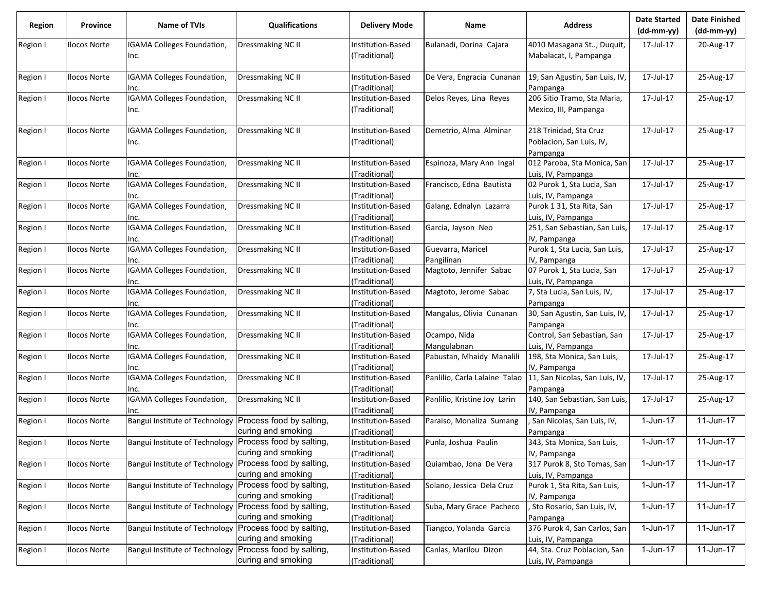| Region   | Province            | <b>Name of TVIs</b>                       | <b>Qualifications</b>                          | <b>Delivery Mode</b>               | Name                            | <b>Address</b>                                                 | <b>Date Started</b><br>$(dd-mm-yy)$ | <b>Date Finished</b><br>$(dd-mm-yy)$ |
|----------|---------------------|-------------------------------------------|------------------------------------------------|------------------------------------|---------------------------------|----------------------------------------------------------------|-------------------------------------|--------------------------------------|
| Region I | <b>Ilocos Norte</b> | IGAMA Colleges Foundation,<br>Inc.        | Dressmaking NC II                              | Institution-Based<br>(Traditional) | Bulanadi, Dorina Cajara         | 4010 Masagana St, Duquit,<br>Mabalacat, I, Pampanga            | 17-Jul-17                           | 20-Aug-17                            |
| Region I | <b>Ilocos Norte</b> | IGAMA Colleges Foundation,<br>Inc.        | Dressmaking NC II                              | Institution-Based<br>Traditional)  | De Vera, Engracia Cunanan       | 19, San Agustin, San Luis, IV,<br>Pampanga                     | 17-Jul-17                           | 25-Aug-17                            |
| Region I | <b>Ilocos Norte</b> | IGAMA Colleges Foundation,                | Dressmaking NC II                              | Institution-Based                  | Delos Reyes, Lina Reyes         | 206 Sitio Tramo, Sta Maria,                                    | 17-Jul-17                           | 25-Aug-17                            |
|          |                     | Inc.                                      |                                                | (Traditional)                      |                                 | Mexico, III, Pampanga                                          |                                     |                                      |
| Region I | <b>Ilocos Norte</b> | IGAMA Colleges Foundation,<br>Inc.        | Dressmaking NC II                              | nstitution-Based<br>(Traditional)  | Demetrio, Alma Alminar          | 218 Trinidad, Sta Cruz<br>Poblacion, San Luis, IV,<br>Pampanga | 17-Jul-17                           | 25-Aug-17                            |
| Region I | <b>Ilocos Norte</b> | IGAMA Colleges Foundation,<br>Inc.        | Dressmaking NC II                              | nstitution-Based<br>(Traditional)  | Espinoza, Mary Ann Ingal        | 012 Paroba, Sta Monica, San<br>Luis, IV, Pampanga              | 17-Jul-17                           | 25-Aug-17                            |
| Region I | <b>Ilocos Norte</b> | IGAMA Colleges Foundation,<br>Inc.        | Dressmaking NC II                              | nstitution-Based<br>Traditional)   | Francisco, Edna Bautista        | 02 Purok 1, Sta Lucia, San<br>Luis, IV, Pampanga               | 17-Jul-17                           | 25-Aug-17                            |
| Region I | <b>Ilocos Norte</b> | <b>IGAMA Colleges Foundation,</b><br>Inc. | Dressmaking NC II                              | Institution-Based<br>Traditional)  | Galang, Ednalyn Lazarra         | Purok 1 31, Sta Rita, San<br>Luis, IV, Pampanga                | 17-Jul-17                           | 25-Aug-17                            |
| Region I | <b>Ilocos Norte</b> | IGAMA Colleges Foundation,<br>Inc.        | Dressmaking NC II                              | nstitution-Based<br>(Traditional)  | Garcia, Jayson Neo              | 251, San Sebastian, San Luis,<br>IV, Pampanga                  | 17-Jul-17                           | 25-Aug-17                            |
| Region I | <b>Ilocos Norte</b> | IGAMA Colleges Foundation,<br>Inc.        | Dressmaking NC II                              | nstitution-Based<br>(Traditional)  | Guevarra, Maricel<br>Pangilinan | Purok 1, Sta Lucia, San Luis,<br>IV, Pampanga                  | 17-Jul-17                           | 25-Aug-17                            |
| Region I | <b>Ilocos Norte</b> | IGAMA Colleges Foundation,<br>Inc.        | Dressmaking NC II                              | Institution-Based<br>Traditional)  | Magtoto, Jennifer Sabac         | 07 Purok 1, Sta Lucia, San<br>Luis, IV, Pampanga               | 17-Jul-17                           | 25-Aug-17                            |
| Region I | <b>Ilocos Norte</b> | IGAMA Colleges Foundation,<br>Inc.        | Dressmaking NC II                              | Institution-Based<br>(Traditional) | Magtoto, Jerome Sabac           | 7, Sta Lucia, San Luis, IV,<br>Pampanga                        | 17-Jul-17                           | 25-Aug-17                            |
| Region I | <b>Ilocos Norte</b> | IGAMA Colleges Foundation,<br>Inc.        | <b>Dressmaking NC II</b>                       | Institution-Based<br>Traditional)  | Mangalus, Olivia Cunanan        | 30, San Agustin, San Luis, IV,<br>Pampanga                     | 17-Jul-17                           | 25-Aug-17                            |
| Region I | <b>Ilocos Norte</b> | IGAMA Colleges Foundation,<br>Inc.        | <b>Dressmaking NC II</b>                       | Institution-Based<br>Traditional)  | Ocampo, Nida<br>Mangulabnan     | Control, San Sebastian, San<br>Luis, IV, Pampanga              | 17-Jul-17                           | 25-Aug-17                            |
| Region I | <b>Ilocos Norte</b> | IGAMA Colleges Foundation,<br>Inc.        | Dressmaking NC II                              | Institution-Based<br>(Traditional) | Pabustan, Mhaidy Manalili       | 198, Sta Monica, San Luis,<br>IV, Pampanga                     | 17-Jul-17                           | 25-Aug-17                            |
| Region I | Ilocos Norte        | IGAMA Colleges Foundation,<br>Inc.        | Dressmaking NC II                              | Institution-Based<br>(Traditional) | Panlilio, Carla Lalaine Talao   | 11, San Nicolas, San Luis, IV,<br>Pampanga                     | 17-Jul-17                           | 25-Aug-17                            |
| Region I | <b>Ilocos Norte</b> | IGAMA Colleges Foundation,<br>Inc.        | Dressmaking NC II                              | nstitution-Based<br>(Traditional)  | Panlilio, Kristine Joy Larin    | 140, San Sebastian, San Luis,<br>IV, Pampanga                  | 17-Jul-17                           | 25-Aug-17                            |
| Region I | <b>Ilocos Norte</b> | Bangui Institute of Technology            | Process food by salting,<br>curing and smoking | Institution-Based<br>Traditional)  | Paraiso, Monaliza Sumang        | , San Nicolas, San Luis, IV,<br>Pampanga                       | 1-Jun-17                            | $11$ -Jun-17                         |
| Region I | <b>Ilocos Norte</b> | Bangui Institute of Technology            | Process food by salting,<br>curing and smoking | Institution-Based<br>(Traditional) | Punla, Joshua Paulin            | 343, Sta Monica, San Luis,<br>IV, Pampanga                     | $1$ -Jun-17                         | 11-Jun-17                            |
| Region I | <b>Ilocos Norte</b> | Bangui Institute of Technology            | Process food by salting,<br>curing and smoking | Institution-Based<br>(Traditional) | Quiambao, Jona De Vera          | 317 Purok 8, Sto Tomas, San<br>Luis, IV, Pampanga              | 1-Jun-17                            | 11-Jun-17                            |
| Region I | <b>Ilocos Norte</b> | Bangui Institute of Technology            | Process food by salting,<br>curing and smoking | Institution-Based<br>(Traditional) | Solano, Jessica Dela Cruz       | Purok 1, Sta Rita, San Luis,<br>IV, Pampanga                   | 1-Jun-17                            | 11-Jun-17                            |
| Region I | <b>Ilocos Norte</b> | Bangui Institute of Technology            | Process food by salting,<br>curing and smoking | Institution-Based<br>(Traditional) | Suba, Mary Grace Pacheco        | , Sto Rosario, San Luis, IV,<br>Pampanga                       | 1-Jun-17                            | 11-Jun-17                            |
| Region I | <b>Ilocos Norte</b> | Bangui Institute of Technology            | Process food by salting,<br>curing and smoking | Institution-Based<br>(Traditional) | Tiangco, Yolanda Garcia         | 376 Purok 4, San Carlos, San<br>Luis, IV, Pampanga             | 1-Jun-17                            | 11-Jun-17                            |
| Region I | <b>Ilocos Norte</b> | Bangui Institute of Technology            | Process food by salting,<br>curing and smoking | Institution-Based<br>(Traditional) | Canlas, Marilou Dizon           | 44, Sta. Cruz Poblacion, San<br>Luis, IV, Pampanga             | $1$ -Jun-17                         | $\overline{11}$ -Jun-17              |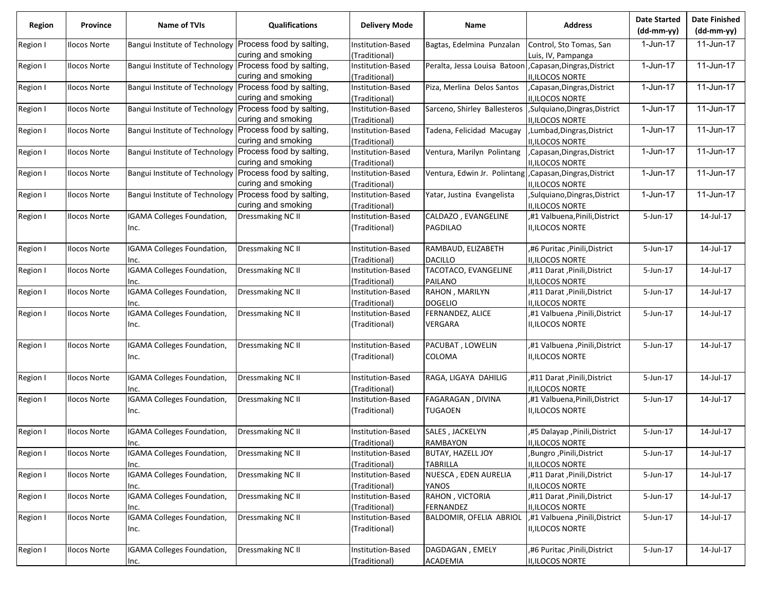| <b>Region</b> | Province            | Name of TVIs                                            | <b>Qualifications</b>    | <b>Delivery Mode</b>               | Name                                                      | <b>Address</b>                 | <b>Date Started</b><br>(dd-mm-yy) | <b>Date Finished</b><br>(dd-mm-yy) |
|---------------|---------------------|---------------------------------------------------------|--------------------------|------------------------------------|-----------------------------------------------------------|--------------------------------|-----------------------------------|------------------------------------|
| Region I      | <b>Ilocos Norte</b> | Bangui Institute of Technology                          | Process food by salting, | Institution-Based                  | Bagtas, Edelmina Punzalan                                 | Control, Sto Tomas, San        | 1-Jun-17                          | 11-Jun-17                          |
|               |                     |                                                         | curing and smoking       | (Traditional)                      |                                                           | Luis, IV, Pampanga             |                                   |                                    |
| Region I      | <b>Ilocos Norte</b> | Bangui Institute of Technology Process food by salting, | curing and smoking       | Institution-Based<br>(Traditional) | Peralta, Jessa Louisa Batoon , Capasan, Dingras, District | <b>II,ILOCOS NORTE</b>         | 1-Jun-17                          | 11-Jun-17                          |
| Region I      | <b>Ilocos Norte</b> | Bangui Institute of Technology                          | Process food by salting, | Institution-Based                  | Piza, Merlina Delos Santos                                | ,Capasan,Dingras,District      | 1-Jun-17                          | 11-Jun-17                          |
|               |                     |                                                         | curing and smoking       | (Traditional)                      |                                                           | II, ILOCOS NORTE               |                                   |                                    |
| Region I      | <b>Ilocos Norte</b> | Bangui Institute of Technology                          | Process food by salting, | Institution-Based                  | Sarceno, Shirley Ballesteros                              | ,Sulquiano,Dingras,District    | 1-Jun-17                          | 11-Jun-17                          |
|               |                     |                                                         | curing and smoking       | (Traditional)                      |                                                           | II, ILOCOS NORTE               |                                   |                                    |
| Region I      | <b>Ilocos Norte</b> | Bangui Institute of Technology                          | Process food by salting, | Institution-Based                  | Tadena, Felicidad Macugay                                 | Lumbad, Dingras, District      | 1-Jun-17                          | 11-Jun-17                          |
|               |                     |                                                         | curing and smoking       | (Traditional)                      |                                                           | <b>II,ILOCOS NORTE</b>         |                                   |                                    |
| Region I      | <b>Ilocos Norte</b> | Bangui Institute of Technology                          | Process food by salting, | Institution-Based                  | Ventura, Marilyn Polintang                                | ,Capasan,Dingras,District      | 1-Jun-17                          | 11-Jun-17                          |
|               |                     |                                                         | curing and smoking       | (Traditional)                      |                                                           | <b>II,ILOCOS NORTE</b>         |                                   |                                    |
| Region I      | <b>Ilocos Norte</b> | Bangui Institute of Technology                          | Process food by salting, | Institution-Based                  | Ventura, Edwin Jr. Polintang                              | ,Capasan,Dingras,District      | 1-Jun-17                          | 11-Jun-17                          |
|               |                     |                                                         | curing and smoking       | (Traditional)                      |                                                           | <b>II,ILOCOS NORTE</b>         |                                   |                                    |
| Region I      | <b>Ilocos Norte</b> | Bangui Institute of Technology                          | Process food by salting, | Institution-Based                  | Yatar, Justina Evangelista                                | Sulquiano, Dingras, District   | 1-Jun-17                          | 11-Jun-17                          |
|               |                     |                                                         | curing and smoking       | (Traditional)                      |                                                           | <b>II,ILOCOS NORTE</b>         |                                   |                                    |
| Region I      | <b>Ilocos Norte</b> | IGAMA Colleges Foundation,                              | Dressmaking NC II        | Institution-Based                  | CALDAZO, EVANGELINE                                       | ,#1 Valbuena, Pinili, District | 5-Jun-17                          | 14-Jul-17                          |
|               |                     | Inc.                                                    |                          | (Traditional)                      | PAGDILAO                                                  | <b>II,ILOCOS NORTE</b>         |                                   |                                    |
| Region I      | <b>Ilocos Norte</b> | IGAMA Colleges Foundation,                              | Dressmaking NC II        | Institution-Based                  | RAMBAUD, ELIZABETH                                        | ,#6 Puritac ,Pinili,District   | 5-Jun-17                          | 14-Jul-17                          |
|               |                     | Inc.                                                    |                          | (Traditional)                      | <b>DACILLO</b>                                            | <b>II, ILOCOS NORTE</b>        |                                   |                                    |
| Region I      | <b>Ilocos Norte</b> | <b>IGAMA Colleges Foundation,</b>                       | Dressmaking NC II        | Institution-Based                  | TACOTACO, EVANGELINE                                      | ,#11 Darat, Pinili, District   | 5-Jun-17                          | 14-Jul-17                          |
|               |                     | Inc.                                                    |                          | (Traditional)                      | <b>PAILANO</b>                                            | <b>II,ILOCOS NORTE</b>         |                                   |                                    |
| Region I      | <b>Ilocos Norte</b> | IGAMA Colleges Foundation,                              | Dressmaking NC II        | Institution-Based                  | RAHON, MARILYN                                            | ,#11 Darat , Pinili, District  | 5-Jun-17                          | 14-Jul-17                          |
|               |                     | Inc.                                                    |                          | (Traditional)                      | <b>DOGELIO</b>                                            | <b>II,ILOCOS NORTE</b>         |                                   |                                    |
| Region I      | <b>Ilocos Norte</b> | IGAMA Colleges Foundation,                              | Dressmaking NC II        | Institution-Based                  | FERNANDEZ, ALICE                                          | ,#1 Valbuena ,Pinili,District  | 5-Jun-17                          | 14-Jul-17                          |
|               |                     | Inc.                                                    |                          | (Traditional)                      | VERGARA                                                   | <b>II,ILOCOS NORTE</b>         |                                   |                                    |
| Region I      | <b>Ilocos Norte</b> | IGAMA Colleges Foundation,                              | Dressmaking NC II        | Institution-Based                  | PACUBAT, LOWELIN                                          | ,#1 Valbuena ,Pinili,District  | 5-Jun-17                          | 14-Jul-17                          |
|               |                     | Inc.                                                    |                          | (Traditional)                      | COLOMA                                                    | <b>II, ILOCOS NORTE</b>        |                                   |                                    |
| Region I      | <b>Ilocos Norte</b> | IGAMA Colleges Foundation,                              | Dressmaking NC II        | Institution-Based                  | RAGA, LIGAYA DAHILIG                                      | "#11 Darat , Pinili, District  | 5-Jun-17                          | 14-Jul-17                          |
|               |                     | Inc.                                                    |                          | (Traditional)                      |                                                           | II, ILOCOS NORTE               |                                   |                                    |
| Region I      | <b>Ilocos Norte</b> | IGAMA Colleges Foundation,                              | Dressmaking NC II        | Institution-Based                  | FAGARAGAN, DIVINA                                         | ,#1 Valbuena, Pinili, District | 5-Jun-17                          | 14-Jul-17                          |
|               |                     | Inc.                                                    |                          | (Traditional)                      | <b>TUGAOEN</b>                                            | <b>II,ILOCOS NORTE</b>         |                                   |                                    |
| Region I      | <b>Ilocos Norte</b> | IGAMA Colleges Foundation,                              | Dressmaking NC II        | Institution-Based                  | SALES, JACKELYN                                           | ,#5 Dalayap ,Pinili,District   | 5-Jun-17                          | 14-Jul-17                          |
|               |                     | Inc.                                                    |                          | (Traditional)                      | RAMBAYON                                                  | II, ILOCOS NORTE               |                                   |                                    |
| Region I      | <b>Ilocos Norte</b> | IGAMA Colleges Foundation,                              | <b>Dressmaking NC II</b> | Institution-Based                  | <b>BUTAY, HAZELL JOY</b>                                  | ,Bungro,Pinili,District        | 5-Jun-17                          | 14-Jul-17                          |
|               |                     | Inc.                                                    |                          | (Traditional)                      | <b>TABRILLA</b>                                           | <b>II,ILOCOS NORTE</b>         |                                   |                                    |
| Region I      | <b>Ilocos Norte</b> | IGAMA Colleges Foundation,                              | Dressmaking NC II        | Institution-Based                  | NUESCA, EDEN AURELIA                                      | ,#11 Darat, Pinili, District   | 5-Jun-17                          | 14-Jul-17                          |
|               |                     | Inc.                                                    |                          | (Traditional)                      | YANOS                                                     | II, ILOCOS NORTE               |                                   |                                    |
| Region I      | <b>Ilocos Norte</b> | IGAMA Colleges Foundation,                              | <b>Dressmaking NC II</b> | Institution-Based                  | RAHON, VICTORIA                                           | ,#11 Darat , Pinili, District  | 5-Jun-17                          | 14-Jul-17                          |
|               |                     | Inc.                                                    |                          | (Traditional)                      | FERNANDEZ                                                 | II, ILOCOS NORTE               |                                   |                                    |
| Region I      | <b>Ilocos Norte</b> | <b>IGAMA Colleges Foundation,</b>                       | Dressmaking NC II        | Institution-Based                  | BALDOMIR, OFELIA ABRIOL                                   | ,#1 Valbuena ,Pinili,District  | 5-Jun-17                          | 14-Jul-17                          |
|               |                     | Inc.                                                    |                          | (Traditional)                      |                                                           | II, ILOCOS NORTE               |                                   |                                    |
| Region I      | <b>Ilocos Norte</b> | IGAMA Colleges Foundation,                              | Dressmaking NC II        | Institution-Based                  | DAGDAGAN, EMELY                                           | ,#6 Puritac ,Pinili,District   | 5-Jun-17                          | 14-Jul-17                          |
|               |                     | Inc.                                                    |                          | (Traditional)                      | <b>ACADEMIA</b>                                           | II, ILOCOS NORTE               |                                   |                                    |